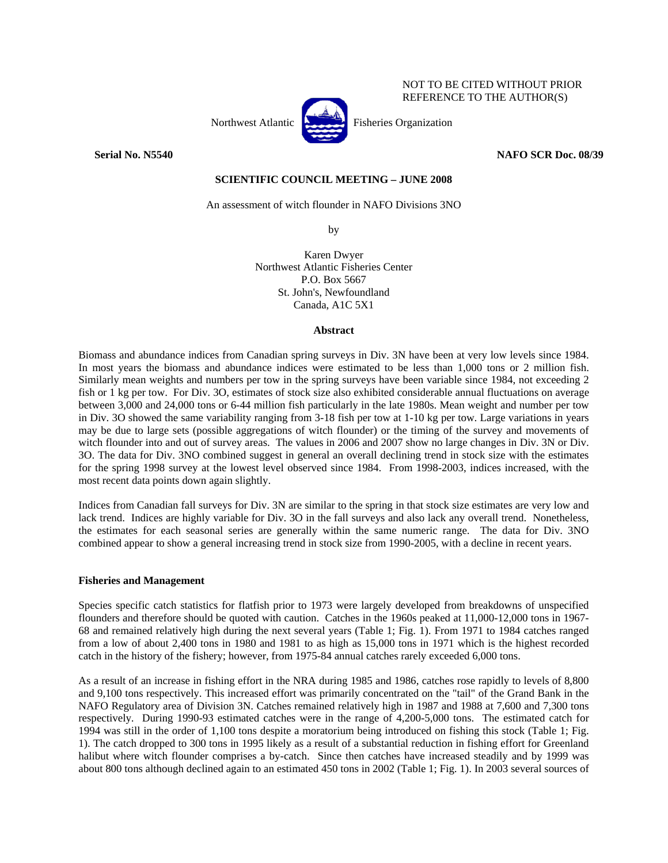

**Serial No. N5540 NAFO SCR Doc. 08/39** 

NOT TO BE CITED WITHOUT PRIOR REFERENCE TO THE AUTHOR(S)

# **SCIENTIFIC COUNCIL MEETING – JUNE 2008**

An assessment of witch flounder in NAFO Divisions 3NO

by

Karen Dwyer Northwest Atlantic Fisheries Center P.O. Box 5667 St. John's, Newfoundland Canada, A1C 5X1

## **Abstract**

Biomass and abundance indices from Canadian spring surveys in Div. 3N have been at very low levels since 1984. In most years the biomass and abundance indices were estimated to be less than 1,000 tons or 2 million fish. Similarly mean weights and numbers per tow in the spring surveys have been variable since 1984, not exceeding 2 fish or 1 kg per tow. For Div. 3O, estimates of stock size also exhibited considerable annual fluctuations on average between 3,000 and 24,000 tons or 6-44 million fish particularly in the late 1980s. Mean weight and number per tow in Div. 3O showed the same variability ranging from 3-18 fish per tow at 1-10 kg per tow. Large variations in years may be due to large sets (possible aggregations of witch flounder) or the timing of the survey and movements of witch flounder into and out of survey areas. The values in 2006 and 2007 show no large changes in Div. 3N or Div. 3O. The data for Div. 3NO combined suggest in general an overall declining trend in stock size with the estimates for the spring 1998 survey at the lowest level observed since 1984. From 1998-2003, indices increased, with the most recent data points down again slightly.

Indices from Canadian fall surveys for Div. 3N are similar to the spring in that stock size estimates are very low and lack trend. Indices are highly variable for Div. 3O in the fall surveys and also lack any overall trend. Nonetheless, the estimates for each seasonal series are generally within the same numeric range. The data for Div. 3NO combined appear to show a general increasing trend in stock size from 1990-2005, with a decline in recent years.

# **Fisheries and Management**

Species specific catch statistics for flatfish prior to 1973 were largely developed from breakdowns of unspecified flounders and therefore should be quoted with caution. Catches in the 1960s peaked at 11,000-12,000 tons in 1967- 68 and remained relatively high during the next several years (Table 1; Fig. 1). From 1971 to 1984 catches ranged from a low of about 2,400 tons in 1980 and 1981 to as high as 15,000 tons in 1971 which is the highest recorded catch in the history of the fishery; however, from 1975-84 annual catches rarely exceeded 6,000 tons.

As a result of an increase in fishing effort in the NRA during 1985 and 1986, catches rose rapidly to levels of 8,800 and 9,100 tons respectively. This increased effort was primarily concentrated on the "tail" of the Grand Bank in the NAFO Regulatory area of Division 3N. Catches remained relatively high in 1987 and 1988 at 7,600 and 7,300 tons respectively. During 1990-93 estimated catches were in the range of 4,200-5,000 tons. The estimated catch for 1994 was still in the order of 1,100 tons despite a moratorium being introduced on fishing this stock (Table 1; Fig. 1). The catch dropped to 300 tons in 1995 likely as a result of a substantial reduction in fishing effort for Greenland halibut where witch flounder comprises a by-catch. Since then catches have increased steadily and by 1999 was about 800 tons although declined again to an estimated 450 tons in 2002 (Table 1; Fig. 1). In 2003 several sources of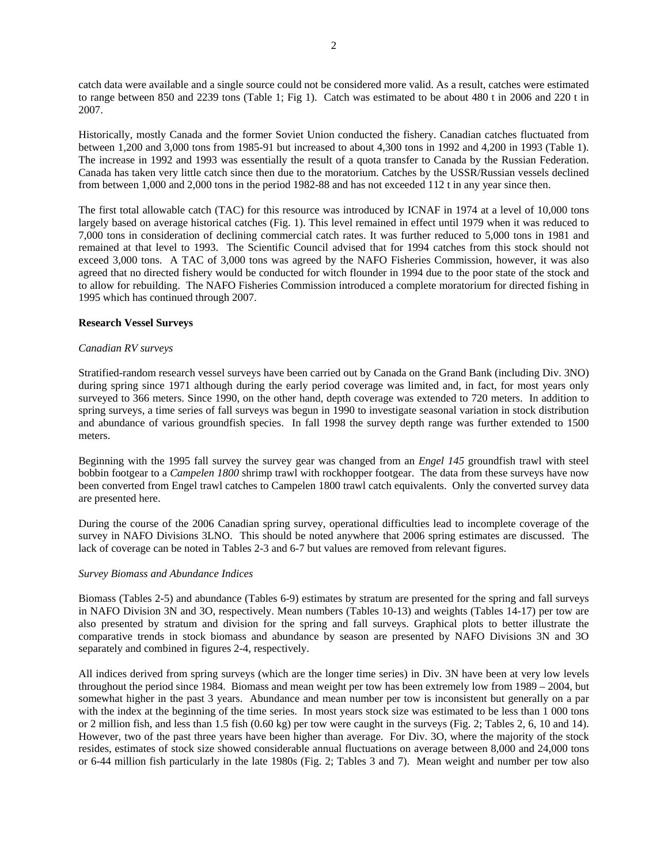catch data were available and a single source could not be considered more valid. As a result, catches were estimated to range between 850 and 2239 tons (Table 1; Fig 1). Catch was estimated to be about 480 t in 2006 and 220 t in 2007.

Historically, mostly Canada and the former Soviet Union conducted the fishery. Canadian catches fluctuated from between 1,200 and 3,000 tons from 1985-91 but increased to about 4,300 tons in 1992 and 4,200 in 1993 (Table 1). The increase in 1992 and 1993 was essentially the result of a quota transfer to Canada by the Russian Federation. Canada has taken very little catch since then due to the moratorium. Catches by the USSR/Russian vessels declined from between 1,000 and 2,000 tons in the period 1982-88 and has not exceeded 112 t in any year since then.

The first total allowable catch (TAC) for this resource was introduced by ICNAF in 1974 at a level of 10,000 tons largely based on average historical catches (Fig. 1). This level remained in effect until 1979 when it was reduced to 7,000 tons in consideration of declining commercial catch rates. It was further reduced to 5,000 tons in 1981 and remained at that level to 1993. The Scientific Council advised that for 1994 catches from this stock should not exceed 3,000 tons. A TAC of 3,000 tons was agreed by the NAFO Fisheries Commission, however, it was also agreed that no directed fishery would be conducted for witch flounder in 1994 due to the poor state of the stock and to allow for rebuilding. The NAFO Fisheries Commission introduced a complete moratorium for directed fishing in 1995 which has continued through 2007.

## **Research Vessel Surveys**

### *Canadian RV surveys*

Stratified-random research vessel surveys have been carried out by Canada on the Grand Bank (including Div. 3NO) during spring since 1971 although during the early period coverage was limited and, in fact, for most years only surveyed to 366 meters. Since 1990, on the other hand, depth coverage was extended to 720 meters. In addition to spring surveys, a time series of fall surveys was begun in 1990 to investigate seasonal variation in stock distribution and abundance of various groundfish species. In fall 1998 the survey depth range was further extended to 1500 meters.

Beginning with the 1995 fall survey the survey gear was changed from an *Engel 145* groundfish trawl with steel bobbin footgear to a *Campelen 1800* shrimp trawl with rockhopper footgear. The data from these surveys have now been converted from Engel trawl catches to Campelen 1800 trawl catch equivalents. Only the converted survey data are presented here.

During the course of the 2006 Canadian spring survey, operational difficulties lead to incomplete coverage of the survey in NAFO Divisions 3LNO. This should be noted anywhere that 2006 spring estimates are discussed. The lack of coverage can be noted in Tables 2-3 and 6-7 but values are removed from relevant figures.

### *Survey Biomass and Abundance Indices*

Biomass (Tables 2-5) and abundance (Tables 6-9) estimates by stratum are presented for the spring and fall surveys in NAFO Division 3N and 3O, respectively. Mean numbers (Tables 10-13) and weights (Tables 14-17) per tow are also presented by stratum and division for the spring and fall surveys. Graphical plots to better illustrate the comparative trends in stock biomass and abundance by season are presented by NAFO Divisions 3N and 3O separately and combined in figures 2-4, respectively.

All indices derived from spring surveys (which are the longer time series) in Div. 3N have been at very low levels throughout the period since 1984. Biomass and mean weight per tow has been extremely low from 1989 – 2004, but somewhat higher in the past 3 years. Abundance and mean number per tow is inconsistent but generally on a par with the index at the beginning of the time series. In most years stock size was estimated to be less than 1 000 tons or 2 million fish, and less than 1.5 fish (0.60 kg) per tow were caught in the surveys (Fig. 2; Tables 2, 6, 10 and 14). However, two of the past three years have been higher than average. For Div. 3O, where the majority of the stock resides, estimates of stock size showed considerable annual fluctuations on average between 8,000 and 24,000 tons or 6-44 million fish particularly in the late 1980s (Fig. 2; Tables 3 and 7). Mean weight and number per tow also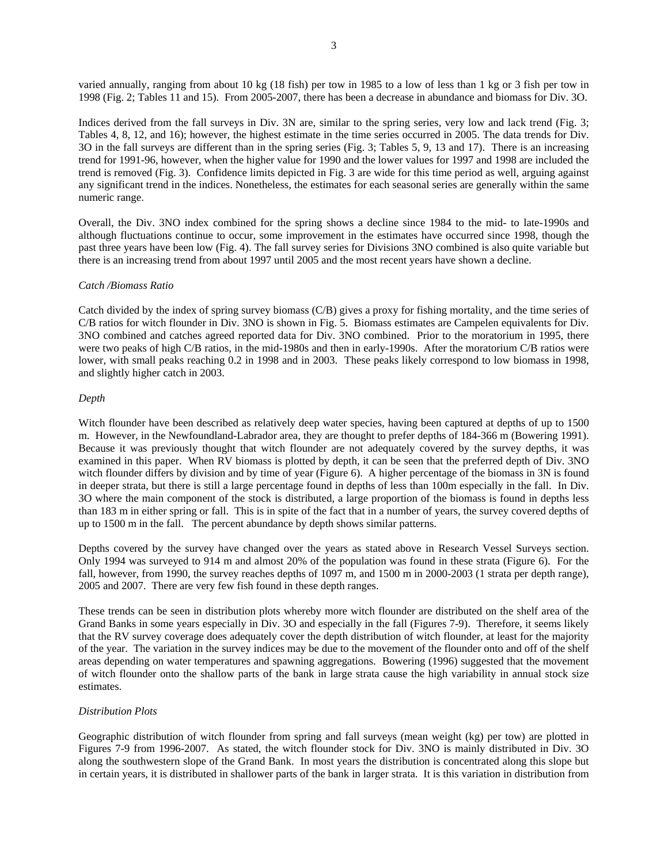varied annually, ranging from about 10 kg (18 fish) per tow in 1985 to a low of less than 1 kg or 3 fish per tow in 1998 (Fig. 2; Tables 11 and 15). From 2005-2007, there has been a decrease in abundance and biomass for Div. 3O.

Indices derived from the fall surveys in Div. 3N are, similar to the spring series, very low and lack trend (Fig. 3; Tables 4, 8, 12, and 16); however, the highest estimate in the time series occurred in 2005. The data trends for Div. 3O in the fall surveys are different than in the spring series (Fig. 3; Tables 5, 9, 13 and 17). There is an increasing trend for 1991-96, however, when the higher value for 1990 and the lower values for 1997 and 1998 are included the trend is removed (Fig. 3). Confidence limits depicted in Fig. 3 are wide for this time period as well, arguing against any significant trend in the indices. Nonetheless, the estimates for each seasonal series are generally within the same numeric range.

Overall, the Div. 3NO index combined for the spring shows a decline since 1984 to the mid- to late-1990s and although fluctuations continue to occur, some improvement in the estimates have occurred since 1998, though the past three years have been low (Fig. 4). The fall survey series for Divisions 3NO combined is also quite variable but there is an increasing trend from about 1997 until 2005 and the most recent years have shown a decline.

### *Catch /Biomass Ratio*

Catch divided by the index of spring survey biomass (C/B) gives a proxy for fishing mortality, and the time series of C/B ratios for witch flounder in Div. 3NO is shown in Fig. 5. Biomass estimates are Campelen equivalents for Div. 3NO combined and catches agreed reported data for Div. 3NO combined. Prior to the moratorium in 1995, there were two peaks of high C/B ratios, in the mid-1980s and then in early-1990s. After the moratorium C/B ratios were lower, with small peaks reaching 0.2 in 1998 and in 2003. These peaks likely correspond to low biomass in 1998, and slightly higher catch in 2003.

### *Depth*

Witch flounder have been described as relatively deep water species, having been captured at depths of up to 1500 m. However, in the Newfoundland-Labrador area, they are thought to prefer depths of 184-366 m (Bowering 1991). Because it was previously thought that witch flounder are not adequately covered by the survey depths, it was examined in this paper. When RV biomass is plotted by depth, it can be seen that the preferred depth of Div. 3NO witch flounder differs by division and by time of year (Figure 6). A higher percentage of the biomass in 3N is found in deeper strata, but there is still a large percentage found in depths of less than 100m especially in the fall. In Div. 3O where the main component of the stock is distributed, a large proportion of the biomass is found in depths less than 183 m in either spring or fall. This is in spite of the fact that in a number of years, the survey covered depths of up to 1500 m in the fall. The percent abundance by depth shows similar patterns.

Depths covered by the survey have changed over the years as stated above in Research Vessel Surveys section. Only 1994 was surveyed to 914 m and almost 20% of the population was found in these strata (Figure 6). For the fall, however, from 1990, the survey reaches depths of 1097 m, and 1500 m in 2000-2003 (1 strata per depth range), 2005 and 2007. There are very few fish found in these depth ranges.

These trends can be seen in distribution plots whereby more witch flounder are distributed on the shelf area of the Grand Banks in some years especially in Div. 3O and especially in the fall (Figures 7-9). Therefore, it seems likely that the RV survey coverage does adequately cover the depth distribution of witch flounder, at least for the majority of the year. The variation in the survey indices may be due to the movement of the flounder onto and off of the shelf areas depending on water temperatures and spawning aggregations. Bowering (1996) suggested that the movement of witch flounder onto the shallow parts of the bank in large strata cause the high variability in annual stock size estimates.

### *Distribution Plots*

Geographic distribution of witch flounder from spring and fall surveys (mean weight (kg) per tow) are plotted in Figures 7-9 from 1996-2007. As stated, the witch flounder stock for Div. 3NO is mainly distributed in Div. 3O along the southwestern slope of the Grand Bank. In most years the distribution is concentrated along this slope but in certain years, it is distributed in shallower parts of the bank in larger strata. It is this variation in distribution from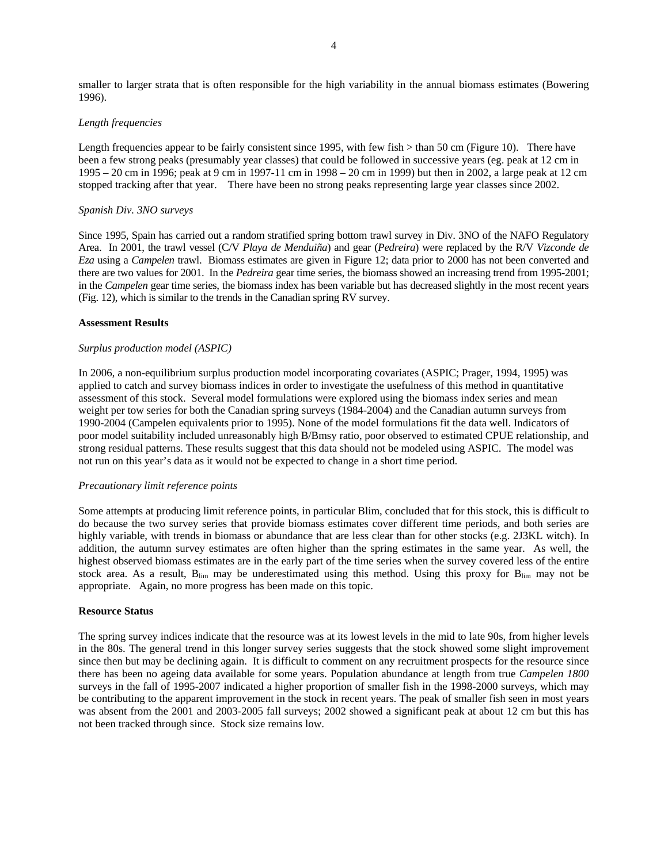smaller to larger strata that is often responsible for the high variability in the annual biomass estimates (Bowering 1996).

#### *Length frequencies*

Length frequencies appear to be fairly consistent since 1995, with few fish > than 50 cm (Figure 10). There have been a few strong peaks (presumably year classes) that could be followed in successive years (eg. peak at 12 cm in 1995 – 20 cm in 1996; peak at 9 cm in 1997-11 cm in 1998 – 20 cm in 1999) but then in 2002, a large peak at 12 cm stopped tracking after that year. There have been no strong peaks representing large year classes since 2002.

#### *Spanish Div. 3NO surveys*

Since 1995, Spain has carried out a random stratified spring bottom trawl survey in Div. 3NO of the NAFO Regulatory Area. In 2001, the trawl vessel (C/V *Playa de Menduiña*) and gear (*Pedreira*) were replaced by the R/V *Vizconde de Eza* using a *Campelen* trawl. Biomass estimates are given in Figure 12; data prior to 2000 has not been converted and there are two values for 2001. In the *Pedreira* gear time series, the biomass showed an increasing trend from 1995-2001; in the *Campelen* gear time series, the biomass index has been variable but has decreased slightly in the most recent years (Fig. 12), which is similar to the trends in the Canadian spring RV survey.

#### **Assessment Results**

#### *Surplus production model (ASPIC)*

In 2006, a non-equilibrium surplus production model incorporating covariates (ASPIC; Prager, 1994, 1995) was applied to catch and survey biomass indices in order to investigate the usefulness of this method in quantitative assessment of this stock. Several model formulations were explored using the biomass index series and mean weight per tow series for both the Canadian spring surveys (1984-2004) and the Canadian autumn surveys from 1990-2004 (Campelen equivalents prior to 1995). None of the model formulations fit the data well. Indicators of poor model suitability included unreasonably high B/Bmsy ratio, poor observed to estimated CPUE relationship, and strong residual patterns. These results suggest that this data should not be modeled using ASPIC. The model was not run on this year's data as it would not be expected to change in a short time period.

#### *Precautionary limit reference points*

Some attempts at producing limit reference points, in particular Blim, concluded that for this stock, this is difficult to do because the two survey series that provide biomass estimates cover different time periods, and both series are highly variable, with trends in biomass or abundance that are less clear than for other stocks (e.g. 2J3KL witch). In addition, the autumn survey estimates are often higher than the spring estimates in the same year. As well, the highest observed biomass estimates are in the early part of the time series when the survey covered less of the entire stock area. As a result,  $B_{lim}$  may be underestimated using this method. Using this proxy for  $B_{lim}$  may not be appropriate. Again, no more progress has been made on this topic.

### **Resource Status**

The spring survey indices indicate that the resource was at its lowest levels in the mid to late 90s, from higher levels in the 80s. The general trend in this longer survey series suggests that the stock showed some slight improvement since then but may be declining again. It is difficult to comment on any recruitment prospects for the resource since there has been no ageing data available for some years. Population abundance at length from true *Campelen 1800* surveys in the fall of 1995-2007 indicated a higher proportion of smaller fish in the 1998-2000 surveys, which may be contributing to the apparent improvement in the stock in recent years. The peak of smaller fish seen in most years was absent from the 2001 and 2003-2005 fall surveys; 2002 showed a significant peak at about 12 cm but this has not been tracked through since. Stock size remains low.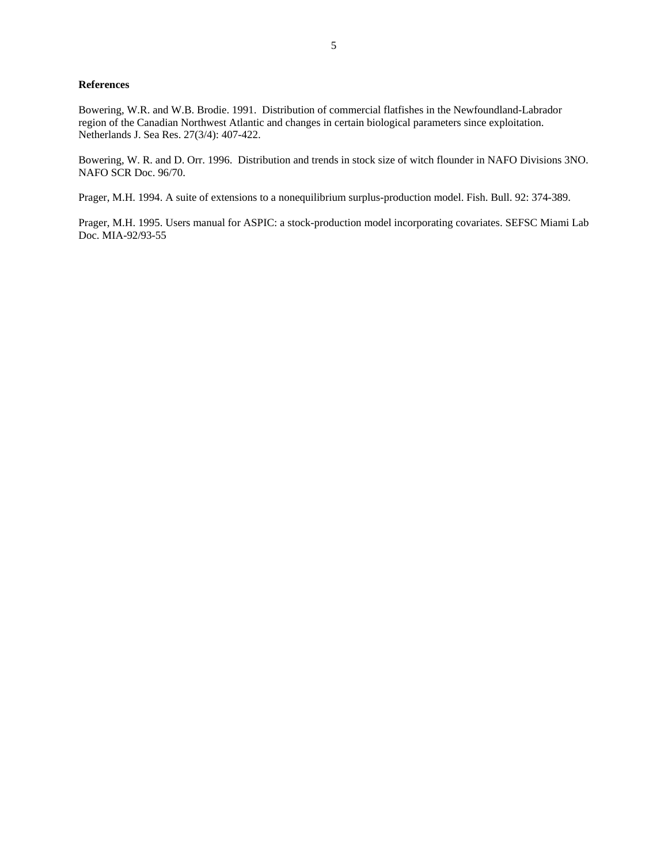# **References**

Bowering, W.R. and W.B. Brodie. 1991. Distribution of commercial flatfishes in the Newfoundland-Labrador region of the Canadian Northwest Atlantic and changes in certain biological parameters since exploitation. Netherlands J. Sea Res. 27(3/4): 407-422.

Bowering, W. R. and D. Orr. 1996. Distribution and trends in stock size of witch flounder in NAFO Divisions 3NO. NAFO SCR Doc. 96/70.

Prager, M.H. 1994. A suite of extensions to a nonequilibrium surplus-production model. Fish. Bull. 92: 374-389.

Prager, M.H. 1995. Users manual for ASPIC: a stock-production model incorporating covariates. SEFSC Miami Lab Doc. MIA-92/93-55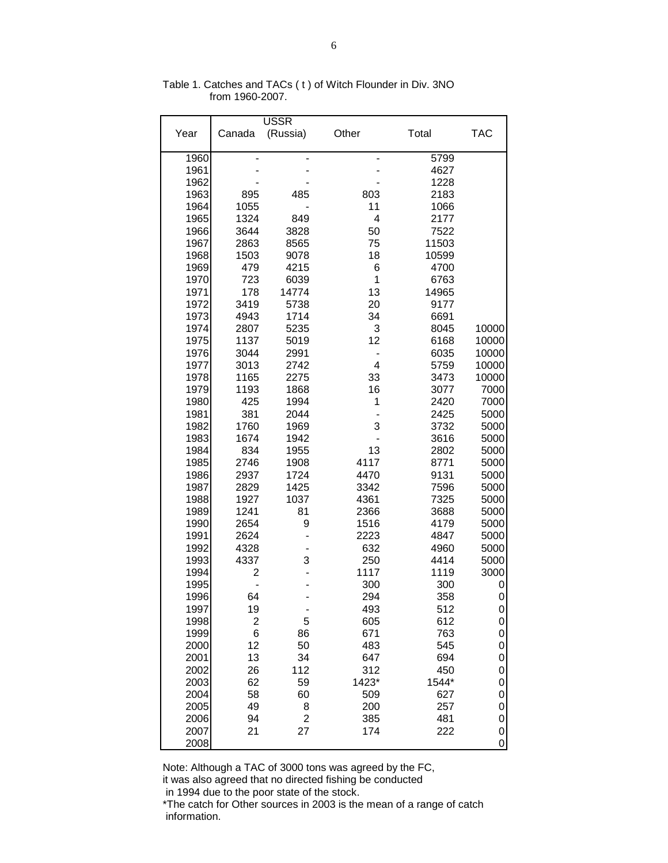|      |        | <b>USSR</b> |       |       |                     |
|------|--------|-------------|-------|-------|---------------------|
| Year | Canada | (Russia)    | Other | Total | <b>TAC</b>          |
| 1960 |        |             |       | 5799  |                     |
| 1961 |        |             |       | 4627  |                     |
| 1962 |        |             |       | 1228  |                     |
| 1963 | 895    | 485         | 803   | 2183  |                     |
| 1964 | 1055   |             | 11    | 1066  |                     |
| 1965 | 1324   | 849         | 4     | 2177  |                     |
| 1966 | 3644   | 3828        | 50    | 7522  |                     |
| 1967 | 2863   | 8565        | 75    | 11503 |                     |
| 1968 | 1503   | 9078        | 18    | 10599 |                     |
| 1969 | 479    | 4215        | 6     | 4700  |                     |
| 1970 | 723    | 6039        | 1     | 6763  |                     |
| 1971 | 178    | 14774       | 13    | 14965 |                     |
| 1972 | 3419   | 5738        | 20    | 9177  |                     |
| 1973 | 4943   | 1714        | 34    | 6691  |                     |
| 1974 | 2807   | 5235        | 3     | 8045  | 10000               |
| 1975 | 1137   | 5019        | 12    | 6168  | 10000               |
| 1976 | 3044   | 2991        | -     | 6035  | 10000               |
| 1977 | 3013   | 2742        | 4     | 5759  | 10000               |
| 1978 | 1165   | 2275        | 33    | 3473  | 10000               |
| 1979 | 1193   | 1868        | 16    | 3077  | 7000                |
| 1980 | 425    | 1994        | 1     | 2420  | 7000                |
| 1981 | 381    | 2044        |       | 2425  | 5000                |
| 1982 | 1760   | 1969        | 3     | 3732  | 5000                |
| 1983 | 1674   | 1942        |       | 3616  | 5000                |
| 1984 | 834    | 1955        | 13    | 2802  | 5000                |
| 1985 | 2746   | 1908        | 4117  | 8771  | 5000                |
| 1986 | 2937   | 1724        | 4470  | 9131  | 5000                |
| 1987 | 2829   | 1425        | 3342  | 7596  | 5000                |
| 1988 | 1927   | 1037        | 4361  | 7325  | 5000                |
| 1989 | 1241   | 81          | 2366  | 3688  | 5000                |
| 1990 | 2654   | 9           | 1516  | 4179  | 5000                |
| 1991 | 2624   |             | 2223  | 4847  | 5000                |
| 1992 | 4328   |             | 632   | 4960  | 5000                |
| 1993 | 4337   | 3           | 250   | 4414  | 5000                |
| 1994 | 2      |             | 1117  | 1119  | 3000                |
| 1995 |        |             | 300   | 300   | 0                   |
| 1996 | 64     |             | 294   | 358   | 0                   |
| 1997 | 19     |             | 493   | 512   | 0                   |
| 1998 | 2      | 5           | 605   | 612   | 0                   |
| 1999 | 6      | 86          | 671   | 763   | 0                   |
| 2000 | 12     | 50          | 483   | 545   | 0                   |
| 2001 | 13     | 34          | 647   | 694   | 0                   |
| 2002 | 26     | 112         | 312   | 450   | $\mathbf 0$         |
| 2003 | 62     | 59          | 1423* | 1544* | 0                   |
| 2004 | 58     | 60          | 509   | 627   | 0                   |
| 2005 | 49     | 8           | 200   | 257   | 0                   |
| 2006 | 94     | 2           | 385   | 481   | 0                   |
| 2007 | 21     | 27          | 174   | 222   | 0                   |
|      |        |             |       |       | $\mathsf{O}\xspace$ |
| 2008 |        |             |       |       |                     |

Table 1. Catches and TACs ( t ) of Witch Flounder in Div. 3NO from 1960-2007.

Note: Although a TAC of 3000 tons was agreed by the FC,

it was also agreed that no directed fishing be conducted

in 1994 due to the poor state of the stock.

\*The catch for Other sources in 2003 is the mean of a range of catch information.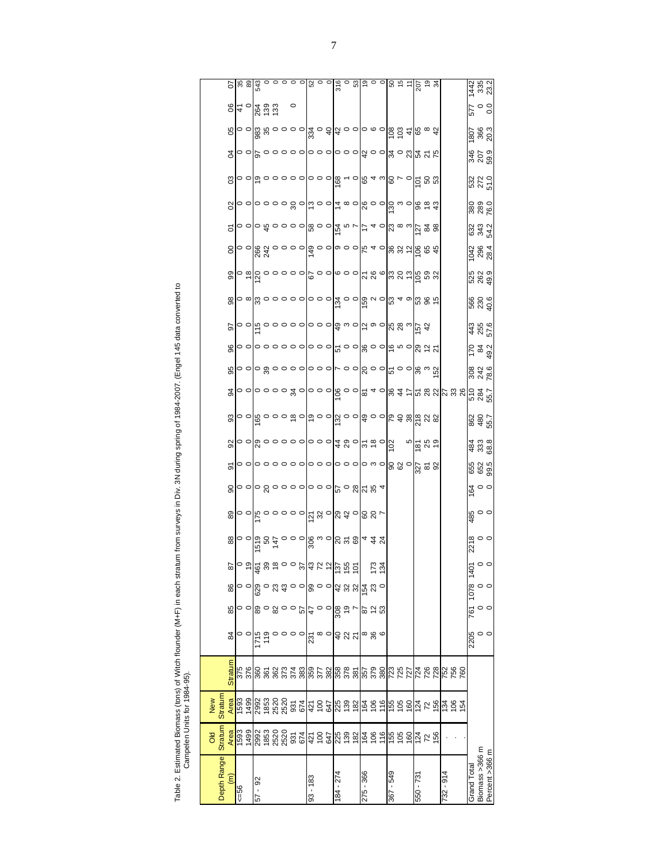| I                           |   |
|-----------------------------|---|
|                             |   |
|                             |   |
|                             | Ï |
| ı<br>I<br>י<br>آم<br>س<br>5 |   |

| Depth Range          | <b>Stratum</b><br><b>DIO</b>                                                                                                                                                                                                   | Stratur<br>New                                                                       |                                                                                                   |                                                                                                                                                                                                                                                                                                                       |                |                                                           |                                                                                                            |                                                                                                                                                                                                                                                                                                                     |                                                                                                                                                                                                                                                                                                                     |                                              |                    |                                       |                                                                                                                                                                                                                                                                                                                     |                    |                |                                                           |                                                                         |                                                                        |                                                  |                   |                                                                  |                 |                                               |                                                           |                              |                    |
|----------------------|--------------------------------------------------------------------------------------------------------------------------------------------------------------------------------------------------------------------------------|--------------------------------------------------------------------------------------|---------------------------------------------------------------------------------------------------|-----------------------------------------------------------------------------------------------------------------------------------------------------------------------------------------------------------------------------------------------------------------------------------------------------------------------|----------------|-----------------------------------------------------------|------------------------------------------------------------------------------------------------------------|---------------------------------------------------------------------------------------------------------------------------------------------------------------------------------------------------------------------------------------------------------------------------------------------------------------------|---------------------------------------------------------------------------------------------------------------------------------------------------------------------------------------------------------------------------------------------------------------------------------------------------------------------|----------------------------------------------|--------------------|---------------------------------------|---------------------------------------------------------------------------------------------------------------------------------------------------------------------------------------------------------------------------------------------------------------------------------------------------------------------|--------------------|----------------|-----------------------------------------------------------|-------------------------------------------------------------------------|------------------------------------------------------------------------|--------------------------------------------------|-------------------|------------------------------------------------------------------|-----------------|-----------------------------------------------|-----------------------------------------------------------|------------------------------|--------------------|
| $\widehat{\epsilon}$ | Area                                                                                                                                                                                                                           | Area                                                                                 | <b>Stratum</b>                                                                                    | 84                                                                                                                                                                                                                                                                                                                    | 85             | 86                                                        |                                                                                                            |                                                                                                                                                                                                                                                                                                                     | 89                                                                                                                                                                                                                                                                                                                  | 90                                           | 5                  |                                       |                                                                                                                                                                                                                                                                                                                     | 95                 | 96             | 50                                                        |                                                                         |                                                                        |                                                  | 5                 | 8                                                                | පි              | $\overline{5}$                                |                                                           |                              |                    |
| $56 = 5$             | 1593                                                                                                                                                                                                                           | <b>E6S</b>                                                                           |                                                                                                   |                                                                                                                                                                                                                                                                                                                       |                |                                                           |                                                                                                            |                                                                                                                                                                                                                                                                                                                     |                                                                                                                                                                                                                                                                                                                     |                                              |                    |                                       |                                                                                                                                                                                                                                                                                                                     |                    |                |                                                           |                                                                         |                                                                        |                                                  |                   |                                                                  |                 |                                               |                                                           |                              |                    |
|                      |                                                                                                                                                                                                                                |                                                                                      |                                                                                                   |                                                                                                                                                                                                                                                                                                                       |                |                                                           |                                                                                                            |                                                                                                                                                                                                                                                                                                                     |                                                                                                                                                                                                                                                                                                                     |                                              |                    |                                       |                                                                                                                                                                                                                                                                                                                     |                    |                |                                                           |                                                                         |                                                                        |                                                  |                   |                                                                  |                 |                                               |                                                           |                              |                    |
| 92<br>- 29           |                                                                                                                                                                                                                                |                                                                                      |                                                                                                   |                                                                                                                                                                                                                                                                                                                       |                |                                                           |                                                                                                            |                                                                                                                                                                                                                                                                                                                     |                                                                                                                                                                                                                                                                                                                     |                                              |                    |                                       |                                                                                                                                                                                                                                                                                                                     |                    |                |                                                           |                                                                         |                                                                        |                                                  |                   |                                                                  |                 |                                               |                                                           |                              |                    |
|                      |                                                                                                                                                                                                                                |                                                                                      | <u>និដ្ឋាន និងប្អូ</u> ន និ                                                                       | $\circ$ $\circ$ $\frac{1}{2}$ $\frac{1}{2}$ $\frac{1}{2}$ $\frac{1}{2}$ $\frac{1}{2}$ $\frac{1}{2}$ $\frac{1}{2}$ $\frac{1}{2}$ $\frac{1}{2}$ $\frac{1}{2}$ $\frac{1}{2}$ $\frac{1}{2}$ $\frac{1}{2}$ $\frac{1}{2}$ $\frac{1}{2}$ $\frac{1}{2}$ $\frac{1}{2}$ $\frac{1}{2}$ $\frac{1}{2}$ $\frac{1}{2}$ $\frac{1}{2}$ |                |                                                           |                                                                                                            |                                                                                                                                                                                                                                                                                                                     |                                                                                                                                                                                                                                                                                                                     |                                              |                    |                                       |                                                                                                                                                                                                                                                                                                                     |                    |                |                                                           |                                                                         |                                                                        |                                                  |                   |                                                                  |                 |                                               |                                                           | <mark>န္မွ ျဖစ္သ</mark> မွ အ |                    |
|                      |                                                                                                                                                                                                                                |                                                                                      |                                                                                                   |                                                                                                                                                                                                                                                                                                                       |                |                                                           |                                                                                                            |                                                                                                                                                                                                                                                                                                                     |                                                                                                                                                                                                                                                                                                                     |                                              |                    |                                       |                                                                                                                                                                                                                                                                                                                     |                    |                |                                                           |                                                                         |                                                                        |                                                  |                   |                                                                  |                 |                                               |                                                           |                              |                    |
|                      |                                                                                                                                                                                                                                |                                                                                      |                                                                                                   |                                                                                                                                                                                                                                                                                                                       |                |                                                           |                                                                                                            |                                                                                                                                                                                                                                                                                                                     |                                                                                                                                                                                                                                                                                                                     |                                              |                    |                                       |                                                                                                                                                                                                                                                                                                                     |                    |                |                                                           |                                                                         |                                                                        |                                                  |                   |                                                                  |                 |                                               |                                                           |                              |                    |
|                      |                                                                                                                                                                                                                                |                                                                                      |                                                                                                   |                                                                                                                                                                                                                                                                                                                       |                |                                                           |                                                                                                            |                                                                                                                                                                                                                                                                                                                     |                                                                                                                                                                                                                                                                                                                     |                                              |                    |                                       |                                                                                                                                                                                                                                                                                                                     |                    |                |                                                           |                                                                         |                                                                        |                                                  |                   |                                                                  |                 |                                               |                                                           | $\circ$                      |                    |
|                      |                                                                                                                                                                                                                                |                                                                                      |                                                                                                   |                                                                                                                                                                                                                                                                                                                       |                |                                                           |                                                                                                            |                                                                                                                                                                                                                                                                                                                     |                                                                                                                                                                                                                                                                                                                     |                                              |                    |                                       |                                                                                                                                                                                                                                                                                                                     |                    |                |                                                           |                                                                         |                                                                        |                                                  |                   |                                                                  |                 |                                               |                                                           |                              |                    |
| $93 - 183$           |                                                                                                                                                                                                                                |                                                                                      |                                                                                                   | $\frac{1}{23}$ $\frac{1}{2}$                                                                                                                                                                                                                                                                                          |                |                                                           |                                                                                                            |                                                                                                                                                                                                                                                                                                                     |                                                                                                                                                                                                                                                                                                                     |                                              |                    |                                       |                                                                                                                                                                                                                                                                                                                     |                    |                |                                                           |                                                                         |                                                                        |                                                  |                   |                                                                  |                 |                                               |                                                           |                              |                    |
|                      |                                                                                                                                                                                                                                |                                                                                      |                                                                                                   |                                                                                                                                                                                                                                                                                                                       |                |                                                           |                                                                                                            |                                                                                                                                                                                                                                                                                                                     |                                                                                                                                                                                                                                                                                                                     |                                              |                    |                                       |                                                                                                                                                                                                                                                                                                                     |                    |                |                                                           |                                                                         |                                                                        |                                                  |                   |                                                                  |                 |                                               |                                                           |                              |                    |
|                      |                                                                                                                                                                                                                                |                                                                                      |                                                                                                   |                                                                                                                                                                                                                                                                                                                       |                |                                                           |                                                                                                            |                                                                                                                                                                                                                                                                                                                     |                                                                                                                                                                                                                                                                                                                     |                                              |                    |                                       |                                                                                                                                                                                                                                                                                                                     |                    |                |                                                           |                                                                         |                                                                        |                                                  |                   |                                                                  |                 |                                               |                                                           |                              |                    |
| $84 - 274$           |                                                                                                                                                                                                                                |                                                                                      |                                                                                                   |                                                                                                                                                                                                                                                                                                                       |                |                                                           |                                                                                                            |                                                                                                                                                                                                                                                                                                                     |                                                                                                                                                                                                                                                                                                                     |                                              |                    |                                       |                                                                                                                                                                                                                                                                                                                     |                    |                |                                                           |                                                                         |                                                                        |                                                  |                   |                                                                  |                 |                                               |                                                           |                              |                    |
|                      | $(398)$ $(380)$ $(390)$ $(390)$ $(390)$ $(390)$ $(390)$ $(390)$ $(390)$ $(390)$ $(390)$ $(390)$ $(390)$ $(390)$ $(390)$ $(390)$ $(390)$ $(390)$ $(390)$ $(390)$ $(390)$ $(390)$ $(390)$ $(390)$ $(390)$ $(390)$ $(390)$ $(390$ |                                                                                      | $\frac{8}{5}$ $\frac{8}{5}$ $\frac{8}{5}$ $\frac{8}{5}$ $\frac{8}{5}$ $\frac{8}{5}$ $\frac{8}{5}$ | <b>ទ្</b> 25                                                                                                                                                                                                                                                                                                          |                | ၀ ၀စ္ပ္လြွ ၀ ဣ ဍ ၀ ၀စ္တြ ၀ ၀စ္ရြယ္က <mark>ၛ</mark> ွက္လ ၀ | <u> اوَّ عَيْرَ الْمَرْحَمَّةِ مِنْ الْمَرْحَمَّةِ مِنْ مَنْ الْمَرْحَمَّةِ مِنْ الْمَرْحَمَّةِ مِنْ م</u> | $\frac{1}{2}$ $\frac{1}{2}$ $\frac{1}{2}$ $\frac{1}{2}$ $\frac{1}{2}$ $\frac{1}{2}$ $\frac{1}{2}$ $\frac{1}{2}$ $\frac{1}{2}$ $\frac{1}{2}$ $\frac{1}{2}$ $\frac{1}{2}$ $\frac{1}{2}$ $\frac{1}{2}$ $\frac{1}{2}$ $\frac{1}{2}$ $\frac{1}{2}$ $\frac{1}{2}$ $\frac{1}{2}$ $\frac{1}{2}$ $\frac{1}{2}$ $\frac{1}{2}$ | $\frac{1}{2}$ $\frac{1}{2}$ $\frac{1}{2}$ $\frac{1}{2}$ $\frac{1}{2}$ $\frac{1}{2}$ $\frac{1}{2}$ $\frac{1}{2}$ $\frac{1}{2}$ $\frac{1}{2}$ $\frac{1}{2}$ $\frac{1}{2}$ $\frac{1}{2}$ $\frac{1}{2}$ $\frac{1}{2}$ $\frac{1}{2}$ $\frac{1}{2}$ $\frac{1}{2}$ $\frac{1}{2}$ $\frac{1}{2}$ $\frac{1}{2}$ $\frac{1}{2}$ | o olo 80000 olo o ol <sup>o o 8</sup> 14 % 4 |                    | 8 0 0 8 0 0 0 0 0 0 0 0 4 8 0 5 8 0 5 | $\frac{1}{2}$ $\frac{1}{2}$ $\frac{1}{2}$ $\frac{1}{2}$ $\frac{1}{2}$ $\frac{1}{2}$ $\frac{1}{2}$ $\frac{1}{2}$ $\frac{1}{2}$ $\frac{1}{2}$ $\frac{1}{2}$ $\frac{1}{2}$ $\frac{1}{2}$ $\frac{1}{2}$ $\frac{1}{2}$ $\frac{1}{2}$ $\frac{1}{2}$ $\frac{1}{2}$ $\frac{1}{2}$ $\frac{1}{2}$ $\frac{1}{2}$ $\frac{1}{2}$ |                    |                | ဝဝါပ္ ဝဝဝဝဝဝဝ ၁ ေမြွ က ဝပ္လြာ ဝ လြင္လ က <mark>က</mark> မွ | <u>ဆ</u> ိုဝ ∞ယ္လြဲ ဝ ဝ ဝ ဝ ဝ ဝ ဝ ဝ ဆို ဝ ဝ တြဲ ဂ ဝ လြဲ ႕ စက္တြဲ မွ ဆံု | <u>စ္တုိ အတြဲ ၁ ၁ ၁ ၁ ၂၉ ၁ ၁ ၉ ၁ ၁ ၉ ၃ ၉ ၇ မွာ မွာ မွာ မွာ မွာ မွာ</u> | 80 0 8 3 0 0 0 0 0 0 0 0 0 0 0 0 4 0 8 3 2 6 8 3 |                   | ဝ ဝ ဝ ဝ ဝ ဝ ဝ္က ဝ ာ ဝ ဝ ာ စ ဝ ၀္လ ဝ ဝ ဝ္က က ဝ ၀္တ <u>ဗ</u> ဗ္ ဒ္ |                 | ㅇㅇ ㅎㅇㅇㅇㅇㅇ ㅇㅇㅇ ㅇㅇㅇ 앜ㅇㅇ ㅊㅇ 있 <mark>ま ㅈ .</mark> | Roolo ဆိုက္က ေဝဝဝါဆို ဝ ဒါအ ဝဝါဝ စ ဝါဝွင္ ၁ ဆိုင္ဟာ အ အို |                              |                    |
|                      |                                                                                                                                                                                                                                |                                                                                      |                                                                                                   |                                                                                                                                                                                                                                                                                                                       |                |                                                           |                                                                                                            |                                                                                                                                                                                                                                                                                                                     |                                                                                                                                                                                                                                                                                                                     |                                              |                    |                                       |                                                                                                                                                                                                                                                                                                                     |                    |                |                                                           |                                                                         |                                                                        |                                                  |                   |                                                                  |                 |                                               |                                                           |                              |                    |
| 275 - 366            |                                                                                                                                                                                                                                |                                                                                      |                                                                                                   |                                                                                                                                                                                                                                                                                                                       | 87<br>02<br>53 |                                                           |                                                                                                            |                                                                                                                                                                                                                                                                                                                     |                                                                                                                                                                                                                                                                                                                     |                                              |                    |                                       |                                                                                                                                                                                                                                                                                                                     |                    |                |                                                           |                                                                         |                                                                        |                                                  |                   |                                                                  |                 |                                               |                                                           |                              |                    |
|                      |                                                                                                                                                                                                                                |                                                                                      |                                                                                                   | စ ဗွ ဖ                                                                                                                                                                                                                                                                                                                |                |                                                           |                                                                                                            |                                                                                                                                                                                                                                                                                                                     |                                                                                                                                                                                                                                                                                                                     |                                              |                    |                                       |                                                                                                                                                                                                                                                                                                                     |                    |                |                                                           |                                                                         |                                                                        |                                                  |                   |                                                                  |                 |                                               |                                                           |                              |                    |
|                      |                                                                                                                                                                                                                                |                                                                                      | 08<br>62<br>198                                                                                   |                                                                                                                                                                                                                                                                                                                       |                |                                                           |                                                                                                            |                                                                                                                                                                                                                                                                                                                     |                                                                                                                                                                                                                                                                                                                     |                                              |                    |                                       |                                                                                                                                                                                                                                                                                                                     |                    |                |                                                           |                                                                         |                                                                        |                                                  |                   |                                                                  |                 |                                               |                                                           |                              |                    |
| 367 - 549            |                                                                                                                                                                                                                                |                                                                                      |                                                                                                   |                                                                                                                                                                                                                                                                                                                       |                |                                                           |                                                                                                            |                                                                                                                                                                                                                                                                                                                     |                                                                                                                                                                                                                                                                                                                     |                                              |                    |                                       |                                                                                                                                                                                                                                                                                                                     |                    |                |                                                           |                                                                         |                                                                        |                                                  |                   |                                                                  |                 |                                               |                                                           |                              |                    |
|                      | 6990                                                                                                                                                                                                                           |                                                                                      | 723<br>725<br>727                                                                                 |                                                                                                                                                                                                                                                                                                                       |                |                                                           |                                                                                                            |                                                                                                                                                                                                                                                                                                                     |                                                                                                                                                                                                                                                                                                                     |                                              |                    |                                       |                                                                                                                                                                                                                                                                                                                     |                    |                |                                                           |                                                                         |                                                                        |                                                  |                   |                                                                  |                 |                                               |                                                           |                              |                    |
|                      |                                                                                                                                                                                                                                |                                                                                      |                                                                                                   |                                                                                                                                                                                                                                                                                                                       |                |                                                           |                                                                                                            |                                                                                                                                                                                                                                                                                                                     |                                                                                                                                                                                                                                                                                                                     |                                              |                    |                                       |                                                                                                                                                                                                                                                                                                                     |                    |                |                                                           |                                                                         |                                                                        |                                                  |                   |                                                                  |                 |                                               |                                                           |                              |                    |
| 550 - 731            | $\frac{724}{72}$                                                                                                                                                                                                               |                                                                                      |                                                                                                   |                                                                                                                                                                                                                                                                                                                       |                |                                                           |                                                                                                            |                                                                                                                                                                                                                                                                                                                     |                                                                                                                                                                                                                                                                                                                     |                                              |                    | $\frac{16}{18}$ 8 $\frac{16}{18}$     |                                                                                                                                                                                                                                                                                                                     |                    |                |                                                           |                                                                         |                                                                        |                                                  |                   |                                                                  |                 |                                               |                                                           |                              |                    |
|                      |                                                                                                                                                                                                                                |                                                                                      |                                                                                                   |                                                                                                                                                                                                                                                                                                                       |                |                                                           |                                                                                                            |                                                                                                                                                                                                                                                                                                                     |                                                                                                                                                                                                                                                                                                                     |                                              |                    |                                       |                                                                                                                                                                                                                                                                                                                     |                    |                |                                                           |                                                                         |                                                                        |                                                  |                   |                                                                  |                 |                                               |                                                           |                              |                    |
|                      |                                                                                                                                                                                                                                |                                                                                      |                                                                                                   |                                                                                                                                                                                                                                                                                                                       |                |                                                           |                                                                                                            |                                                                                                                                                                                                                                                                                                                     |                                                                                                                                                                                                                                                                                                                     |                                              |                    |                                       |                                                                                                                                                                                                                                                                                                                     |                    |                |                                                           |                                                                         |                                                                        |                                                  |                   |                                                                  |                 |                                               |                                                           |                              |                    |
| $732 - 914$          |                                                                                                                                                                                                                                | <u>ង្គាំង្គី ដូន ទី ដ្ឋា មិ និង្គី នៃ នាំង្គី ត្ថិ ត្ត ត្រូ ត្រូ និង្គី ដូន ត្ថិ</u> | 7888888                                                                                           |                                                                                                                                                                                                                                                                                                                       |                |                                                           |                                                                                                            |                                                                                                                                                                                                                                                                                                                     |                                                                                                                                                                                                                                                                                                                     |                                              |                    |                                       |                                                                                                                                                                                                                                                                                                                     |                    |                |                                                           |                                                                         |                                                                        |                                                  |                   |                                                                  |                 |                                               |                                                           |                              |                    |
|                      |                                                                                                                                                                                                                                |                                                                                      |                                                                                                   |                                                                                                                                                                                                                                                                                                                       |                |                                                           |                                                                                                            |                                                                                                                                                                                                                                                                                                                     |                                                                                                                                                                                                                                                                                                                     |                                              |                    |                                       |                                                                                                                                                                                                                                                                                                                     |                    |                |                                                           |                                                                         |                                                                        |                                                  |                   |                                                                  |                 |                                               |                                                           |                              |                    |
|                      |                                                                                                                                                                                                                                |                                                                                      |                                                                                                   |                                                                                                                                                                                                                                                                                                                       |                |                                                           |                                                                                                            |                                                                                                                                                                                                                                                                                                                     |                                                                                                                                                                                                                                                                                                                     |                                              |                    |                                       |                                                                                                                                                                                                                                                                                                                     |                    |                |                                                           |                                                                         |                                                                        |                                                  |                   |                                                                  |                 |                                               |                                                           |                              |                    |
| Grand Total          |                                                                                                                                                                                                                                |                                                                                      |                                                                                                   | 2205                                                                                                                                                                                                                                                                                                                  | 761            |                                                           | 500<br>$rac{4}{4}$                                                                                         | $\frac{278}{0}$                                                                                                                                                                                                                                                                                                     | 480                                                                                                                                                                                                                                                                                                                 | $rac{16}{4}$ 0 0                             |                    |                                       |                                                                                                                                                                                                                                                                                                                     | 9.87<br>242<br>208 |                |                                                           | 908<br>062<br>065                                                       | 525<br>262<br>49.9                                                     | 1042<br>296<br>28.4                              | 632<br>543<br>543 |                                                                  |                 |                                               |                                                           | $0.0$<br>2/19                |                    |
| Biomass >366 m       |                                                                                                                                                                                                                                |                                                                                      |                                                                                                   | $\circ$                                                                                                                                                                                                                                                                                                               |                | $\frac{1078}{9}$                                          |                                                                                                            |                                                                                                                                                                                                                                                                                                                     |                                                                                                                                                                                                                                                                                                                     |                                              | 652<br>683<br>99.5 | #33<br>#33                            | 862<br>480<br>55.7                                                                                                                                                                                                                                                                                                  |                    | 5 x 3<br>5 x 3 | 45<br>255<br>57.6                                         |                                                                         |                                                                        |                                                  |                   | 88<br>28<br>76.0                                                 | ន2<br>27 -<br>5 | 346<br>207<br>59.9                            | 1807<br>366<br>20.3                                       |                              | 142<br>335<br>23.2 |
| Percent >366 m       |                                                                                                                                                                                                                                |                                                                                      |                                                                                                   |                                                                                                                                                                                                                                                                                                                       |                |                                                           |                                                                                                            |                                                                                                                                                                                                                                                                                                                     |                                                                                                                                                                                                                                                                                                                     |                                              |                    |                                       |                                                                                                                                                                                                                                                                                                                     |                    |                |                                                           |                                                                         |                                                                        |                                                  |                   |                                                                  |                 |                                               |                                                           |                              |                    |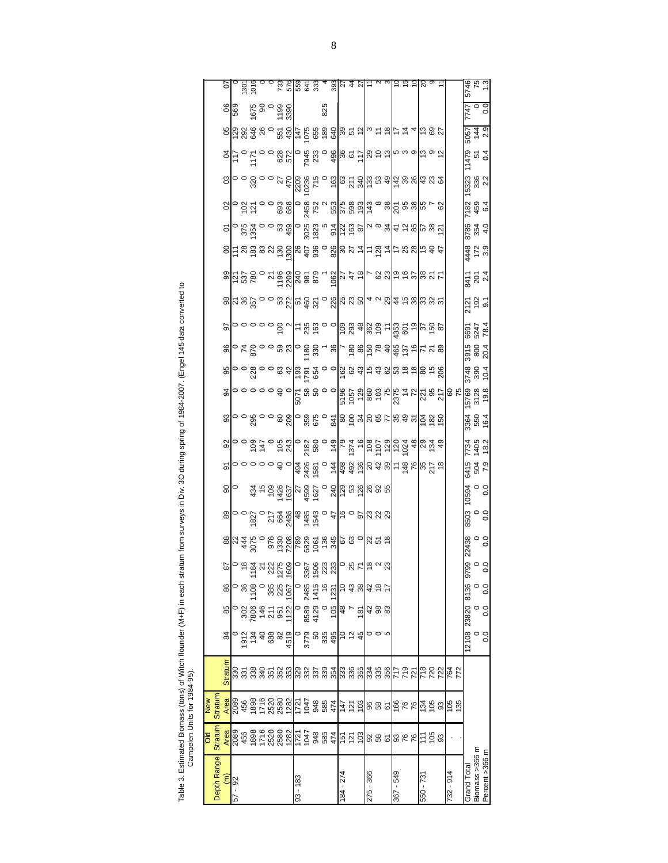| $\vdots$                        |        |
|---------------------------------|--------|
| į<br>$\frac{1}{2}$              |        |
| I.                              |        |
|                                 |        |
| i                               |        |
| $\ddot{ }$                      | ֚֓     |
| Ï<br> <br> <br> <br> <br>á<br>국 | j<br>5 |

| Depth Range                | <b>Stratum</b><br><b>DIO</b> | <b>Stratun</b><br><b>MeM</b>                              |                                                                                  |                                        |                           |                                                                                                                                                                                                                                                                                                                     |             |              |                                                                                                                                                                                                                                                                                            |                                                                                                                                                                                                                                                                                             |                    |                      |                                                                                                                                                                                                                                                                                                                     |                                                                                                                                                                                                                                                                                                                                                                                                                                                 |                                                                                                                                                                                                                      |                                                                                       |                                 |                                                                                                                                                                                                                                                                                                                     |                                                                                                                                                                                                     |                                                                                                                                                                                                                                                                                                                       |                   |                                                                                                                                                                                                                                                                                                           |                                                                                                                                                                                                                                                                                                                            |                                                 |                                                                                                          |                   |
|----------------------------|------------------------------|-----------------------------------------------------------|----------------------------------------------------------------------------------|----------------------------------------|---------------------------|---------------------------------------------------------------------------------------------------------------------------------------------------------------------------------------------------------------------------------------------------------------------------------------------------------------------|-------------|--------------|--------------------------------------------------------------------------------------------------------------------------------------------------------------------------------------------------------------------------------------------------------------------------------------------|---------------------------------------------------------------------------------------------------------------------------------------------------------------------------------------------------------------------------------------------------------------------------------------------|--------------------|----------------------|---------------------------------------------------------------------------------------------------------------------------------------------------------------------------------------------------------------------------------------------------------------------------------------------------------------------|-------------------------------------------------------------------------------------------------------------------------------------------------------------------------------------------------------------------------------------------------------------------------------------------------------------------------------------------------------------------------------------------------------------------------------------------------|----------------------------------------------------------------------------------------------------------------------------------------------------------------------------------------------------------------------|---------------------------------------------------------------------------------------|---------------------------------|---------------------------------------------------------------------------------------------------------------------------------------------------------------------------------------------------------------------------------------------------------------------------------------------------------------------|-----------------------------------------------------------------------------------------------------------------------------------------------------------------------------------------------------|-----------------------------------------------------------------------------------------------------------------------------------------------------------------------------------------------------------------------------------------------------------------------------------------------------------------------|-------------------|-----------------------------------------------------------------------------------------------------------------------------------------------------------------------------------------------------------------------------------------------------------------------------------------------------------|----------------------------------------------------------------------------------------------------------------------------------------------------------------------------------------------------------------------------------------------------------------------------------------------------------------------------|-------------------------------------------------|----------------------------------------------------------------------------------------------------------|-------------------|
|                            |                              |                                                           | <b>Stratum</b>                                                                   | $\overline{8}$                         | 85                        | 86                                                                                                                                                                                                                                                                                                                  |             |              |                                                                                                                                                                                                                                                                                            |                                                                                                                                                                                                                                                                                             |                    |                      |                                                                                                                                                                                                                                                                                                                     |                                                                                                                                                                                                                                                                                                                                                                                                                                                 |                                                                                                                                                                                                                      |                                                                                       |                                 |                                                                                                                                                                                                                                                                                                                     |                                                                                                                                                                                                     |                                                                                                                                                                                                                                                                                                                       |                   |                                                                                                                                                                                                                                                                                                           |                                                                                                                                                                                                                                                                                                                            |                                                 |                                                                                                          |                   |
| <mark>ିଥି</mark> ର<br>57 - |                              |                                                           |                                                                                  |                                        |                           |                                                                                                                                                                                                                                                                                                                     |             |              |                                                                                                                                                                                                                                                                                            |                                                                                                                                                                                                                                                                                             |                    |                      |                                                                                                                                                                                                                                                                                                                     |                                                                                                                                                                                                                                                                                                                                                                                                                                                 |                                                                                                                                                                                                                      |                                                                                       |                                 |                                                                                                                                                                                                                                                                                                                     |                                                                                                                                                                                                     |                                                                                                                                                                                                                                                                                                                       |                   |                                                                                                                                                                                                                                                                                                           |                                                                                                                                                                                                                                                                                                                            |                                                 |                                                                                                          |                   |
|                            |                              |                                                           |                                                                                  |                                        |                           |                                                                                                                                                                                                                                                                                                                     |             |              |                                                                                                                                                                                                                                                                                            |                                                                                                                                                                                                                                                                                             |                    |                      |                                                                                                                                                                                                                                                                                                                     |                                                                                                                                                                                                                                                                                                                                                                                                                                                 |                                                                                                                                                                                                                      |                                                                                       |                                 |                                                                                                                                                                                                                                                                                                                     |                                                                                                                                                                                                     |                                                                                                                                                                                                                                                                                                                       |                   |                                                                                                                                                                                                                                                                                                           |                                                                                                                                                                                                                                                                                                                            |                                                 |                                                                                                          |                   |
|                            |                              |                                                           |                                                                                  |                                        |                           |                                                                                                                                                                                                                                                                                                                     |             |              |                                                                                                                                                                                                                                                                                            |                                                                                                                                                                                                                                                                                             |                    |                      |                                                                                                                                                                                                                                                                                                                     |                                                                                                                                                                                                                                                                                                                                                                                                                                                 |                                                                                                                                                                                                                      |                                                                                       |                                 |                                                                                                                                                                                                                                                                                                                     |                                                                                                                                                                                                     |                                                                                                                                                                                                                                                                                                                       |                   |                                                                                                                                                                                                                                                                                                           |                                                                                                                                                                                                                                                                                                                            |                                                 |                                                                                                          |                   |
|                            |                              |                                                           |                                                                                  |                                        |                           |                                                                                                                                                                                                                                                                                                                     |             |              |                                                                                                                                                                                                                                                                                            |                                                                                                                                                                                                                                                                                             |                    |                      |                                                                                                                                                                                                                                                                                                                     |                                                                                                                                                                                                                                                                                                                                                                                                                                                 |                                                                                                                                                                                                                      |                                                                                       |                                 |                                                                                                                                                                                                                                                                                                                     |                                                                                                                                                                                                     |                                                                                                                                                                                                                                                                                                                       |                   |                                                                                                                                                                                                                                                                                                           |                                                                                                                                                                                                                                                                                                                            |                                                 |                                                                                                          |                   |
|                            |                              |                                                           |                                                                                  |                                        |                           |                                                                                                                                                                                                                                                                                                                     |             |              |                                                                                                                                                                                                                                                                                            |                                                                                                                                                                                                                                                                                             |                    |                      |                                                                                                                                                                                                                                                                                                                     |                                                                                                                                                                                                                                                                                                                                                                                                                                                 |                                                                                                                                                                                                                      |                                                                                       |                                 |                                                                                                                                                                                                                                                                                                                     |                                                                                                                                                                                                     |                                                                                                                                                                                                                                                                                                                       |                   |                                                                                                                                                                                                                                                                                                           |                                                                                                                                                                                                                                                                                                                            |                                                 |                                                                                                          |                   |
|                            |                              |                                                           |                                                                                  |                                        |                           |                                                                                                                                                                                                                                                                                                                     |             |              |                                                                                                                                                                                                                                                                                            |                                                                                                                                                                                                                                                                                             |                    |                      |                                                                                                                                                                                                                                                                                                                     |                                                                                                                                                                                                                                                                                                                                                                                                                                                 |                                                                                                                                                                                                                      |                                                                                       |                                 |                                                                                                                                                                                                                                                                                                                     |                                                                                                                                                                                                     |                                                                                                                                                                                                                                                                                                                       |                   |                                                                                                                                                                                                                                                                                                           |                                                                                                                                                                                                                                                                                                                            |                                                 |                                                                                                          |                   |
|                            |                              |                                                           | <u>និង ទី ទី ក៏ កូ កូនៅ និង មី ទី ទី កូនៅ កូន កូនៅ ទី ទី កូន កូន កូន កូន កូន</u> |                                        |                           | $\frac{1}{2}$ $\frac{1}{2}$ $\frac{1}{2}$ $\frac{1}{2}$ $\frac{1}{2}$ $\frac{1}{2}$ $\frac{1}{2}$ $\frac{1}{2}$ $\frac{1}{2}$ $\frac{1}{2}$ $\frac{1}{2}$ $\frac{1}{2}$ $\frac{1}{2}$ $\frac{1}{2}$ $\frac{1}{2}$ $\frac{1}{2}$ $\frac{1}{2}$ $\frac{1}{2}$ $\frac{1}{2}$ $\frac{1}{2}$ $\frac{1}{2}$ $\frac{1}{2}$ |             |              | $\frac{18}{100}$ 0 0 $\frac{17}{100}$ 0 $\frac{17}{100}$ 0 $\frac{17}{100}$ 0 $\frac{17}{100}$ 0 $\frac{17}{100}$ 0 $\frac{17}{100}$ 0 $\frac{17}{100}$ 0 $\frac{17}{100}$ 0 $\frac{17}{100}$ 0 $\frac{17}{100}$ 0 $\frac{17}{100}$ 0 $\frac{17}{100}$ 0 $\frac{17}{100}$ 0 $\frac{17}{10$ | $\frac{1}{30}$ $\frac{3}{4}$ $\frac{1}{20}$ $\frac{1}{20}$ $\frac{1}{20}$ $\frac{1}{20}$ $\frac{1}{20}$ $\frac{1}{20}$ $\frac{1}{20}$ $\frac{1}{20}$ $\frac{1}{20}$ $\frac{1}{20}$ $\frac{1}{20}$ $\frac{1}{20}$ $\frac{1}{20}$ $\frac{1}{20}$ $\frac{1}{20}$ $\frac{1}{20}$ $\frac{1}{20}$ |                    |                      | $\frac{1}{2}$ $\frac{1}{2}$ $\frac{1}{2}$ $\frac{1}{2}$ $\frac{1}{2}$ $\frac{1}{2}$ $\frac{1}{2}$ $\frac{1}{2}$ $\frac{1}{2}$ $\frac{1}{2}$ $\frac{1}{2}$ $\frac{1}{2}$ $\frac{1}{2}$ $\frac{1}{2}$ $\frac{1}{2}$ $\frac{1}{2}$ $\frac{1}{2}$ $\frac{1}{2}$ $\frac{1}{2}$ $\frac{1}{2}$ $\frac{1}{2}$ $\frac{1}{2}$ | <u> ရွိ</u> ေဝ ဗိ ၁ ၁ အ ဒု <u>ံခြံ ေ</u> အီ ၁ ၁ ခြံ အ ဒုံခြံ ဒုံ အတြင္ ေခါ့ဆံ ေခါ့                                                                                                                                                                                                                                                                                                                                                              | $S_{\text{S}}$ $\sim$ $S_{\text{S}}$ $\sim$ $S_{\text{S}}$ $\sim$ $S_{\text{S}}$ $\sim$ $S_{\text{S}}$ $\sim$ $S_{\text{S}}$ $\sim$ $S_{\text{S}}$ $\sim$ $S_{\text{S}}$ $\sim$ $S_{\text{S}}$ $\sim$ $S_{\text{S}}$ | <u>၉၀၀၀၀၀ ခ် <sub>ပ</sub>ြီး မွ စံ ၁၀</u> ၆ မွ န္မဖြဲ့ ခ် <u>= မြ</u> ွိမ္ ချမ္းမွ မွ |                                 | $\frac{1}{2}$ $\frac{1}{2}$ $\frac{1}{2}$ $\frac{1}{2}$ $\frac{1}{2}$ $\frac{1}{2}$ $\frac{1}{2}$ $\frac{1}{2}$ $\frac{1}{2}$ $\frac{1}{2}$ $\frac{1}{2}$ $\frac{1}{2}$ $\frac{1}{2}$ $\frac{1}{2}$ $\frac{1}{2}$ $\frac{1}{2}$ $\frac{1}{2}$ $\frac{1}{2}$ $\frac{1}{2}$ $\frac{1}{2}$ $\frac{1}{2}$ $\frac{1}{2}$ | $\leq$ $\frac{1}{2}$ $\leq$ $\frac{1}{2}$ $\leq$ $\frac{1}{2}$ $\leq$ $\frac{1}{2}$ $\leq$ $\frac{1}{2}$ $\leq$ $\leq$ $\frac{1}{2}$ $\leq$ $\leq$ $\frac{1}{2}$ $\leq$ $\leq$ $\leq$ $\frac{1}{2}$ | $\frac{1}{2}$   $\frac{1}{6}$ $\frac{1}{6}$ $\frac{1}{6}$ $\frac{1}{6}$ $\frac{1}{6}$ $\frac{1}{6}$ $\frac{1}{6}$ $\frac{1}{6}$ $\frac{1}{6}$ $\frac{1}{6}$ $\frac{1}{6}$ $\frac{1}{6}$ $\frac{1}{6}$ $\frac{1}{6}$ $\frac{1}{6}$ $\frac{1}{6}$ $\frac{1}{6}$ $\frac{1}{6}$ $\frac{1}{6}$ $\frac{1}{6}$ $\frac{1}{6}$ |                   | $\frac{1}{100}$ $\frac{1}{100}$ $\frac{1}{100}$ $\frac{1}{100}$ $\frac{1}{100}$ $\frac{1}{100}$ $\frac{1}{100}$ $\frac{1}{100}$ $\frac{1}{100}$ $\frac{1}{100}$ $\frac{1}{100}$ $\frac{1}{100}$ $\frac{1}{100}$ $\frac{1}{100}$ $\frac{1}{100}$ $\frac{1}{100}$ $\frac{1}{100}$ $\frac{1}{100}$ $\frac{1$ | $S$ $\left  \frac{1}{2}$ $\right $ $\frac{1}{2}$ $\frac{1}{2}$ $\frac{1}{2}$ $\frac{1}{2}$ $\frac{1}{2}$ $\frac{1}{2}$ $\frac{1}{2}$ $\frac{1}{2}$ $\frac{1}{2}$ $\frac{1}{2}$ $\frac{1}{2}$ $\frac{1}{2}$ $\frac{1}{2}$ $\frac{1}{2}$ $\frac{1}{2}$ $\frac{1}{2}$ $\frac{1}{2}$ $\frac{1}{2}$ $\frac{1}{2}$ $\frac{1}{2}$ | <u>pologia e de regista de de regista de se</u> | $\frac{8}{60}$<br>$\frac{8}{60}$<br>$\frac{8}{60}$<br>$\frac{8}{60}$<br>$\frac{8}{60}$<br>$\frac{8}{60}$ |                   |
| 83 - 183                   |                              |                                                           |                                                                                  |                                        |                           |                                                                                                                                                                                                                                                                                                                     |             |              |                                                                                                                                                                                                                                                                                            |                                                                                                                                                                                                                                                                                             |                    |                      |                                                                                                                                                                                                                                                                                                                     |                                                                                                                                                                                                                                                                                                                                                                                                                                                 |                                                                                                                                                                                                                      |                                                                                       |                                 |                                                                                                                                                                                                                                                                                                                     |                                                                                                                                                                                                     |                                                                                                                                                                                                                                                                                                                       |                   |                                                                                                                                                                                                                                                                                                           |                                                                                                                                                                                                                                                                                                                            |                                                 |                                                                                                          |                   |
|                            |                              |                                                           |                                                                                  |                                        |                           |                                                                                                                                                                                                                                                                                                                     |             |              |                                                                                                                                                                                                                                                                                            |                                                                                                                                                                                                                                                                                             |                    |                      |                                                                                                                                                                                                                                                                                                                     |                                                                                                                                                                                                                                                                                                                                                                                                                                                 |                                                                                                                                                                                                                      |                                                                                       |                                 |                                                                                                                                                                                                                                                                                                                     |                                                                                                                                                                                                     |                                                                                                                                                                                                                                                                                                                       |                   |                                                                                                                                                                                                                                                                                                           |                                                                                                                                                                                                                                                                                                                            |                                                 |                                                                                                          |                   |
|                            |                              |                                                           |                                                                                  |                                        |                           |                                                                                                                                                                                                                                                                                                                     |             |              |                                                                                                                                                                                                                                                                                            |                                                                                                                                                                                                                                                                                             |                    |                      |                                                                                                                                                                                                                                                                                                                     |                                                                                                                                                                                                                                                                                                                                                                                                                                                 |                                                                                                                                                                                                                      |                                                                                       |                                 |                                                                                                                                                                                                                                                                                                                     |                                                                                                                                                                                                     |                                                                                                                                                                                                                                                                                                                       |                   |                                                                                                                                                                                                                                                                                                           |                                                                                                                                                                                                                                                                                                                            |                                                 |                                                                                                          |                   |
|                            |                              |                                                           |                                                                                  |                                        |                           |                                                                                                                                                                                                                                                                                                                     |             |              |                                                                                                                                                                                                                                                                                            |                                                                                                                                                                                                                                                                                             |                    |                      |                                                                                                                                                                                                                                                                                                                     |                                                                                                                                                                                                                                                                                                                                                                                                                                                 |                                                                                                                                                                                                                      |                                                                                       |                                 |                                                                                                                                                                                                                                                                                                                     |                                                                                                                                                                                                     |                                                                                                                                                                                                                                                                                                                       |                   |                                                                                                                                                                                                                                                                                                           |                                                                                                                                                                                                                                                                                                                            |                                                 | 825                                                                                                      |                   |
|                            |                              |                                                           |                                                                                  |                                        |                           |                                                                                                                                                                                                                                                                                                                     |             |              |                                                                                                                                                                                                                                                                                            |                                                                                                                                                                                                                                                                                             |                    |                      |                                                                                                                                                                                                                                                                                                                     |                                                                                                                                                                                                                                                                                                                                                                                                                                                 |                                                                                                                                                                                                                      |                                                                                       |                                 |                                                                                                                                                                                                                                                                                                                     |                                                                                                                                                                                                     |                                                                                                                                                                                                                                                                                                                       |                   |                                                                                                                                                                                                                                                                                                           |                                                                                                                                                                                                                                                                                                                            |                                                 |                                                                                                          |                   |
| 184 - 274                  |                              |                                                           |                                                                                  |                                        | $rac{10}{9}$ $rac{40}{7}$ |                                                                                                                                                                                                                                                                                                                     |             |              |                                                                                                                                                                                                                                                                                            |                                                                                                                                                                                                                                                                                             |                    |                      |                                                                                                                                                                                                                                                                                                                     |                                                                                                                                                                                                                                                                                                                                                                                                                                                 |                                                                                                                                                                                                                      |                                                                                       |                                 |                                                                                                                                                                                                                                                                                                                     |                                                                                                                                                                                                     |                                                                                                                                                                                                                                                                                                                       |                   |                                                                                                                                                                                                                                                                                                           |                                                                                                                                                                                                                                                                                                                            |                                                 |                                                                                                          |                   |
|                            |                              |                                                           |                                                                                  |                                        |                           |                                                                                                                                                                                                                                                                                                                     |             |              |                                                                                                                                                                                                                                                                                            |                                                                                                                                                                                                                                                                                             |                    |                      |                                                                                                                                                                                                                                                                                                                     |                                                                                                                                                                                                                                                                                                                                                                                                                                                 |                                                                                                                                                                                                                      |                                                                                       |                                 |                                                                                                                                                                                                                                                                                                                     |                                                                                                                                                                                                     |                                                                                                                                                                                                                                                                                                                       |                   |                                                                                                                                                                                                                                                                                                           |                                                                                                                                                                                                                                                                                                                            |                                                 |                                                                                                          |                   |
|                            |                              |                                                           |                                                                                  |                                        | $\frac{18}{1}$            |                                                                                                                                                                                                                                                                                                                     |             |              |                                                                                                                                                                                                                                                                                            |                                                                                                                                                                                                                                                                                             |                    |                      |                                                                                                                                                                                                                                                                                                                     |                                                                                                                                                                                                                                                                                                                                                                                                                                                 |                                                                                                                                                                                                                      |                                                                                       |                                 |                                                                                                                                                                                                                                                                                                                     |                                                                                                                                                                                                     |                                                                                                                                                                                                                                                                                                                       |                   |                                                                                                                                                                                                                                                                                                           |                                                                                                                                                                                                                                                                                                                            |                                                 |                                                                                                          |                   |
| 275 - 366                  |                              |                                                           |                                                                                  |                                        |                           |                                                                                                                                                                                                                                                                                                                     |             |              |                                                                                                                                                                                                                                                                                            |                                                                                                                                                                                                                                                                                             |                    |                      |                                                                                                                                                                                                                                                                                                                     |                                                                                                                                                                                                                                                                                                                                                                                                                                                 |                                                                                                                                                                                                                      |                                                                                       |                                 |                                                                                                                                                                                                                                                                                                                     |                                                                                                                                                                                                     |                                                                                                                                                                                                                                                                                                                       |                   |                                                                                                                                                                                                                                                                                                           |                                                                                                                                                                                                                                                                                                                            |                                                 |                                                                                                          |                   |
|                            |                              |                                                           |                                                                                  | 0 0 10                                 | 483                       |                                                                                                                                                                                                                                                                                                                     |             |              |                                                                                                                                                                                                                                                                                            |                                                                                                                                                                                                                                                                                             |                    |                      |                                                                                                                                                                                                                                                                                                                     |                                                                                                                                                                                                                                                                                                                                                                                                                                                 |                                                                                                                                                                                                                      |                                                                                       |                                 |                                                                                                                                                                                                                                                                                                                     |                                                                                                                                                                                                     |                                                                                                                                                                                                                                                                                                                       |                   |                                                                                                                                                                                                                                                                                                           |                                                                                                                                                                                                                                                                                                                            |                                                 |                                                                                                          |                   |
|                            |                              |                                                           |                                                                                  |                                        |                           |                                                                                                                                                                                                                                                                                                                     |             |              |                                                                                                                                                                                                                                                                                            |                                                                                                                                                                                                                                                                                             |                    |                      |                                                                                                                                                                                                                                                                                                                     |                                                                                                                                                                                                                                                                                                                                                                                                                                                 |                                                                                                                                                                                                                      |                                                                                       |                                 |                                                                                                                                                                                                                                                                                                                     |                                                                                                                                                                                                     |                                                                                                                                                                                                                                                                                                                       |                   |                                                                                                                                                                                                                                                                                                           |                                                                                                                                                                                                                                                                                                                            |                                                 |                                                                                                          |                   |
| 367 - 549                  |                              |                                                           |                                                                                  |                                        |                           |                                                                                                                                                                                                                                                                                                                     |             |              |                                                                                                                                                                                                                                                                                            |                                                                                                                                                                                                                                                                                             |                    |                      |                                                                                                                                                                                                                                                                                                                     |                                                                                                                                                                                                                                                                                                                                                                                                                                                 |                                                                                                                                                                                                                      |                                                                                       |                                 |                                                                                                                                                                                                                                                                                                                     |                                                                                                                                                                                                     |                                                                                                                                                                                                                                                                                                                       |                   |                                                                                                                                                                                                                                                                                                           |                                                                                                                                                                                                                                                                                                                            |                                                 |                                                                                                          |                   |
|                            |                              |                                                           |                                                                                  |                                        |                           |                                                                                                                                                                                                                                                                                                                     |             |              |                                                                                                                                                                                                                                                                                            |                                                                                                                                                                                                                                                                                             |                    |                      |                                                                                                                                                                                                                                                                                                                     |                                                                                                                                                                                                                                                                                                                                                                                                                                                 |                                                                                                                                                                                                                      |                                                                                       |                                 |                                                                                                                                                                                                                                                                                                                     |                                                                                                                                                                                                     |                                                                                                                                                                                                                                                                                                                       |                   |                                                                                                                                                                                                                                                                                                           |                                                                                                                                                                                                                                                                                                                            |                                                 |                                                                                                          |                   |
|                            |                              |                                                           |                                                                                  |                                        |                           |                                                                                                                                                                                                                                                                                                                     |             |              |                                                                                                                                                                                                                                                                                            |                                                                                                                                                                                                                                                                                             |                    |                      |                                                                                                                                                                                                                                                                                                                     |                                                                                                                                                                                                                                                                                                                                                                                                                                                 |                                                                                                                                                                                                                      |                                                                                       |                                 |                                                                                                                                                                                                                                                                                                                     |                                                                                                                                                                                                     |                                                                                                                                                                                                                                                                                                                       |                   |                                                                                                                                                                                                                                                                                                           |                                                                                                                                                                                                                                                                                                                            |                                                 |                                                                                                          |                   |
| 550 - 731                  |                              |                                                           |                                                                                  |                                        |                           |                                                                                                                                                                                                                                                                                                                     |             |              |                                                                                                                                                                                                                                                                                            |                                                                                                                                                                                                                                                                                             |                    |                      |                                                                                                                                                                                                                                                                                                                     |                                                                                                                                                                                                                                                                                                                                                                                                                                                 |                                                                                                                                                                                                                      |                                                                                       |                                 |                                                                                                                                                                                                                                                                                                                     |                                                                                                                                                                                                     |                                                                                                                                                                                                                                                                                                                       |                   |                                                                                                                                                                                                                                                                                                           |                                                                                                                                                                                                                                                                                                                            |                                                 |                                                                                                          |                   |
|                            | 58                           |                                                           |                                                                                  |                                        |                           |                                                                                                                                                                                                                                                                                                                     |             |              |                                                                                                                                                                                                                                                                                            |                                                                                                                                                                                                                                                                                             |                    |                      |                                                                                                                                                                                                                                                                                                                     |                                                                                                                                                                                                                                                                                                                                                                                                                                                 |                                                                                                                                                                                                                      |                                                                                       |                                 |                                                                                                                                                                                                                                                                                                                     |                                                                                                                                                                                                     |                                                                                                                                                                                                                                                                                                                       |                   |                                                                                                                                                                                                                                                                                                           |                                                                                                                                                                                                                                                                                                                            |                                                 |                                                                                                          |                   |
|                            |                              |                                                           |                                                                                  |                                        |                           |                                                                                                                                                                                                                                                                                                                     |             |              |                                                                                                                                                                                                                                                                                            |                                                                                                                                                                                                                                                                                             |                    |                      |                                                                                                                                                                                                                                                                                                                     |                                                                                                                                                                                                                                                                                                                                                                                                                                                 |                                                                                                                                                                                                                      |                                                                                       |                                 |                                                                                                                                                                                                                                                                                                                     |                                                                                                                                                                                                     |                                                                                                                                                                                                                                                                                                                       |                   |                                                                                                                                                                                                                                                                                                           |                                                                                                                                                                                                                                                                                                                            |                                                 |                                                                                                          |                   |
| $732 - 914$                |                              | $\frac{5}{4}$ $\frac{5}{6}$ $\frac{25}{6}$ $\frac{25}{6}$ |                                                                                  |                                        |                           |                                                                                                                                                                                                                                                                                                                     |             |              |                                                                                                                                                                                                                                                                                            |                                                                                                                                                                                                                                                                                             |                    |                      |                                                                                                                                                                                                                                                                                                                     |                                                                                                                                                                                                                                                                                                                                                                                                                                                 |                                                                                                                                                                                                                      |                                                                                       |                                 |                                                                                                                                                                                                                                                                                                                     |                                                                                                                                                                                                     |                                                                                                                                                                                                                                                                                                                       |                   |                                                                                                                                                                                                                                                                                                           |                                                                                                                                                                                                                                                                                                                            |                                                 |                                                                                                          |                   |
|                            |                              |                                                           |                                                                                  |                                        |                           |                                                                                                                                                                                                                                                                                                                     |             |              |                                                                                                                                                                                                                                                                                            |                                                                                                                                                                                                                                                                                             |                    |                      |                                                                                                                                                                                                                                                                                                                     |                                                                                                                                                                                                                                                                                                                                                                                                                                                 |                                                                                                                                                                                                                      |                                                                                       |                                 |                                                                                                                                                                                                                                                                                                                     |                                                                                                                                                                                                     |                                                                                                                                                                                                                                                                                                                       |                   |                                                                                                                                                                                                                                                                                                           |                                                                                                                                                                                                                                                                                                                            |                                                 |                                                                                                          |                   |
| Grand Total                |                              |                                                           |                                                                                  | 0'0 0'0 0'0<br>0 0<br>9EL8 0Z8EZ 80LZL |                           |                                                                                                                                                                                                                                                                                                                     | 9790<br>0.0 | $0.0$<br>0.0 | 8503<br>0.0                                                                                                                                                                                                                                                                                | $0.0$<br>0.0                                                                                                                                                                                                                                                                                | 6415<br>504<br>7.9 | 7734<br>1405<br>18.2 | 3364<br>550<br>16.4                                                                                                                                                                                                                                                                                                 | 3748<br>390<br>390<br>3748<br>$\frac{10}{80} \circ \frac{10}{80} \circ \frac{10}{80} \circ \frac{10}{80} \circ \frac{10}{80} \circ \frac{10}{80} \circ \frac{10}{80} \circ \frac{10}{80} \circ \frac{10}{80} \circ \frac{10}{80} \circ \frac{10}{80} \circ \frac{10}{80} \circ \frac{10}{80} \circ \frac{10}{80} \circ \frac{10}{80} \circ \frac{10}{80} \circ \frac{10}{80} \circ \frac{10}{80} \circ \frac{10}{80} \circ \frac{10}{80} \circ$ | 3915<br>800<br>20.4                                                                                                                                                                                                  | 6691<br>5247<br>78.4                                                                  | 2<br>2<br>2<br>2<br>2<br>2<br>2 | $\frac{1}{3}$ $\frac{5}{3}$ $\frac{7}{3}$                                                                                                                                                                                                                                                                           | $rac{448}{172}$                                                                                                                                                                                     | 8786<br>354<br>4.0                                                                                                                                                                                                                                                                                                    | 782<br>459<br>6.4 | 15323<br>336<br>2.2                                                                                                                                                                                                                                                                                       | 1479<br>51<br>1479                                                                                                                                                                                                                                                                                                         | 5057<br>144<br>2.9                              | $\frac{0}{2}$                                                                                            | 5746<br>75<br>1.3 |
| Biomass >366 m             |                              |                                                           |                                                                                  |                                        |                           |                                                                                                                                                                                                                                                                                                                     |             |              |                                                                                                                                                                                                                                                                                            |                                                                                                                                                                                                                                                                                             |                    |                      |                                                                                                                                                                                                                                                                                                                     |                                                                                                                                                                                                                                                                                                                                                                                                                                                 |                                                                                                                                                                                                                      |                                                                                       |                                 |                                                                                                                                                                                                                                                                                                                     |                                                                                                                                                                                                     |                                                                                                                                                                                                                                                                                                                       |                   |                                                                                                                                                                                                                                                                                                           |                                                                                                                                                                                                                                                                                                                            |                                                 |                                                                                                          |                   |
| Percent >366 m             |                              |                                                           |                                                                                  |                                        |                           |                                                                                                                                                                                                                                                                                                                     |             |              |                                                                                                                                                                                                                                                                                            |                                                                                                                                                                                                                                                                                             |                    |                      |                                                                                                                                                                                                                                                                                                                     |                                                                                                                                                                                                                                                                                                                                                                                                                                                 |                                                                                                                                                                                                                      |                                                                                       |                                 |                                                                                                                                                                                                                                                                                                                     |                                                                                                                                                                                                     |                                                                                                                                                                                                                                                                                                                       |                   |                                                                                                                                                                                                                                                                                                           |                                                                                                                                                                                                                                                                                                                            |                                                 |                                                                                                          |                   |
|                            |                              |                                                           |                                                                                  |                                        |                           |                                                                                                                                                                                                                                                                                                                     |             |              |                                                                                                                                                                                                                                                                                            |                                                                                                                                                                                                                                                                                             |                    |                      |                                                                                                                                                                                                                                                                                                                     |                                                                                                                                                                                                                                                                                                                                                                                                                                                 |                                                                                                                                                                                                                      |                                                                                       |                                 |                                                                                                                                                                                                                                                                                                                     |                                                                                                                                                                                                     |                                                                                                                                                                                                                                                                                                                       |                   |                                                                                                                                                                                                                                                                                                           |                                                                                                                                                                                                                                                                                                                            |                                                 |                                                                                                          |                   |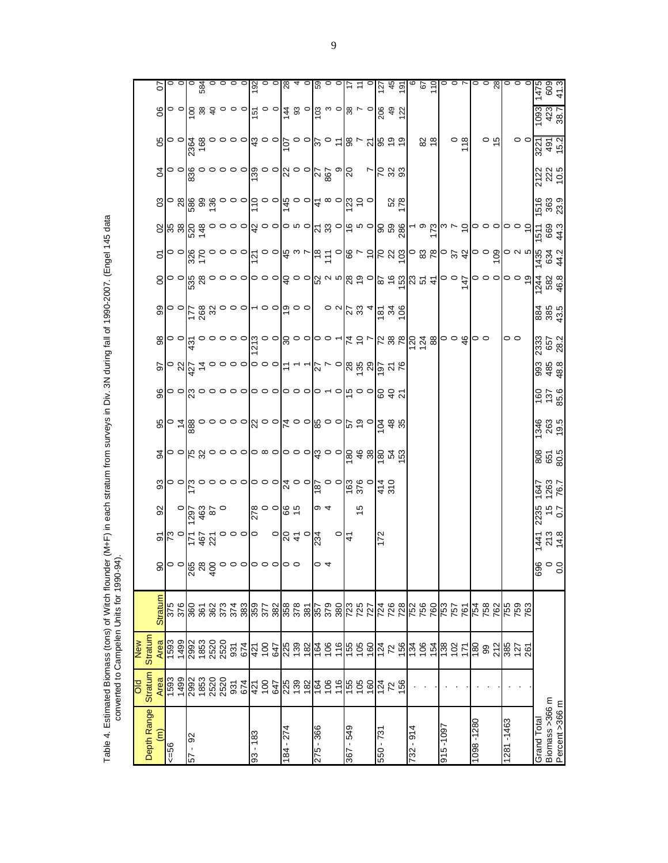|                               | <b>DIO</b>               | <b>New</b>        |                |                   |                                    |                     |                      |                   |                     |                                         |                    |                     |                                           |                                                                        |                     |                                                   |                                             |                                           |                 |                                                                                                                                   |                                                                                                                                                                                                                                      |
|-------------------------------|--------------------------|-------------------|----------------|-------------------|------------------------------------|---------------------|----------------------|-------------------|---------------------|-----------------------------------------|--------------------|---------------------|-------------------------------------------|------------------------------------------------------------------------|---------------------|---------------------------------------------------|---------------------------------------------|-------------------------------------------|-----------------|-----------------------------------------------------------------------------------------------------------------------------------|--------------------------------------------------------------------------------------------------------------------------------------------------------------------------------------------------------------------------------------|
| Depth Range                   | <b>Stratum</b>           | <b>Stratum</b>    |                |                   |                                    |                     |                      |                   |                     |                                         |                    |                     |                                           |                                                                        |                     |                                                   |                                             |                                           |                 |                                                                                                                                   |                                                                                                                                                                                                                                      |
| $\widehat{\epsilon}$          | Area                     | Area              | <b>Stratum</b> |                   |                                    | 95                  | 33                   | 34                | 95                  | 96                                      | 50                 | 88                  | 99                                        | 8                                                                      | 5                   |                                                   | 3                                           | S,                                        | 80              | 8                                                                                                                                 | 5                                                                                                                                                                                                                                    |
| $56 = 56$                     | <b>F93</b>               | 1593<br>1499      | 375<br>376     |                   |                                    |                     |                      |                   |                     |                                         |                    |                     |                                           | $\circ$                                                                |                     |                                                   |                                             |                                           |                 |                                                                                                                                   |                                                                                                                                                                                                                                      |
|                               | 1499                     |                   |                |                   |                                    | $\frac{1888}{2920}$ |                      |                   |                     |                                         |                    |                     |                                           |                                                                        |                     |                                                   |                                             |                                           | $\circ$ $\circ$ |                                                                                                                                   |                                                                                                                                                                                                                                      |
| 92<br>- 29                    |                          |                   |                |                   |                                    |                     |                      |                   |                     |                                         |                    |                     |                                           |                                                                        |                     |                                                   |                                             |                                           |                 |                                                                                                                                   |                                                                                                                                                                                                                                      |
|                               | 2992<br>1853             |                   | <b>L96</b>     |                   |                                    |                     |                      |                   |                     |                                         |                    |                     |                                           |                                                                        |                     |                                                   |                                             |                                           |                 |                                                                                                                                   |                                                                                                                                                                                                                                      |
|                               | 2520                     |                   |                |                   |                                    |                     |                      |                   |                     |                                         |                    |                     |                                           |                                                                        |                     |                                                   |                                             |                                           |                 |                                                                                                                                   |                                                                                                                                                                                                                                      |
|                               | 2520                     |                   |                |                   |                                    |                     |                      |                   |                     |                                         |                    |                     |                                           |                                                                        |                     |                                                   |                                             |                                           |                 |                                                                                                                                   |                                                                                                                                                                                                                                      |
|                               | 931                      | 931               |                |                   | <u>이 이 호</u> 효성<br>이 이 호 호 호 이 이 이 |                     |                      |                   |                     |                                         |                    |                     |                                           |                                                                        |                     |                                                   |                                             |                                           |                 |                                                                                                                                   |                                                                                                                                                                                                                                      |
|                               | 674                      | 674               |                |                   |                                    |                     |                      |                   |                     |                                         |                    |                     |                                           |                                                                        |                     |                                                   |                                             |                                           |                 |                                                                                                                                   |                                                                                                                                                                                                                                      |
| $-183$<br>93                  |                          |                   |                |                   |                                    |                     |                      |                   |                     |                                         |                    |                     |                                           |                                                                        |                     |                                                   |                                             |                                           |                 |                                                                                                                                   |                                                                                                                                                                                                                                      |
|                               | $rac{42}{400}$           | $1000$<br>$250$   |                |                   |                                    |                     |                      |                   |                     |                                         |                    |                     |                                           |                                                                        |                     |                                                   |                                             |                                           |                 |                                                                                                                                   |                                                                                                                                                                                                                                      |
|                               |                          |                   |                |                   |                                    |                     |                      |                   |                     |                                         |                    |                     |                                           |                                                                        |                     |                                                   |                                             |                                           |                 |                                                                                                                                   |                                                                                                                                                                                                                                      |
| 184 - 274                     | 225<br>139<br>182        | 225<br>139<br>182 |                |                   | $ 87 - 9 $                         |                     |                      |                   |                     |                                         |                    |                     |                                           |                                                                        |                     |                                                   |                                             |                                           |                 |                                                                                                                                   |                                                                                                                                                                                                                                      |
|                               |                          |                   |                |                   |                                    |                     |                      |                   |                     |                                         |                    |                     |                                           |                                                                        |                     |                                                   |                                             |                                           |                 |                                                                                                                                   |                                                                                                                                                                                                                                      |
|                               |                          |                   |                |                   |                                    |                     |                      |                   |                     |                                         |                    |                     |                                           |                                                                        |                     |                                                   |                                             |                                           |                 |                                                                                                                                   |                                                                                                                                                                                                                                      |
| 275 - 366                     |                          |                   |                | $\circ$ 4         | 234                                |                     |                      |                   |                     |                                         |                    |                     |                                           |                                                                        |                     |                                                   |                                             |                                           |                 |                                                                                                                                   |                                                                                                                                                                                                                                      |
|                               |                          |                   |                |                   |                                    | o 4                 |                      |                   |                     |                                         |                    |                     |                                           |                                                                        |                     |                                                   |                                             |                                           |                 |                                                                                                                                   |                                                                                                                                                                                                                                      |
|                               | $rac{16}{6}$ $rac{6}{6}$ | $\frac{164}{106}$ |                |                   | $\circ$                            |                     |                      |                   |                     |                                         |                    |                     |                                           |                                                                        |                     |                                                   |                                             |                                           |                 |                                                                                                                                   |                                                                                                                                                                                                                                      |
| 675 - 298                     | 09 0 L<br>90 L           | 155<br>105<br>150 |                |                   | $\ddot{t}$                         |                     |                      |                   |                     | ㅇㅇ  ਲ਼ ㅇㅇㅇㅇㅇ  ㅇㅇㅇ  ㅇㅇㅇ  ㅇㅜㅇ  ပㅇㅇ  응 ㅎ ½ |                    |                     | $\circ$ $\sim$ $\approx$ $\approx$ $\sim$ | ဖြစ္ပ ေဝ ဝ ဝ ဝ ဝ ဝ ခြ ဝ ဝ ယ္ကြ လ စစ္ပြဲ ေ ဝ ေ ေ အတြက္ အ <del>ဒ</del> ု |                     | ႙ႃႝၛၟၛၟၛၟၣၣၣၣၣၛႝၣၣၣၜၯၯၯၟၣ႞ၛၟၣ႞ၛၟၣၛၛၟၣၛၣၛၣၣၣၣၣၣၣၣၣ | <b> </b> တို့ဖြစ္တြင္က ေတြ႕ေတြ႕ ေတြ ေတြ ေတြ |                                           |                 | <u>o olô జ &amp; o o ol<math>\frac{15}{15}</math> o ol<math>\frac{15}{4}</math> జ olô ω olಙ レ ol⊗ a <math>\frac{5}{10}</math></u> | <u>o olo # o o o olø o olø 4 olø o ol<math>\frac{1}{2}</math> <math>\frac{1}{2}</math> o <math>\frac{1}{2}</math> a <math>\frac{5}{2}</math>lo <math>\frac{5}{2}</math> o o <math>\frac{1}{2}</math>o o <math>\frac{8}{2}</math></u> |
|                               |                          |                   |                |                   |                                    | 15                  |                      |                   |                     |                                         |                    |                     |                                           |                                                                        |                     |                                                   |                                             |                                           |                 |                                                                                                                                   |                                                                                                                                                                                                                                      |
|                               |                          |                   |                |                   |                                    |                     |                      |                   |                     |                                         |                    |                     |                                           |                                                                        |                     |                                                   |                                             | $\frac{1}{2}$ $\frac{1}{2}$ $\frac{1}{2}$ |                 |                                                                                                                                   |                                                                                                                                                                                                                                      |
| 550 - 731                     |                          |                   |                |                   | 172                                |                     |                      |                   |                     |                                         |                    |                     |                                           |                                                                        |                     |                                                   |                                             |                                           |                 |                                                                                                                                   |                                                                                                                                                                                                                                      |
|                               | $\frac{124}{72}$         | $\frac{74}{72}$   |                |                   |                                    |                     | 414<br>310           |                   |                     |                                         |                    |                     | $\frac{5}{8}$ $\frac{2}{8}$               |                                                                        |                     |                                                   |                                             |                                           |                 |                                                                                                                                   |                                                                                                                                                                                                                                      |
|                               |                          |                   |                |                   |                                    |                     |                      |                   |                     |                                         |                    |                     |                                           |                                                                        |                     |                                                   | $rac{52}{178}$                              |                                           |                 |                                                                                                                                   |                                                                                                                                                                                                                                      |
| 732 - 914                     |                          | $\frac{136}{156}$ |                |                   |                                    |                     |                      |                   |                     |                                         |                    |                     |                                           |                                                                        |                     |                                                   |                                             |                                           |                 |                                                                                                                                   |                                                                                                                                                                                                                                      |
|                               |                          |                   |                |                   |                                    |                     |                      |                   |                     |                                         |                    |                     |                                           |                                                                        |                     |                                                   |                                             |                                           | 280             |                                                                                                                                   |                                                                                                                                                                                                                                      |
|                               |                          |                   |                |                   |                                    |                     |                      |                   |                     |                                         |                    |                     |                                           |                                                                        |                     |                                                   |                                             |                                           |                 |                                                                                                                                   |                                                                                                                                                                                                                                      |
| 915-1097                      |                          | 138<br>107<br>171 |                |                   |                                    |                     |                      |                   |                     |                                         |                    |                     |                                           |                                                                        |                     |                                                   |                                             |                                           |                 |                                                                                                                                   |                                                                                                                                                                                                                                      |
|                               |                          |                   |                |                   |                                    |                     |                      |                   |                     |                                         |                    |                     |                                           |                                                                        |                     |                                                   |                                             |                                           | $rac{6}{10}$    |                                                                                                                                   |                                                                                                                                                                                                                                      |
|                               |                          |                   |                |                   |                                    |                     |                      |                   |                     |                                         |                    |                     |                                           |                                                                        |                     |                                                   |                                             |                                           |                 |                                                                                                                                   |                                                                                                                                                                                                                                      |
| 1098-1280                     |                          | 88                |                |                   |                                    |                     |                      |                   |                     |                                         |                    |                     |                                           |                                                                        |                     |                                                   |                                             |                                           |                 |                                                                                                                                   |                                                                                                                                                                                                                                      |
|                               |                          |                   |                |                   |                                    |                     |                      |                   |                     |                                         |                    |                     |                                           | $\frac{1}{2}$ $\frac{1}{2}$ $\frac{1}{2}$ $\frac{1}{2}$ $\frac{1}{2}$  |                     |                                                   |                                             |                                           | $\frac{5}{6}$   |                                                                                                                                   |                                                                                                                                                                                                                                      |
|                               |                          | $\frac{212}{385}$ |                |                   |                                    |                     |                      |                   |                     |                                         |                    |                     |                                           |                                                                        |                     |                                                   |                                             |                                           |                 |                                                                                                                                   |                                                                                                                                                                                                                                      |
| 1281-1463                     |                          |                   |                |                   |                                    |                     |                      |                   |                     |                                         |                    | 00                  |                                           | ုဝ ဝ စ္                                                                |                     |                                                   |                                             |                                           |                 |                                                                                                                                   | $\circ \circ \circ$                                                                                                                                                                                                                  |
|                               |                          | 127               |                |                   |                                    |                     |                      |                   |                     |                                         |                    |                     |                                           |                                                                        |                     |                                                   |                                             |                                           |                 |                                                                                                                                   |                                                                                                                                                                                                                                      |
|                               |                          | 261               |                |                   |                                    |                     |                      |                   |                     |                                         |                    |                     |                                           |                                                                        |                     |                                                   |                                             |                                           | $\circ$         |                                                                                                                                   |                                                                                                                                                                                                                                      |
| Biomass >366 m<br>Grand Total |                          |                   |                | $\frac{8}{6}$ o o | 1441                               | 2235                | 1647<br>1263<br>76.7 | 808<br>651<br>805 | 1346<br>263<br>19.5 | 160<br>137<br>85.6                      | 895<br>485<br>48.8 | 2333<br>657<br>28.2 | 885<br>385<br>43.5                        | $\frac{1588}{483}$                                                     | 1435<br>634<br>14.2 | $\frac{69}{609}$                                  | 1516<br>363<br>23.9                         | 2122<br>222<br>10.5                       | 3221            | 1093<br>423<br>38.7                                                                                                               | 1475<br>609<br>41.3                                                                                                                                                                                                                  |
| Percent >366 m                |                          |                   |                |                   | $213$<br>$14.8$                    | $^{75}_{0.7}$       |                      |                   |                     |                                         |                    |                     |                                           |                                                                        |                     |                                                   |                                             |                                           | 491<br>15.2     |                                                                                                                                   |                                                                                                                                                                                                                                      |
|                               |                          |                   |                |                   |                                    |                     |                      |                   |                     |                                         |                    |                     |                                           |                                                                        |                     |                                                   |                                             |                                           |                 |                                                                                                                                   |                                                                                                                                                                                                                                      |

Table 4. Estimated Biomass (tons) of Witch flounder (M+F) in each stratum from surveys in Div. 3N during fall of 1990-2007. (Engel 145 data<br>converted to Campelen Units for 1990-94). Table 4. Estimated Biomass (tons) of Witch flounder (M+F) in each stratum from surveys in Div. 3N during fall of 1990-2007. (Engel 145 data converted to Campelen Units for 1990-94).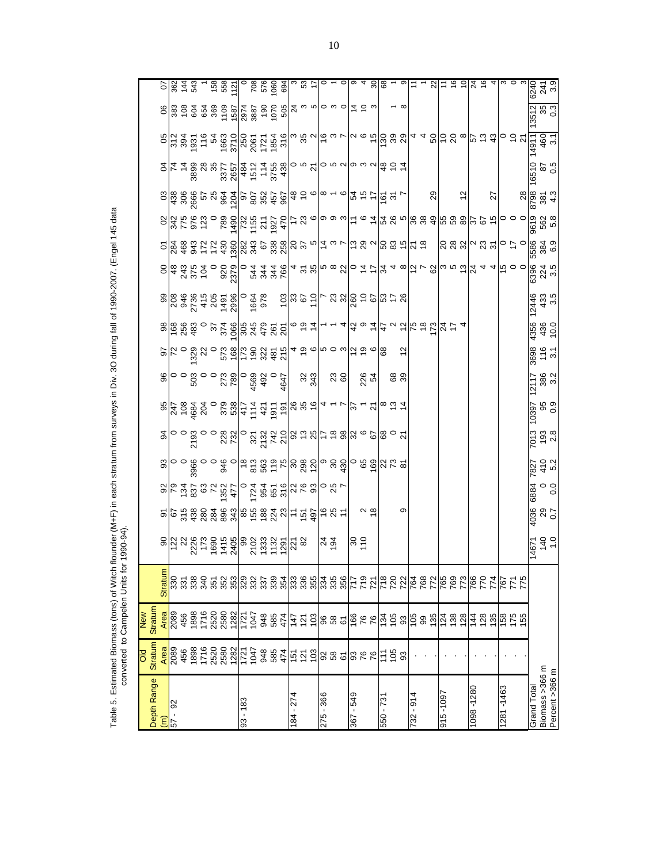| Depth Range                   | <b>Stratum</b><br><b>DIO</b>                                                                    | Stratum<br>New |                 |                                                                                                                                                                                                                                                                                                                     |                                         |                                                                                                                                                                                                                                                                                                                     |                    |                                                                                                                                                                                                                                                                                                                     |                                                                                                                                                                                                                                                                                                                     |                     |                    |                     |                                                                                                                                                                                                                                                                                                                     |                                                                                                                                                                                                                                                                                                                       |                                                                                                                                                                                                                                                                                                                                                                                                                                                                                                                                                                                                      |                                                                                         |                                                                                                                                                                                                                                                                                               |                                                                                                                                                                                                                                                                                                             |                                                                                                                                                                                                                                                                                                                     |                    |                                                                                                                                                                                                                                                                                                                      |
|-------------------------------|-------------------------------------------------------------------------------------------------|----------------|-----------------|---------------------------------------------------------------------------------------------------------------------------------------------------------------------------------------------------------------------------------------------------------------------------------------------------------------------|-----------------------------------------|---------------------------------------------------------------------------------------------------------------------------------------------------------------------------------------------------------------------------------------------------------------------------------------------------------------------|--------------------|---------------------------------------------------------------------------------------------------------------------------------------------------------------------------------------------------------------------------------------------------------------------------------------------------------------------|---------------------------------------------------------------------------------------------------------------------------------------------------------------------------------------------------------------------------------------------------------------------------------------------------------------------|---------------------|--------------------|---------------------|---------------------------------------------------------------------------------------------------------------------------------------------------------------------------------------------------------------------------------------------------------------------------------------------------------------------|-----------------------------------------------------------------------------------------------------------------------------------------------------------------------------------------------------------------------------------------------------------------------------------------------------------------------|------------------------------------------------------------------------------------------------------------------------------------------------------------------------------------------------------------------------------------------------------------------------------------------------------------------------------------------------------------------------------------------------------------------------------------------------------------------------------------------------------------------------------------------------------------------------------------------------------|-----------------------------------------------------------------------------------------|-----------------------------------------------------------------------------------------------------------------------------------------------------------------------------------------------------------------------------------------------------------------------------------------------|-------------------------------------------------------------------------------------------------------------------------------------------------------------------------------------------------------------------------------------------------------------------------------------------------------------|---------------------------------------------------------------------------------------------------------------------------------------------------------------------------------------------------------------------------------------------------------------------------------------------------------------------|--------------------|----------------------------------------------------------------------------------------------------------------------------------------------------------------------------------------------------------------------------------------------------------------------------------------------------------------------|
|                               |                                                                                                 | Area           | <b>Straturr</b> |                                                                                                                                                                                                                                                                                                                     |                                         |                                                                                                                                                                                                                                                                                                                     |                    |                                                                                                                                                                                                                                                                                                                     |                                                                                                                                                                                                                                                                                                                     |                     |                    |                     |                                                                                                                                                                                                                                                                                                                     |                                                                                                                                                                                                                                                                                                                       |                                                                                                                                                                                                                                                                                                                                                                                                                                                                                                                                                                                                      |                                                                                         |                                                                                                                                                                                                                                                                                               |                                                                                                                                                                                                                                                                                                             |                                                                                                                                                                                                                                                                                                                     |                    |                                                                                                                                                                                                                                                                                                                      |
| 92                            | <mark>ន</mark> ្ទ្រីន្ទ ឌូ ឌូ ឌូ ឌូ ឌូ ឌូ ដូ ដូ ឌូ ឌូ ឌូ ដូ ដូ គូ ន្ទ ឌូ ឌូ ឌូ ឌូ ឌូ ឌូ ឌូ ឌូ ឌ |                |                 | $\frac{1}{2}$ $\frac{1}{2}$ $\frac{1}{2}$ $\frac{1}{2}$ $\frac{1}{2}$ $\frac{1}{2}$ $\frac{1}{2}$ $\frac{1}{2}$ $\frac{1}{2}$ $\frac{1}{2}$ $\frac{1}{2}$ $\frac{1}{2}$ $\frac{1}{2}$ $\frac{1}{2}$ $\frac{1}{2}$ $\frac{1}{2}$ $\frac{1}{2}$ $\frac{1}{2}$ $\frac{1}{2}$ $\frac{1}{2}$ $\frac{1}{2}$ $\frac{1}{2}$ | <u>이후 음성 영화 영화 중 중 영화 이는 후 회능 없 =  </u> | $\frac{1}{2}$ $\frac{1}{2}$ $\frac{1}{2}$ $\frac{1}{2}$ $\frac{1}{2}$ $\frac{1}{2}$ $\frac{1}{2}$ $\frac{1}{2}$ $\frac{1}{2}$ $\frac{1}{2}$ $\frac{1}{2}$ $\frac{1}{2}$ $\frac{1}{2}$ $\frac{1}{2}$ $\frac{1}{2}$ $\frac{1}{2}$ $\frac{1}{2}$ $\frac{1}{2}$ $\frac{1}{2}$ $\frac{1}{2}$ $\frac{1}{2}$ $\frac{1}{2}$ |                    | $\frac{1}{2}$ $\frac{1}{2}$ $\frac{1}{2}$ $\frac{1}{2}$ $\frac{1}{2}$ $\frac{1}{2}$ $\frac{1}{2}$ $\frac{1}{2}$ $\frac{1}{2}$ $\frac{1}{2}$ $\frac{1}{2}$ $\frac{1}{2}$ $\frac{1}{2}$ $\frac{1}{2}$ $\frac{1}{2}$ $\frac{1}{2}$ $\frac{1}{2}$ $\frac{1}{2}$ $\frac{1}{2}$ $\frac{1}{2}$ $\frac{1}{2}$ $\frac{1}{2}$ | $\frac{1}{8}$ $\frac{1}{8}$ $\frac{1}{8}$ $\frac{1}{8}$ $\frac{1}{8}$ $\frac{1}{8}$ $\frac{1}{8}$ $\frac{1}{8}$ $\frac{1}{8}$ $\frac{1}{8}$ $\frac{1}{8}$ $\frac{1}{8}$ $\frac{1}{8}$ $\frac{1}{8}$ $\frac{1}{8}$ $\frac{1}{8}$ $\frac{1}{8}$ $\frac{1}{8}$ $\frac{1}{8}$ $\frac{1}{8}$ $\frac{1}{8}$ $\frac{1}{8}$ | $\frac{1}{2}$       |                    |                     | $\frac{1}{2}$ $\frac{1}{2}$ $\frac{1}{2}$ $\frac{1}{2}$ $\frac{1}{2}$ $\frac{1}{2}$ $\frac{1}{2}$ $\frac{1}{2}$ $\frac{1}{2}$ $\frac{1}{2}$ $\frac{1}{2}$ $\frac{1}{2}$ $\frac{1}{2}$ $\frac{1}{2}$ $\frac{1}{2}$ $\frac{1}{2}$ $\frac{1}{2}$ $\frac{1}{2}$ $\frac{1}{2}$ $\frac{1}{2}$ $\frac{1}{2}$ $\frac{1}{2}$ |                                                                                                                                                                                                                                                                                                                       | $\mathcal{P} = \left  \begin{matrix} \frac{\partial \mathcal{P}}{\partial x} & \frac{\partial \mathcal{P}}{\partial y} & \frac{\partial \mathcal{P}}{\partial z} \end{matrix} \right  \geq \mathcal{P} = \left  \begin{matrix} \frac{\partial \mathcal{P}}{\partial x} & \frac{\partial \mathcal{P}}{\partial y} & \frac{\partial \mathcal{P}}{\partial z} \end{matrix} \right  \geq \mathcal{P} = \left  \begin{matrix} \frac{\partial \mathcal{P}}{\partial x} & \frac{\partial \mathcal{P}}{\partial y} & \frac{\partial \mathcal{P}}{\partial z} \end{matrix} \right  \geq \mathcal{P} = \left $ |                                                                                         | $\frac{1}{2}$ and $\frac{1}{2}$ and $\frac{1}{2}$ and $\frac{1}{2}$ and $\frac{1}{2}$ and $\frac{1}{2}$ and $\frac{1}{2}$ and $\frac{1}{2}$ and $\frac{1}{2}$ and $\frac{1}{2}$ and $\frac{1}{2}$ and $\frac{1}{2}$ and $\frac{1}{2}$ and $\frac{1}{2}$ and $\frac{1}{2}$ and $\frac{1}{2}$ a | $a\frac{1}{2}$ $a\frac{3}{2}$ $a\frac{3}{2}$ $a\frac{3}{2}$ $a\frac{3}{2}$ $a\frac{3}{2}$ $a\frac{3}{2}$ $a\frac{3}{2}$ $a\frac{3}{2}$ $a\frac{3}{2}$ $a\frac{3}{2}$ $a\frac{3}{2}$ $a\frac{3}{2}$ $a\frac{3}{2}$ $a\frac{3}{2}$ $a\frac{3}{2}$ $a\frac{3}{2}$ $a\frac{3}{2}$ $a\frac{3}{2}$ $a\frac{3}{2}$ |                                                                                                                                                                                                                                                                                                                     |                    |                                                                                                                                                                                                                                                                                                                      |
|                               |                                                                                                 |                |                 |                                                                                                                                                                                                                                                                                                                     |                                         |                                                                                                                                                                                                                                                                                                                     |                    |                                                                                                                                                                                                                                                                                                                     |                                                                                                                                                                                                                                                                                                                     |                     |                    |                     |                                                                                                                                                                                                                                                                                                                     |                                                                                                                                                                                                                                                                                                                       |                                                                                                                                                                                                                                                                                                                                                                                                                                                                                                                                                                                                      |                                                                                         |                                                                                                                                                                                                                                                                                               |                                                                                                                                                                                                                                                                                                             |                                                                                                                                                                                                                                                                                                                     |                    |                                                                                                                                                                                                                                                                                                                      |
|                               |                                                                                                 |                |                 |                                                                                                                                                                                                                                                                                                                     |                                         |                                                                                                                                                                                                                                                                                                                     |                    |                                                                                                                                                                                                                                                                                                                     |                                                                                                                                                                                                                                                                                                                     |                     |                    |                     |                                                                                                                                                                                                                                                                                                                     |                                                                                                                                                                                                                                                                                                                       |                                                                                                                                                                                                                                                                                                                                                                                                                                                                                                                                                                                                      |                                                                                         |                                                                                                                                                                                                                                                                                               |                                                                                                                                                                                                                                                                                                             |                                                                                                                                                                                                                                                                                                                     |                    |                                                                                                                                                                                                                                                                                                                      |
|                               |                                                                                                 |                |                 |                                                                                                                                                                                                                                                                                                                     |                                         |                                                                                                                                                                                                                                                                                                                     |                    |                                                                                                                                                                                                                                                                                                                     |                                                                                                                                                                                                                                                                                                                     |                     |                    |                     |                                                                                                                                                                                                                                                                                                                     |                                                                                                                                                                                                                                                                                                                       |                                                                                                                                                                                                                                                                                                                                                                                                                                                                                                                                                                                                      |                                                                                         |                                                                                                                                                                                                                                                                                               |                                                                                                                                                                                                                                                                                                             |                                                                                                                                                                                                                                                                                                                     |                    |                                                                                                                                                                                                                                                                                                                      |
|                               |                                                                                                 |                |                 |                                                                                                                                                                                                                                                                                                                     |                                         |                                                                                                                                                                                                                                                                                                                     |                    |                                                                                                                                                                                                                                                                                                                     |                                                                                                                                                                                                                                                                                                                     |                     |                    |                     |                                                                                                                                                                                                                                                                                                                     |                                                                                                                                                                                                                                                                                                                       |                                                                                                                                                                                                                                                                                                                                                                                                                                                                                                                                                                                                      |                                                                                         |                                                                                                                                                                                                                                                                                               |                                                                                                                                                                                                                                                                                                             |                                                                                                                                                                                                                                                                                                                     |                    |                                                                                                                                                                                                                                                                                                                      |
|                               |                                                                                                 |                |                 |                                                                                                                                                                                                                                                                                                                     |                                         |                                                                                                                                                                                                                                                                                                                     |                    |                                                                                                                                                                                                                                                                                                                     |                                                                                                                                                                                                                                                                                                                     |                     |                    |                     |                                                                                                                                                                                                                                                                                                                     |                                                                                                                                                                                                                                                                                                                       |                                                                                                                                                                                                                                                                                                                                                                                                                                                                                                                                                                                                      |                                                                                         |                                                                                                                                                                                                                                                                                               |                                                                                                                                                                                                                                                                                                             |                                                                                                                                                                                                                                                                                                                     |                    |                                                                                                                                                                                                                                                                                                                      |
|                               |                                                                                                 |                |                 |                                                                                                                                                                                                                                                                                                                     |                                         |                                                                                                                                                                                                                                                                                                                     |                    |                                                                                                                                                                                                                                                                                                                     |                                                                                                                                                                                                                                                                                                                     |                     |                    |                     |                                                                                                                                                                                                                                                                                                                     |                                                                                                                                                                                                                                                                                                                       |                                                                                                                                                                                                                                                                                                                                                                                                                                                                                                                                                                                                      |                                                                                         |                                                                                                                                                                                                                                                                                               |                                                                                                                                                                                                                                                                                                             |                                                                                                                                                                                                                                                                                                                     |                    |                                                                                                                                                                                                                                                                                                                      |
| $-183$<br>ვ<br>თ              |                                                                                                 |                |                 |                                                                                                                                                                                                                                                                                                                     |                                         |                                                                                                                                                                                                                                                                                                                     |                    |                                                                                                                                                                                                                                                                                                                     |                                                                                                                                                                                                                                                                                                                     |                     |                    |                     |                                                                                                                                                                                                                                                                                                                     |                                                                                                                                                                                                                                                                                                                       |                                                                                                                                                                                                                                                                                                                                                                                                                                                                                                                                                                                                      |                                                                                         |                                                                                                                                                                                                                                                                                               |                                                                                                                                                                                                                                                                                                             |                                                                                                                                                                                                                                                                                                                     |                    |                                                                                                                                                                                                                                                                                                                      |
|                               |                                                                                                 |                |                 |                                                                                                                                                                                                                                                                                                                     |                                         |                                                                                                                                                                                                                                                                                                                     |                    |                                                                                                                                                                                                                                                                                                                     |                                                                                                                                                                                                                                                                                                                     |                     |                    |                     |                                                                                                                                                                                                                                                                                                                     |                                                                                                                                                                                                                                                                                                                       |                                                                                                                                                                                                                                                                                                                                                                                                                                                                                                                                                                                                      |                                                                                         |                                                                                                                                                                                                                                                                                               |                                                                                                                                                                                                                                                                                                             |                                                                                                                                                                                                                                                                                                                     |                    |                                                                                                                                                                                                                                                                                                                      |
|                               |                                                                                                 |                |                 |                                                                                                                                                                                                                                                                                                                     |                                         |                                                                                                                                                                                                                                                                                                                     |                    |                                                                                                                                                                                                                                                                                                                     |                                                                                                                                                                                                                                                                                                                     |                     |                    |                     |                                                                                                                                                                                                                                                                                                                     |                                                                                                                                                                                                                                                                                                                       |                                                                                                                                                                                                                                                                                                                                                                                                                                                                                                                                                                                                      |                                                                                         |                                                                                                                                                                                                                                                                                               |                                                                                                                                                                                                                                                                                                             |                                                                                                                                                                                                                                                                                                                     |                    |                                                                                                                                                                                                                                                                                                                      |
|                               |                                                                                                 |                |                 |                                                                                                                                                                                                                                                                                                                     |                                         |                                                                                                                                                                                                                                                                                                                     |                    |                                                                                                                                                                                                                                                                                                                     |                                                                                                                                                                                                                                                                                                                     |                     |                    |                     |                                                                                                                                                                                                                                                                                                                     |                                                                                                                                                                                                                                                                                                                       |                                                                                                                                                                                                                                                                                                                                                                                                                                                                                                                                                                                                      |                                                                                         |                                                                                                                                                                                                                                                                                               |                                                                                                                                                                                                                                                                                                             |                                                                                                                                                                                                                                                                                                                     |                    |                                                                                                                                                                                                                                                                                                                      |
|                               |                                                                                                 |                |                 |                                                                                                                                                                                                                                                                                                                     |                                         |                                                                                                                                                                                                                                                                                                                     |                    |                                                                                                                                                                                                                                                                                                                     |                                                                                                                                                                                                                                                                                                                     |                     |                    |                     |                                                                                                                                                                                                                                                                                                                     |                                                                                                                                                                                                                                                                                                                       |                                                                                                                                                                                                                                                                                                                                                                                                                                                                                                                                                                                                      |                                                                                         |                                                                                                                                                                                                                                                                                               |                                                                                                                                                                                                                                                                                                             |                                                                                                                                                                                                                                                                                                                     |                    |                                                                                                                                                                                                                                                                                                                      |
| 84 - 274                      |                                                                                                 |                |                 |                                                                                                                                                                                                                                                                                                                     |                                         |                                                                                                                                                                                                                                                                                                                     |                    |                                                                                                                                                                                                                                                                                                                     |                                                                                                                                                                                                                                                                                                                     |                     |                    |                     |                                                                                                                                                                                                                                                                                                                     |                                                                                                                                                                                                                                                                                                                       |                                                                                                                                                                                                                                                                                                                                                                                                                                                                                                                                                                                                      |                                                                                         |                                                                                                                                                                                                                                                                                               |                                                                                                                                                                                                                                                                                                             |                                                                                                                                                                                                                                                                                                                     |                    |                                                                                                                                                                                                                                                                                                                      |
|                               |                                                                                                 |                |                 |                                                                                                                                                                                                                                                                                                                     |                                         |                                                                                                                                                                                                                                                                                                                     |                    |                                                                                                                                                                                                                                                                                                                     |                                                                                                                                                                                                                                                                                                                     | $33\frac{1}{3}$     |                    |                     |                                                                                                                                                                                                                                                                                                                     |                                                                                                                                                                                                                                                                                                                       |                                                                                                                                                                                                                                                                                                                                                                                                                                                                                                                                                                                                      |                                                                                         |                                                                                                                                                                                                                                                                                               |                                                                                                                                                                                                                                                                                                             |                                                                                                                                                                                                                                                                                                                     |                    |                                                                                                                                                                                                                                                                                                                      |
|                               |                                                                                                 |                |                 |                                                                                                                                                                                                                                                                                                                     |                                         |                                                                                                                                                                                                                                                                                                                     |                    |                                                                                                                                                                                                                                                                                                                     |                                                                                                                                                                                                                                                                                                                     |                     |                    |                     |                                                                                                                                                                                                                                                                                                                     |                                                                                                                                                                                                                                                                                                                       |                                                                                                                                                                                                                                                                                                                                                                                                                                                                                                                                                                                                      |                                                                                         |                                                                                                                                                                                                                                                                                               |                                                                                                                                                                                                                                                                                                             |                                                                                                                                                                                                                                                                                                                     |                    |                                                                                                                                                                                                                                                                                                                      |
| 275 - 366                     |                                                                                                 |                |                 | $\frac{5}{4}$                                                                                                                                                                                                                                                                                                       |                                         |                                                                                                                                                                                                                                                                                                                     |                    |                                                                                                                                                                                                                                                                                                                     |                                                                                                                                                                                                                                                                                                                     |                     |                    |                     |                                                                                                                                                                                                                                                                                                                     |                                                                                                                                                                                                                                                                                                                       |                                                                                                                                                                                                                                                                                                                                                                                                                                                                                                                                                                                                      |                                                                                         |                                                                                                                                                                                                                                                                                               |                                                                                                                                                                                                                                                                                                             |                                                                                                                                                                                                                                                                                                                     |                    |                                                                                                                                                                                                                                                                                                                      |
|                               |                                                                                                 |                |                 |                                                                                                                                                                                                                                                                                                                     |                                         |                                                                                                                                                                                                                                                                                                                     |                    |                                                                                                                                                                                                                                                                                                                     |                                                                                                                                                                                                                                                                                                                     |                     |                    |                     |                                                                                                                                                                                                                                                                                                                     |                                                                                                                                                                                                                                                                                                                       |                                                                                                                                                                                                                                                                                                                                                                                                                                                                                                                                                                                                      |                                                                                         |                                                                                                                                                                                                                                                                                               |                                                                                                                                                                                                                                                                                                             |                                                                                                                                                                                                                                                                                                                     |                    |                                                                                                                                                                                                                                                                                                                      |
|                               |                                                                                                 |                |                 |                                                                                                                                                                                                                                                                                                                     |                                         |                                                                                                                                                                                                                                                                                                                     |                    |                                                                                                                                                                                                                                                                                                                     |                                                                                                                                                                                                                                                                                                                     | $\frac{23}{60}$     |                    |                     |                                                                                                                                                                                                                                                                                                                     |                                                                                                                                                                                                                                                                                                                       |                                                                                                                                                                                                                                                                                                                                                                                                                                                                                                                                                                                                      |                                                                                         |                                                                                                                                                                                                                                                                                               |                                                                                                                                                                                                                                                                                                             |                                                                                                                                                                                                                                                                                                                     |                    |                                                                                                                                                                                                                                                                                                                      |
| $-549$<br>367                 |                                                                                                 |                |                 |                                                                                                                                                                                                                                                                                                                     |                                         |                                                                                                                                                                                                                                                                                                                     |                    |                                                                                                                                                                                                                                                                                                                     |                                                                                                                                                                                                                                                                                                                     |                     |                    |                     |                                                                                                                                                                                                                                                                                                                     |                                                                                                                                                                                                                                                                                                                       |                                                                                                                                                                                                                                                                                                                                                                                                                                                                                                                                                                                                      |                                                                                         |                                                                                                                                                                                                                                                                                               |                                                                                                                                                                                                                                                                                                             |                                                                                                                                                                                                                                                                                                                     |                    |                                                                                                                                                                                                                                                                                                                      |
|                               |                                                                                                 |                |                 | ၂၈ ၃                                                                                                                                                                                                                                                                                                                |                                         |                                                                                                                                                                                                                                                                                                                     |                    |                                                                                                                                                                                                                                                                                                                     |                                                                                                                                                                                                                                                                                                                     |                     |                    |                     |                                                                                                                                                                                                                                                                                                                     |                                                                                                                                                                                                                                                                                                                       |                                                                                                                                                                                                                                                                                                                                                                                                                                                                                                                                                                                                      |                                                                                         |                                                                                                                                                                                                                                                                                               |                                                                                                                                                                                                                                                                                                             |                                                                                                                                                                                                                                                                                                                     |                    |                                                                                                                                                                                                                                                                                                                      |
|                               |                                                                                                 |                |                 |                                                                                                                                                                                                                                                                                                                     |                                         |                                                                                                                                                                                                                                                                                                                     |                    |                                                                                                                                                                                                                                                                                                                     |                                                                                                                                                                                                                                                                                                                     | 226                 |                    |                     |                                                                                                                                                                                                                                                                                                                     |                                                                                                                                                                                                                                                                                                                       |                                                                                                                                                                                                                                                                                                                                                                                                                                                                                                                                                                                                      |                                                                                         |                                                                                                                                                                                                                                                                                               |                                                                                                                                                                                                                                                                                                             |                                                                                                                                                                                                                                                                                                                     |                    |                                                                                                                                                                                                                                                                                                                      |
| $550 - 73'$                   |                                                                                                 |                |                 |                                                                                                                                                                                                                                                                                                                     |                                         |                                                                                                                                                                                                                                                                                                                     |                    |                                                                                                                                                                                                                                                                                                                     |                                                                                                                                                                                                                                                                                                                     |                     |                    |                     |                                                                                                                                                                                                                                                                                                                     |                                                                                                                                                                                                                                                                                                                       |                                                                                                                                                                                                                                                                                                                                                                                                                                                                                                                                                                                                      |                                                                                         |                                                                                                                                                                                                                                                                                               |                                                                                                                                                                                                                                                                                                             |                                                                                                                                                                                                                                                                                                                     |                    |                                                                                                                                                                                                                                                                                                                      |
|                               | $E_{\alpha}$ as                                                                                 |                |                 |                                                                                                                                                                                                                                                                                                                     |                                         |                                                                                                                                                                                                                                                                                                                     |                    |                                                                                                                                                                                                                                                                                                                     |                                                                                                                                                                                                                                                                                                                     | စ္မွ စ              |                    |                     |                                                                                                                                                                                                                                                                                                                     |                                                                                                                                                                                                                                                                                                                       |                                                                                                                                                                                                                                                                                                                                                                                                                                                                                                                                                                                                      |                                                                                         |                                                                                                                                                                                                                                                                                               |                                                                                                                                                                                                                                                                                                             |                                                                                                                                                                                                                                                                                                                     |                    |                                                                                                                                                                                                                                                                                                                      |
|                               |                                                                                                 |                |                 |                                                                                                                                                                                                                                                                                                                     |                                         |                                                                                                                                                                                                                                                                                                                     |                    |                                                                                                                                                                                                                                                                                                                     |                                                                                                                                                                                                                                                                                                                     |                     |                    |                     |                                                                                                                                                                                                                                                                                                                     |                                                                                                                                                                                                                                                                                                                       |                                                                                                                                                                                                                                                                                                                                                                                                                                                                                                                                                                                                      |                                                                                         |                                                                                                                                                                                                                                                                                               |                                                                                                                                                                                                                                                                                                             |                                                                                                                                                                                                                                                                                                                     |                    |                                                                                                                                                                                                                                                                                                                      |
| $32 - 914$                    |                                                                                                 |                |                 |                                                                                                                                                                                                                                                                                                                     |                                         |                                                                                                                                                                                                                                                                                                                     |                    |                                                                                                                                                                                                                                                                                                                     |                                                                                                                                                                                                                                                                                                                     |                     |                    |                     |                                                                                                                                                                                                                                                                                                                     |                                                                                                                                                                                                                                                                                                                       |                                                                                                                                                                                                                                                                                                                                                                                                                                                                                                                                                                                                      |                                                                                         |                                                                                                                                                                                                                                                                                               |                                                                                                                                                                                                                                                                                                             |                                                                                                                                                                                                                                                                                                                     |                    |                                                                                                                                                                                                                                                                                                                      |
|                               |                                                                                                 |                |                 |                                                                                                                                                                                                                                                                                                                     |                                         |                                                                                                                                                                                                                                                                                                                     |                    |                                                                                                                                                                                                                                                                                                                     |                                                                                                                                                                                                                                                                                                                     |                     |                    |                     |                                                                                                                                                                                                                                                                                                                     |                                                                                                                                                                                                                                                                                                                       |                                                                                                                                                                                                                                                                                                                                                                                                                                                                                                                                                                                                      |                                                                                         |                                                                                                                                                                                                                                                                                               |                                                                                                                                                                                                                                                                                                             |                                                                                                                                                                                                                                                                                                                     |                    |                                                                                                                                                                                                                                                                                                                      |
|                               |                                                                                                 |                |                 |                                                                                                                                                                                                                                                                                                                     |                                         |                                                                                                                                                                                                                                                                                                                     |                    |                                                                                                                                                                                                                                                                                                                     |                                                                                                                                                                                                                                                                                                                     |                     |                    |                     |                                                                                                                                                                                                                                                                                                                     |                                                                                                                                                                                                                                                                                                                       |                                                                                                                                                                                                                                                                                                                                                                                                                                                                                                                                                                                                      |                                                                                         | 29                                                                                                                                                                                                                                                                                            |                                                                                                                                                                                                                                                                                                             |                                                                                                                                                                                                                                                                                                                     |                    |                                                                                                                                                                                                                                                                                                                      |
| <u> 100 - 916</u>             |                                                                                                 |                |                 |                                                                                                                                                                                                                                                                                                                     |                                         |                                                                                                                                                                                                                                                                                                                     |                    |                                                                                                                                                                                                                                                                                                                     |                                                                                                                                                                                                                                                                                                                     |                     |                    |                     |                                                                                                                                                                                                                                                                                                                     |                                                                                                                                                                                                                                                                                                                       |                                                                                                                                                                                                                                                                                                                                                                                                                                                                                                                                                                                                      |                                                                                         |                                                                                                                                                                                                                                                                                               |                                                                                                                                                                                                                                                                                                             |                                                                                                                                                                                                                                                                                                                     |                    |                                                                                                                                                                                                                                                                                                                      |
|                               |                                                                                                 |                |                 |                                                                                                                                                                                                                                                                                                                     |                                         |                                                                                                                                                                                                                                                                                                                     |                    |                                                                                                                                                                                                                                                                                                                     |                                                                                                                                                                                                                                                                                                                     |                     |                    |                     |                                                                                                                                                                                                                                                                                                                     |                                                                                                                                                                                                                                                                                                                       |                                                                                                                                                                                                                                                                                                                                                                                                                                                                                                                                                                                                      |                                                                                         |                                                                                                                                                                                                                                                                                               |                                                                                                                                                                                                                                                                                                             |                                                                                                                                                                                                                                                                                                                     |                    |                                                                                                                                                                                                                                                                                                                      |
|                               |                                                                                                 |                |                 |                                                                                                                                                                                                                                                                                                                     |                                         |                                                                                                                                                                                                                                                                                                                     |                    |                                                                                                                                                                                                                                                                                                                     |                                                                                                                                                                                                                                                                                                                     |                     |                    |                     |                                                                                                                                                                                                                                                                                                                     |                                                                                                                                                                                                                                                                                                                       |                                                                                                                                                                                                                                                                                                                                                                                                                                                                                                                                                                                                      |                                                                                         | $\frac{1}{2}$                                                                                                                                                                                                                                                                                 |                                                                                                                                                                                                                                                                                                             |                                                                                                                                                                                                                                                                                                                     |                    |                                                                                                                                                                                                                                                                                                                      |
| 098 - 1280                    |                                                                                                 |                |                 |                                                                                                                                                                                                                                                                                                                     |                                         |                                                                                                                                                                                                                                                                                                                     |                    |                                                                                                                                                                                                                                                                                                                     |                                                                                                                                                                                                                                                                                                                     |                     |                    |                     |                                                                                                                                                                                                                                                                                                                     |                                                                                                                                                                                                                                                                                                                       |                                                                                                                                                                                                                                                                                                                                                                                                                                                                                                                                                                                                      |                                                                                         |                                                                                                                                                                                                                                                                                               |                                                                                                                                                                                                                                                                                                             |                                                                                                                                                                                                                                                                                                                     |                    |                                                                                                                                                                                                                                                                                                                      |
|                               |                                                                                                 |                |                 |                                                                                                                                                                                                                                                                                                                     |                                         |                                                                                                                                                                                                                                                                                                                     |                    |                                                                                                                                                                                                                                                                                                                     |                                                                                                                                                                                                                                                                                                                     |                     |                    |                     |                                                                                                                                                                                                                                                                                                                     |                                                                                                                                                                                                                                                                                                                       |                                                                                                                                                                                                                                                                                                                                                                                                                                                                                                                                                                                                      |                                                                                         |                                                                                                                                                                                                                                                                                               |                                                                                                                                                                                                                                                                                                             |                                                                                                                                                                                                                                                                                                                     |                    |                                                                                                                                                                                                                                                                                                                      |
|                               |                                                                                                 |                |                 |                                                                                                                                                                                                                                                                                                                     |                                         |                                                                                                                                                                                                                                                                                                                     |                    |                                                                                                                                                                                                                                                                                                                     |                                                                                                                                                                                                                                                                                                                     |                     |                    |                     |                                                                                                                                                                                                                                                                                                                     |                                                                                                                                                                                                                                                                                                                       |                                                                                                                                                                                                                                                                                                                                                                                                                                                                                                                                                                                                      |                                                                                         | 27                                                                                                                                                                                                                                                                                            |                                                                                                                                                                                                                                                                                                             |                                                                                                                                                                                                                                                                                                                     |                    |                                                                                                                                                                                                                                                                                                                      |
| 281-1463                      |                                                                                                 |                |                 |                                                                                                                                                                                                                                                                                                                     |                                         |                                                                                                                                                                                                                                                                                                                     |                    |                                                                                                                                                                                                                                                                                                                     |                                                                                                                                                                                                                                                                                                                     |                     |                    |                     |                                                                                                                                                                                                                                                                                                                     |                                                                                                                                                                                                                                                                                                                       |                                                                                                                                                                                                                                                                                                                                                                                                                                                                                                                                                                                                      |                                                                                         |                                                                                                                                                                                                                                                                                               |                                                                                                                                                                                                                                                                                                             |                                                                                                                                                                                                                                                                                                                     |                    |                                                                                                                                                                                                                                                                                                                      |
|                               |                                                                                                 |                |                 |                                                                                                                                                                                                                                                                                                                     |                                         |                                                                                                                                                                                                                                                                                                                     |                    |                                                                                                                                                                                                                                                                                                                     |                                                                                                                                                                                                                                                                                                                     |                     |                    |                     |                                                                                                                                                                                                                                                                                                                     |                                                                                                                                                                                                                                                                                                                       |                                                                                                                                                                                                                                                                                                                                                                                                                                                                                                                                                                                                      |                                                                                         |                                                                                                                                                                                                                                                                                               |                                                                                                                                                                                                                                                                                                             |                                                                                                                                                                                                                                                                                                                     |                    |                                                                                                                                                                                                                                                                                                                      |
|                               |                                                                                                 |                |                 |                                                                                                                                                                                                                                                                                                                     |                                         |                                                                                                                                                                                                                                                                                                                     |                    |                                                                                                                                                                                                                                                                                                                     |                                                                                                                                                                                                                                                                                                                     |                     |                    |                     |                                                                                                                                                                                                                                                                                                                     |                                                                                                                                                                                                                                                                                                                       |                                                                                                                                                                                                                                                                                                                                                                                                                                                                                                                                                                                                      |                                                                                         |                                                                                                                                                                                                                                                                                               |                                                                                                                                                                                                                                                                                                             |                                                                                                                                                                                                                                                                                                                     |                    |                                                                                                                                                                                                                                                                                                                      |
| Biomass >366 m<br>Grand Total |                                                                                                 |                |                 | $14671$<br>140<br>140<br>1.0                                                                                                                                                                                                                                                                                        | 4036<br>29<br>0.7                       | 6884<br>0.0                                                                                                                                                                                                                                                                                                         | 7827<br>410<br>5.2 | $\frac{1}{2}$<br>$\frac{1}{2}$<br>$\frac{1}{2}$<br>$\frac{1}{2}$<br><br>$\frac{1}{2}$                                                                                                                                                                                                                               | 670<br>96<br>2650L                                                                                                                                                                                                                                                                                                  | 12117<br>386<br>3.2 | 3698<br>116<br>3.1 | 4356<br>436<br>10.0 | $\frac{12446}{433}$<br>433<br>3.5                                                                                                                                                                                                                                                                                   | $\frac{1}{2}$ a $\frac{1}{3}$ $\frac{1}{6}$ $\frac{1}{2}$ $\frac{1}{2}$ $\frac{1}{2}$ $\frac{1}{2}$ $\frac{1}{2}$ $\frac{1}{2}$ $\frac{1}{2}$ $\frac{1}{2}$ $\frac{1}{2}$ $\frac{1}{2}$ $\frac{1}{2}$ $\frac{1}{2}$ $\frac{1}{2}$ $\frac{1}{2}$ $\frac{1}{2}$ $\frac{1}{2}$ $\frac{1}{2}$ $\frac{1}{2}$ $\frac{1}{2}$ | $8888^{\circ}$ $\frac{25}{\circ}$ $\frac{25}{\circ}$ $\frac{25}{\circ}$ $\frac{25}{\circ}$ $\frac{25}{\circ}$ $\frac{25}{\circ}$                                                                                                                                                                                                                                                                                                                                                                                                                                                                     | g a k k a s a s a g k k c z g a k k a o o w k o a k a o k a a k a s a k c a o o d a g a | $\frac{8}{8}$ $\frac{8}{8}$ $\frac{5}{4}$                                                                                                                                                                                                                                                     | $\frac{28}{16510}$                                                                                                                                                                                                                                                                                          | $\frac{1}{2}$ $\frac{1}{2}$ $\frac{1}{2}$ $\frac{1}{2}$ $\frac{1}{2}$ $\frac{1}{2}$ $\frac{1}{2}$ $\frac{1}{2}$ $\frac{1}{2}$ $\frac{1}{2}$ $\frac{1}{2}$ $\frac{1}{2}$ $\frac{1}{2}$ $\frac{1}{2}$ $\frac{1}{2}$ $\frac{1}{2}$ $\frac{1}{2}$ $\frac{1}{2}$ $\frac{1}{2}$ $\frac{1}{2}$ $\frac{1}{2}$ $\frac{1}{2}$ | $\frac{3512}{350}$ | $5\frac{1}{2}$ $\frac{1}{2}$ $\frac{1}{3}$ $\frac{1}{4}$ $\frac{1}{3}$ $\frac{1}{2}$ $\frac{1}{3}$ $\frac{1}{2}$ $\frac{1}{3}$ $\frac{1}{2}$ $\frac{1}{2}$ $\frac{1}{3}$ $\frac{1}{4}$ $\frac{1}{3}$ $\frac{1}{2}$ $\frac{1}{3}$ $\frac{1}{4}$ $\frac{1}{3}$ $\frac{1}{2}$ $\frac{1}{3}$ $\frac{1}{2}$ $\frac{1}{3}$ |
| Percent >366 m                |                                                                                                 |                |                 |                                                                                                                                                                                                                                                                                                                     |                                         |                                                                                                                                                                                                                                                                                                                     |                    |                                                                                                                                                                                                                                                                                                                     |                                                                                                                                                                                                                                                                                                                     |                     |                    |                     |                                                                                                                                                                                                                                                                                                                     |                                                                                                                                                                                                                                                                                                                       |                                                                                                                                                                                                                                                                                                                                                                                                                                                                                                                                                                                                      |                                                                                         |                                                                                                                                                                                                                                                                                               |                                                                                                                                                                                                                                                                                                             |                                                                                                                                                                                                                                                                                                                     |                    |                                                                                                                                                                                                                                                                                                                      |
|                               |                                                                                                 |                |                 |                                                                                                                                                                                                                                                                                                                     |                                         |                                                                                                                                                                                                                                                                                                                     |                    |                                                                                                                                                                                                                                                                                                                     |                                                                                                                                                                                                                                                                                                                     |                     |                    |                     |                                                                                                                                                                                                                                                                                                                     |                                                                                                                                                                                                                                                                                                                       |                                                                                                                                                                                                                                                                                                                                                                                                                                                                                                                                                                                                      |                                                                                         |                                                                                                                                                                                                                                                                                               |                                                                                                                                                                                                                                                                                                             |                                                                                                                                                                                                                                                                                                                     |                    |                                                                                                                                                                                                                                                                                                                      |

Table 5. Estimated Biomass (tons) of Witch flounder (M+F) in each stratum from surveys in Div. 3O during fall of 1990-2007. (Engel 145 data<br>converted to Campelen Units for 1990-94). Table 5. Estimated Biomass (tons) of Witch flounder (M+F) in each stratum from surveys in Div. 3O during fall of 1990-2007. (Engel 145 data converted to Campelen Units for 1990-94).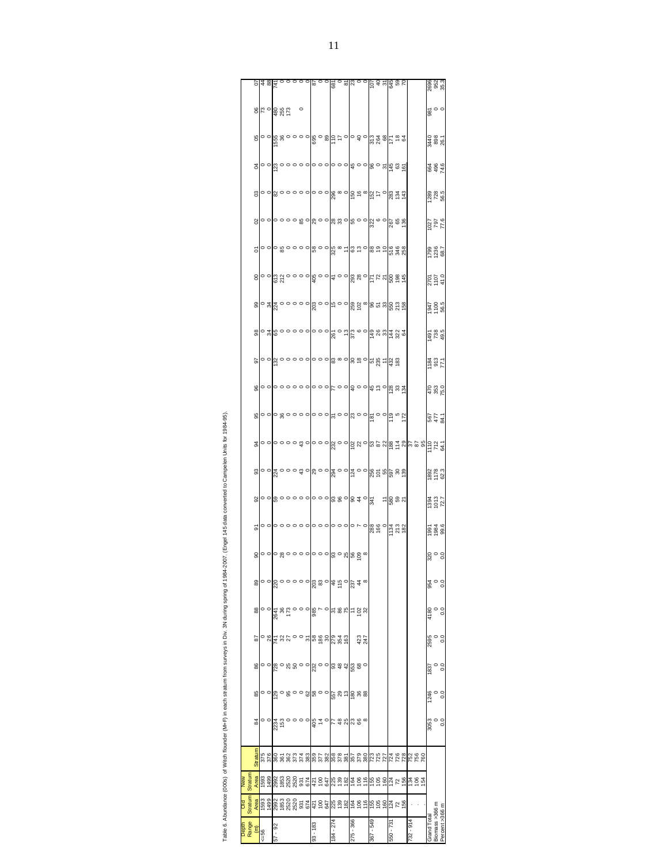|  | g             | $\circ$                  |            |
|--|---------------|--------------------------|------------|
|  | 8             | c c                      |            |
|  |               |                          |            |
|  | 5             | c c                      |            |
|  | 8             | c c                      |            |
|  | 99            | $\overline{\phantom{0}}$ | ž          |
|  | 8             | ζ ⊂                      |            |
|  | 50            | $\overline{a}$           | $\epsilon$ |
|  | 8             | c c                      |            |
|  | 95            | $\overline{\phantom{a}}$ |            |
|  |               |                          |            |
|  | S,            | c c                      |            |
|  | 33            | c c                      |            |
|  | $\frac{2}{3}$ | c c                      |            |
|  | 5             | c c                      |            |
|  | 8             | c c                      |            |
|  | 89            | $\Rightarrow$            | $\epsilon$ |
|  | 88            | o c                      |            |
|  | 59            | $\overline{\phantom{a}}$ | ă          |
|  | 86            |                          | ï          |
|  | జ             |                          |            |
|  | ţ             |                          |            |
|  |               |                          |            |
|  | ľ<br>5        |                          |            |
|  | j             |                          |            |
|  | p<br>T        | ş                        | ś          |
|  |               |                          |            |

Table 6. Abundance (000s) of Witch flounder (M+F) in each stratum from surveys in Div. 3N during spring of 1984-2007. (Engel 145 data converted to Campelen Units for 1984-95).

Table 6. Abundance (000s) of Witch flounder (M+F) in each straum from surveys in Div. 3N during spring of 1994-2007. (Engel 145 data converted to Campelen Units for 1984-95).

|                 |                |                      |      |          |  |                                                                                                                                 |                          |          |  |            |  |          |            |           |  |                               | $R = \frac{1}{2}$ $R = \frac{1}{2}$ $R = \frac{1}{2}$ $R = \frac{1}{2}$ $R = \frac{1}{2}$ $R = \frac{1}{2}$ $R = \frac{1}{2}$ $R = \frac{1}{2}$ $R = \frac{1}{2}$ $R = \frac{1}{2}$ |                              |  |             | 2696<br>952<br>35.3   |                |
|-----------------|----------------|----------------------|------|----------|--|---------------------------------------------------------------------------------------------------------------------------------|--------------------------|----------|--|------------|--|----------|------------|-----------|--|-------------------------------|-------------------------------------------------------------------------------------------------------------------------------------------------------------------------------------|------------------------------|--|-------------|-----------------------|----------------|
|                 |                |                      |      |          |  |                                                                                                                                 |                          |          |  |            |  |          |            |           |  |                               |                                                                                                                                                                                     |                              |  |             |                       |                |
|                 |                |                      | 8899 |          |  |                                                                                                                                 | $\overline{\phantom{a}}$ |          |  |            |  |          |            |           |  |                               |                                                                                                                                                                                     |                              |  |             | $\frac{1}{86}$ o      |                |
|                 | පි             |                      |      |          |  |                                                                                                                                 |                          |          |  |            |  |          |            |           |  |                               |                                                                                                                                                                                     |                              |  |             | 3440<br>898<br>26.1   |                |
|                 | ड              |                      |      |          |  |                                                                                                                                 |                          |          |  |            |  |          |            |           |  |                               |                                                                                                                                                                                     |                              |  |             | 864<br>496<br>74.6    |                |
|                 | පු             |                      |      |          |  |                                                                                                                                 |                          |          |  |            |  |          |            |           |  |                               |                                                                                                                                                                                     |                              |  |             | 1289<br>728<br>56.5   |                |
|                 | 8              |                      |      |          |  | <mark>ော</mark> ဓဝဝဝမ္ထ ခ <mark>ရ္လြင္ ေမြး ေမြး ေမြး ေမ</mark> ွ်ာင္း                                                          |                          |          |  |            |  |          |            |           |  |                               |                                                                                                                                                                                     |                              |  |             | 9:77<br>167<br>17.6   |                |
|                 | δ              |                      |      |          |  |                                                                                                                                 |                          |          |  |            |  |          |            |           |  |                               |                                                                                                                                                                                     |                              |  |             | 7.89<br>98.21<br>98.7 |                |
|                 | 8              |                      |      |          |  |                                                                                                                                 |                          |          |  |            |  |          |            |           |  |                               |                                                                                                                                                                                     |                              |  |             | 2701<br>1107<br>41.0  |                |
|                 | 8              |                      |      |          |  |                                                                                                                                 |                          |          |  |            |  |          |            |           |  |                               |                                                                                                                                                                                     |                              |  |             | 595<br>100<br>ZP61    |                |
|                 | 8              |                      |      |          |  |                                                                                                                                 |                          |          |  |            |  |          |            |           |  |                               |                                                                                                                                                                                     |                              |  |             | 1491<br>738<br>49.5   |                |
|                 | 5              |                      |      |          |  |                                                                                                                                 |                          |          |  |            |  |          |            |           |  |                               |                                                                                                                                                                                     |                              |  |             | 1184<br>813<br>17.1   |                |
|                 | 8              |                      |      |          |  | <u>ေဝေဝေဝဝဝဝဝဝဝဝဝ</u> ဝဝဓမြစ်ဆိုင်း အိန္ဒ                                                                                       |                          |          |  |            |  |          |            |           |  |                               |                                                                                                                                                                                     |                              |  |             | 470<br>353<br>75.0    |                |
|                 | 95             |                      |      |          |  |                                                                                                                                 |                          |          |  |            |  |          |            |           |  |                               |                                                                                                                                                                                     |                              |  |             | 1.18<br>477<br>587    |                |
|                 | 34             |                      |      |          |  |                                                                                                                                 |                          |          |  |            |  |          |            |           |  |                               |                                                                                                                                                                                     |                              |  |             |                       |                |
|                 | ႜ              |                      |      |          |  | <mark>၀၀</mark> ဆံ ၁၀၀ အ ၁ <mark>၀၀ ဆံ ၁၀၀ ဆံ ၁၀၀ ဆံ ၁ ၁ ဆံ ၁ ၁ ဆံ ၁ ၁ ဆံ ၁ ၁ ဆံ ၁ ၁ ဆံ ၁ ၁ ဆံ ၁ ၁ ဆံ ၁ ၁ ဆံ ၁ ၁ ဆံ</mark>      |                          |          |  |            |  |          |            |           |  |                               |                                                                                                                                                                                     |                              |  |             | 1892<br>1178<br>62.3  |                |
|                 | 95             |                      |      |          |  |                                                                                                                                 |                          |          |  |            |  |          |            |           |  | $E_{\rm g}^{\rm gas}$ and $E$ |                                                                                                                                                                                     |                              |  |             | 1394<br>1013<br>12.7  |                |
|                 | 5              |                      |      |          |  |                                                                                                                                 |                          |          |  |            |  |          |            |           |  |                               |                                                                                                                                                                                     |                              |  |             | 996<br>1984<br>1995   |                |
|                 | 8              |                      |      |          |  |                                                                                                                                 |                          |          |  |            |  |          |            |           |  |                               |                                                                                                                                                                                     |                              |  |             | $\frac{50}{25}$       |                |
|                 | 89             |                      |      |          |  |                                                                                                                                 |                          |          |  |            |  |          |            |           |  |                               |                                                                                                                                                                                     |                              |  |             |                       |                |
|                 |                |                      |      |          |  |                                                                                                                                 |                          |          |  |            |  |          |            |           |  |                               |                                                                                                                                                                                     |                              |  |             | 954<br>0.0            |                |
|                 | 8              |                      |      |          |  |                                                                                                                                 |                          |          |  |            |  |          |            |           |  |                               |                                                                                                                                                                                     |                              |  | 4180        |                       |                |
|                 | 59             |                      |      |          |  |                                                                                                                                 |                          |          |  |            |  |          | 423<br>247 |           |  |                               |                                                                                                                                                                                     |                              |  | 2595        |                       |                |
|                 | 86             |                      |      |          |  | <mark>ႜ</mark> ၣၛၟၣၛၟၣၣၣၛၟၣၣၣၛၟၛၣၛၟၜၟၣ                                                                                          |                          |          |  |            |  |          |            |           |  |                               |                                                                                                                                                                                     |                              |  | 1837        |                       |                |
|                 | 85             |                      |      |          |  | <b>ေတြ ေ</b> မွာ ေစအို ေစာ္မွာ မွာ ေန အ                                                                                         |                          |          |  |            |  |          |            |           |  |                               |                                                                                                                                                                                     |                              |  | 1246        |                       |                |
|                 | æ              |                      |      |          |  |                                                                                                                                 |                          |          |  |            |  |          |            |           |  |                               |                                                                                                                                                                                     |                              |  | 3053        |                       |                |
|                 |                |                      |      |          |  |                                                                                                                                 |                          |          |  |            |  |          |            |           |  |                               |                                                                                                                                                                                     |                              |  |             |                       |                |
|                 | <b>Stratum</b> | 375<br>376           |      |          |  |                                                                                                                                 |                          |          |  |            |  |          |            |           |  |                               |                                                                                                                                                                                     |                              |  |             |                       |                |
| Stratum Stratum |                | Area<br>1593<br>1499 |      |          |  |                                                                                                                                 |                          |          |  |            |  |          |            |           |  |                               |                                                                                                                                                                                     | <u>ងទទ</u> ទី ដង់ ឆ្នាំង និង |  |             |                       |                |
|                 |                |                      |      |          |  | <mark>ទ</mark> ីឌូនី ខ្លួន ខ្លួន ខ្លួន ខ្លួន ខ្ញុំ ខ្ញុំ ខ្ញុំ ខ្ញុំ ខ្ញុំ ខ្ញុំ ខ្ញុំ ខ្ញុំ ខ្ញុំ ខ្ញុំ ខ្ញុំ ខ្ញុំ ខ្ញុំ ខ្ញុ |                          |          |  |            |  |          |            |           |  |                               |                                                                                                                                                                                     |                              |  |             |                       |                |
| Range           | Ξ              | $-56$                |      | $7 - 92$ |  |                                                                                                                                 |                          | 88 L - E |  | $84 - 274$ |  | 75 - 366 |            | 367 - 549 |  | $-73$                         |                                                                                                                                                                                     | $16 - 25$                    |  | Grand Total | Biomass >366 m        | Percent >366 m |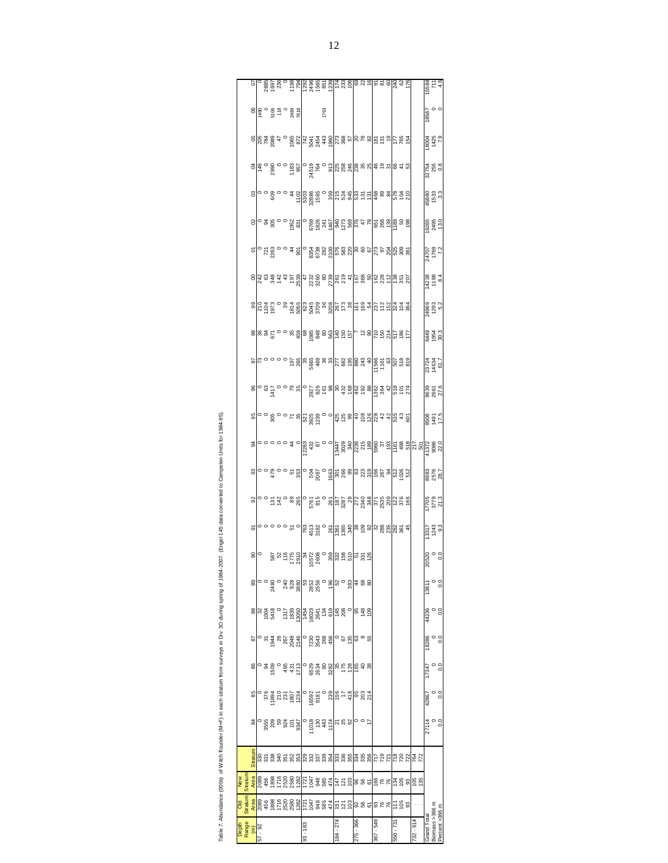|                           |                |                                                                                                                        |  |  |                                                                                                                                                                                                                                                                                                                                    |            |  |      |           |  |           |  |           |  |           |  |           | 15584<br>711<br>4.6                                                                                                                                                                                                                                                                                     |                                  |    |
|---------------------------|----------------|------------------------------------------------------------------------------------------------------------------------|--|--|------------------------------------------------------------------------------------------------------------------------------------------------------------------------------------------------------------------------------------------------------------------------------------------------------------------------------------|------------|--|------|-----------|--|-----------|--|-----------|--|-----------|--|-----------|---------------------------------------------------------------------------------------------------------------------------------------------------------------------------------------------------------------------------------------------------------------------------------------------------------|----------------------------------|----|
|                           |                | $\frac{180}{14}$ $\frac{180}{14}$ $\frac{180}{14}$ $\frac{180}{14}$ $\frac{180}{14}$ $\frac{180}{14}$ $\frac{180}{14}$ |  |  |                                                                                                                                                                                                                                                                                                                                    |            |  | 1753 |           |  |           |  |           |  |           |  |           | 18567<br>0<br>0                                                                                                                                                                                                                                                                                         |                                  |    |
|                           |                |                                                                                                                        |  |  | eles a a s e e a a la fa a a algla a e eles a a a eles a a eles                                                                                                                                                                                                                                                                    |            |  |      |           |  |           |  |           |  |           |  |           | 18004<br>1425<br>7.9                                                                                                                                                                                                                                                                                    |                                  |    |
|                           |                |                                                                                                                        |  |  |                                                                                                                                                                                                                                                                                                                                    |            |  |      |           |  |           |  |           |  |           |  |           | 32754<br>255<br>0.8                                                                                                                                                                                                                                                                                     |                                  |    |
|                           |                |                                                                                                                        |  |  |                                                                                                                                                                                                                                                                                                                                    |            |  |      |           |  |           |  |           |  |           |  |           | 45880<br>1533<br>3.3                                                                                                                                                                                                                                                                                    |                                  |    |
|                           |                |                                                                                                                        |  |  | $\frac{1}{10}$ a $\frac{2}{3}$ a $\frac{2}{3}$ a $\frac{1}{3}$ a $\frac{1}{3}$ a $\frac{1}{3}$ a $\frac{1}{3}$ a $\frac{1}{3}$ a $\frac{1}{3}$ a $\frac{1}{3}$ a $\frac{1}{3}$ a $\frac{1}{3}$ a $\frac{1}{3}$ a $\frac{1}{3}$ a $\frac{1}{3}$ a $\frac{1}{3}$                                                                     |            |  |      |           |  |           |  |           |  |           |  |           | 19265<br>2495<br>13.0                                                                                                                                                                                                                                                                                   |                                  |    |
|                           | $\overline{c}$ |                                                                                                                        |  |  |                                                                                                                                                                                                                                                                                                                                    |            |  |      |           |  |           |  |           |  |           |  |           | 24707<br>1769<br>7.2                                                                                                                                                                                                                                                                                    |                                  |    |
|                           |                |                                                                                                                        |  |  | $\frac{1}{3}$ a $\frac{2}{3}$ $\frac{2}{3}$ a $\frac{2}{3}$ $\frac{2}{3}$ a $\frac{2}{3}$ $\frac{2}{3}$ a $\frac{2}{3}$ a $\frac{2}{3}$ a $\frac{2}{3}$ a $\frac{2}{3}$ a $\frac{2}{3}$ a $\frac{2}{3}$ a $\frac{2}{3}$ a $\frac{2}{3}$                                                                                            |            |  |      |           |  |           |  |           |  |           |  |           | 14236<br>1198<br>8.4                                                                                                                                                                                                                                                                                    |                                  |    |
|                           |                |                                                                                                                        |  |  |                                                                                                                                                                                                                                                                                                                                    |            |  |      |           |  |           |  |           |  |           |  |           | 24969<br>1293<br>5.2                                                                                                                                                                                                                                                                                    |                                  |    |
|                           |                |                                                                                                                        |  |  | <mark>ន</mark> ានន្ត 2 ១ ១ និង ១ និង ១ និង ១ និង ១ ១ ១ និង ១ និង                                                                                                                                                                                                                                                                   |            |  |      |           |  |           |  |           |  |           |  |           | 6449<br>1954<br>6449                                                                                                                                                                                                                                                                                    |                                  |    |
|                           |                |                                                                                                                        |  |  |                                                                                                                                                                                                                                                                                                                                    |            |  |      |           |  |           |  |           |  |           |  |           | 23724<br>14634<br>61.7                                                                                                                                                                                                                                                                                  |                                  |    |
|                           |                |                                                                                                                        |  |  | <u>ေတြ အိမ္နီ ၁ ၁ မ်ားမျိုး မွာ အိမ္မွာ အထိ မွာ အထိ မွာ အထိ မွာ မွာ မွာ မွာ မွာ အ</u>                                                                                                                                                                                                                                              |            |  |      |           |  |           |  |           |  |           |  |           | 9639<br>2661<br>27.6                                                                                                                                                                                                                                                                                    |                                  |    |
|                           |                |                                                                                                                        |  |  | <mark>္</mark> စုိ ၁ ေတာင္ အတြက္တစ္တက္ ၁ ၁ ရြာ အ အခြ <u>အ</u> အုတ္လ <i>ဒု ဒု</i> တ္ထြက္ အ ဥ                                                                                                                                                                                                                                        |            |  |      |           |  |           |  |           |  |           |  |           | 5'21<br>1671<br>8098                                                                                                                                                                                                                                                                                    |                                  |    |
|                           |                |                                                                                                                        |  |  |                                                                                                                                                                                                                                                                                                                                    |            |  |      |           |  |           |  |           |  |           |  |           | $\frac{1}{8}$ 0 0 0 0 0 4 0 $\frac{1}{8}$ 0 0 0 0 0 4 0 $\frac{1}{8}$ 0 $\frac{3}{8}$ $\frac{3}{8}$ $\frac{3}{8}$ $\frac{3}{8}$ $\frac{3}{8}$ $\frac{3}{8}$ $\frac{3}{8}$ $\frac{3}{8}$ $\frac{3}{8}$ $\frac{3}{8}$ $\frac{3}{8}$ $\frac{3}{8}$ $\frac{3}{8}$ $\frac{3}{8}$ $\frac{3}{8}$ $\frac{3}{8}$ |                                  |    |
|                           |                |                                                                                                                        |  |  |                                                                                                                                                                                                                                                                                                                                    |            |  |      |           |  |           |  |           |  |           |  |           | 782<br>3576<br>28.7                                                                                                                                                                                                                                                                                     |                                  |    |
|                           |                |                                                                                                                        |  |  | $\frac{1}{10}$ $\frac{1}{10}$ $\frac{1}{10}$ $\frac{1}{10}$ $\frac{1}{10}$ $\frac{1}{10}$ $\frac{1}{10}$ $\frac{1}{10}$ $\frac{1}{10}$ $\frac{1}{10}$ $\frac{1}{10}$ $\frac{1}{10}$ $\frac{1}{10}$ $\frac{1}{10}$ $\frac{1}{10}$ $\frac{1}{10}$ $\frac{1}{10}$ $\frac{1}{10}$ $\frac{1}{10}$ $\frac{1}{10}$                        |            |  |      |           |  |           |  |           |  |           |  |           | 7705<br>3779<br>21.3                                                                                                                                                                                                                                                                                    |                                  |    |
|                           | 5              |                                                                                                                        |  |  |                                                                                                                                                                                                                                                                                                                                    |            |  |      |           |  |           |  |           |  |           |  |           | 13317<br>1243<br>9.3                                                                                                                                                                                                                                                                                    |                                  |    |
|                           |                | $\frac{8}{9}$                                                                                                          |  |  | ន្ទ្រ ដូច មាន ដូច មាន ដូច មាន ដូ <mark>ក មាន</mark><br>និង ដូច មាន ដូច មាន ដូច មាន ដូ <mark>ក មាន</mark>                                                                                                                                                                                                                           |            |  |      |           |  |           |  |           |  |           |  |           | $\frac{0}{20}$                                                                                                                                                                                                                                                                                          |                                  |    |
|                           | $\frac{8}{3}$  |                                                                                                                        |  |  |                                                                                                                                                                                                                                                                                                                                    |            |  |      |           |  |           |  |           |  |           |  |           |                                                                                                                                                                                                                                                                                                         |                                  |    |
|                           |                |                                                                                                                        |  |  | $\frac{8}{3}$ $\frac{8}{3}$ $\frac{25}{3}$ $\frac{6}{3}$ $\frac{6}{3}$ $\frac{6}{3}$ $\frac{6}{3}$ $\frac{6}{3}$ $\frac{6}{3}$ $\frac{6}{3}$ $\frac{6}{3}$ $\frac{6}{3}$ $\frac{6}{3}$ $\frac{6}{3}$ $\frac{6}{3}$ $\frac{6}{3}$ $\frac{6}{3}$ $\frac{6}{3}$ $\frac{6}{3}$ $\frac{6}{3}$ $\frac{6}{3}$ $\frac{6}{3}$ $\frac{6}{3}$ |            |  |      |           |  |           |  |           |  |           |  |           | $0.0$<br>$0.0$                                                                                                                                                                                                                                                                                          |                                  |    |
|                           | 52             |                                                                                                                        |  |  |                                                                                                                                                                                                                                                                                                                                    |            |  |      |           |  |           |  |           |  |           |  |           |                                                                                                                                                                                                                                                                                                         | $\degree$ 0.0                    |    |
|                           | 86             |                                                                                                                        |  |  | <u>៰ ឌ ទី ៰ ឝី ซ័ ដី ១ ទី ឌី ឌី ឌី ឌី ឌី ឌី ឌី ឌី ឌី ឌី</u>                                                                                                                                                                                                                                                                        |            |  |      |           |  |           |  |           |  |           |  |           |                                                                                                                                                                                                                                                                                                         |                                  | °. |
|                           | 85             |                                                                                                                        |  |  | $-8.8727$ $-8.8727$ $-8.8727$ $-8.8727$ $-8.8727$ $-8.8727$ $-8.8727$ $-8.8727$ $-8.8727$ $-8.8727$ $-8.8727$ $-8.8727$ $-8.8727$ $-8.8727$                                                                                                                                                                                        |            |  |      |           |  |           |  |           |  |           |  |           | 42867                                                                                                                                                                                                                                                                                                   |                                  |    |
|                           | 84             |                                                                                                                        |  |  | $-88887570895777880002$                                                                                                                                                                                                                                                                                                            |            |  |      |           |  |           |  |           |  |           |  |           | $27114$<br>0.0                                                                                                                                                                                                                                                                                          |                                  |    |
|                           | Stratum        |                                                                                                                        |  |  | <u>និងទទ្ធិនិងមូនទ្រូនទ្រូងម៉ូនូងទ្រូងទ្រូងទ្រូង ដែលទ្រូវទ្រូង</u>                                                                                                                                                                                                                                                                 |            |  |      |           |  |           |  |           |  |           |  |           |                                                                                                                                                                                                                                                                                                         |                                  |    |
| New<br>Straturn           |                |                                                                                                                        |  |  |                                                                                                                                                                                                                                                                                                                                    |            |  |      |           |  |           |  |           |  |           |  |           |                                                                                                                                                                                                                                                                                                         |                                  |    |
| Old<br>Stratum            |                |                                                                                                                        |  |  |                                                                                                                                                                                                                                                                                                                                    |            |  |      |           |  |           |  |           |  |           |  |           |                                                                                                                                                                                                                                                                                                         |                                  |    |
| Depth<br>Range<br>57 - 92 |                |                                                                                                                        |  |  |                                                                                                                                                                                                                                                                                                                                    | $93 - 183$ |  |      | 184 - 274 |  | 275 - 366 |  | 675 - 298 |  | 550 - 731 |  | 732 - 914 | Grand Total                                                                                                                                                                                                                                                                                             | Biomass >366 m<br>Percent >366 m |    |
|                           |                |                                                                                                                        |  |  |                                                                                                                                                                                                                                                                                                                                    |            |  |      |           |  |           |  |           |  |           |  |           |                                                                                                                                                                                                                                                                                                         |                                  |    |

Table 7. Abundance (000s) of Witch flounder (M+F) in each stratum from surveys in Div. 3O during spring of 1984-2007. (Engel 145 data converted to Campelen Units for 1984-85). Table 7. Abundance (000s) of Witch flounder (M+F) in each stratum from surveys in Div. 3O during spring of 1984-2007. (Engel 145 data converted to Campelen Units for 1984-95).

 $\mathsf{L}$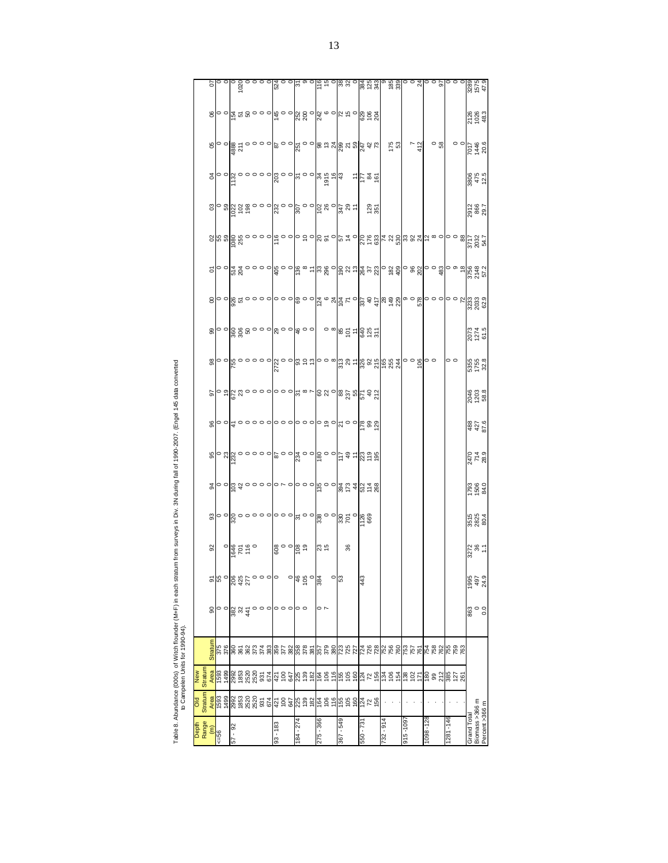| j<br>ļ<br>I                                 |                |
|---------------------------------------------|----------------|
|                                             |                |
| l                                           |                |
|                                             |                |
| ֧֧ׅ֧֧֧ׅ֧֚֚֚֚֚֚֚֚֚֚֚֚֚֚֚֚֚֚֚֚֚֚֚֚֝֡֜֓֡֝֓֝֬֜֝ |                |
|                                             |                |
|                                             |                |
|                                             |                |
|                                             |                |
| l<br>j<br>ï                                 | $\overline{a}$ |
| Ľ<br>¢<br>衰<br>ï                            |                |

| Depth<br>Range                   | Old<br>Stratum                     | New<br>Stratum                                                                                                         |                                                                                                                                                                                                                                                                                                                                    |                                           |                     |                                                                                     |                           |                                                                                                                                                                                                                                                                                                                        |                                                                                                                                                                                                                                                                                                                     |                    |                     |                      |                                                                                        |   |                 |                                                                                                                                                                                                                                                                                                                            |                           |                                                                                                       |                      |                                |
|----------------------------------|------------------------------------|------------------------------------------------------------------------------------------------------------------------|------------------------------------------------------------------------------------------------------------------------------------------------------------------------------------------------------------------------------------------------------------------------------------------------------------------------------------|-------------------------------------------|---------------------|-------------------------------------------------------------------------------------|---------------------------|------------------------------------------------------------------------------------------------------------------------------------------------------------------------------------------------------------------------------------------------------------------------------------------------------------------------|---------------------------------------------------------------------------------------------------------------------------------------------------------------------------------------------------------------------------------------------------------------------------------------------------------------------|--------------------|---------------------|----------------------|----------------------------------------------------------------------------------------|---|-----------------|----------------------------------------------------------------------------------------------------------------------------------------------------------------------------------------------------------------------------------------------------------------------------------------------------------------------------|---------------------------|-------------------------------------------------------------------------------------------------------|----------------------|--------------------------------|
|                                  |                                    |                                                                                                                        |                                                                                                                                                                                                                                                                                                                                    |                                           |                     |                                                                                     |                           |                                                                                                                                                                                                                                                                                                                        |                                                                                                                                                                                                                                                                                                                     |                    |                     |                      |                                                                                        |   |                 |                                                                                                                                                                                                                                                                                                                            |                           |                                                                                                       |                      |                                |
| $\widehat{\epsilon}$             | Area                               | Area                                                                                                                   | <b>Stratum</b>                                                                                                                                                                                                                                                                                                                     | ႙                                         | 5                   | $\overline{92}$                                                                     | $\boldsymbol{\mathsf{s}}$ |                                                                                                                                                                                                                                                                                                                        | 85                                                                                                                                                                                                                                                                                                                  | 96                 |                     | 8                    | 8                                                                                      | 8 | $\tilde{\circ}$ | $_{\rm c}$                                                                                                                                                                                                                                                                                                                 | <sub>2</sub>              |                                                                                                       | 66                   | $\overline{0}$                 |
| $-56$                            | 667L<br>665L                       | 1593<br>1499                                                                                                           | 375<br>376                                                                                                                                                                                                                                                                                                                         |                                           | 55                  |                                                                                     |                           |                                                                                                                                                                                                                                                                                                                        |                                                                                                                                                                                                                                                                                                                     |                    |                     |                      |                                                                                        |   |                 |                                                                                                                                                                                                                                                                                                                            |                           |                                                                                                       |                      |                                |
|                                  |                                    |                                                                                                                        |                                                                                                                                                                                                                                                                                                                                    | $\circ$                                   |                     |                                                                                     |                           |                                                                                                                                                                                                                                                                                                                        |                                                                                                                                                                                                                                                                                                                     |                    |                     |                      |                                                                                        |   |                 |                                                                                                                                                                                                                                                                                                                            |                           |                                                                                                       |                      |                                |
| 57 - 92                          | 000<br>1000<br>1000<br>1000        |                                                                                                                        | <b>888558</b>                                                                                                                                                                                                                                                                                                                      | $\frac{8}{3}$ $\frac{2}{3}$ $\frac{4}{4}$ | 885000<br>885000    | $\frac{1}{2}$                                                                       |                           | $\frac{1}{8}$   $\frac{1}{8}$   $\frac{1}{8}$ $\frac{1}{4}$ $\frac{1}{8}$ $\frac{1}{4}$ $\frac{1}{8}$ $\frac{1}{4}$ $\frac{1}{8}$ $\frac{1}{8}$ $\frac{1}{8}$ $\frac{1}{8}$ $\frac{1}{8}$ $\frac{1}{8}$ $\frac{1}{8}$ $\frac{1}{8}$ $\frac{1}{8}$ $\frac{1}{8}$ $\frac{1}{8}$ $\frac{1}{8}$ $\frac{1}{8}$ $\frac{1}{8$ | $\frac{1}{2}$ $\frac{1}{2}$ $\frac{1}{2}$ $\frac{1}{2}$ $\frac{1}{2}$ $\frac{1}{2}$ $\frac{1}{2}$ $\frac{1}{2}$ $\frac{1}{2}$ $\frac{1}{2}$ $\frac{1}{2}$ $\frac{1}{2}$ $\frac{1}{2}$ $\frac{1}{2}$ $\frac{1}{2}$ $\frac{1}{2}$ $\frac{1}{2}$ $\frac{1}{2}$ $\frac{1}{2}$ $\frac{1}{2}$ $\frac{1}{2}$ $\frac{1}{2}$ |                    |                     |                      | <mark>၀၀</mark> ၀္တြင္တင္ ၁၀၀၀၀၀၀၀၀၀၀၀                                                 |   |                 | $\sigma$ $\frac{1}{2}$ $\frac{1}{2}$ $\frac{1}{2}$ $\frac{1}{2}$ $\frac{1}{2}$ $\frac{1}{2}$ $\frac{1}{2}$ $\frac{1}{2}$ $\frac{1}{2}$ $\frac{1}{2}$ $\frac{1}{2}$ $\frac{1}{2}$ $\frac{1}{2}$ $\frac{1}{2}$ $\frac{1}{2}$ $\frac{1}{2}$ $\frac{1}{2}$ $\frac{1}{2}$ $\frac{1}{2}$ $\frac{1}{2}$ $\frac{1}{2}$ $\frac{1}{$ |                           |                                                                                                       |                      |                                |
|                                  |                                    |                                                                                                                        |                                                                                                                                                                                                                                                                                                                                    |                                           |                     |                                                                                     |                           |                                                                                                                                                                                                                                                                                                                        |                                                                                                                                                                                                                                                                                                                     |                    |                     |                      |                                                                                        |   |                 |                                                                                                                                                                                                                                                                                                                            |                           |                                                                                                       |                      |                                |
|                                  |                                    |                                                                                                                        |                                                                                                                                                                                                                                                                                                                                    |                                           |                     |                                                                                     |                           |                                                                                                                                                                                                                                                                                                                        |                                                                                                                                                                                                                                                                                                                     |                    |                     |                      |                                                                                        |   |                 |                                                                                                                                                                                                                                                                                                                            |                           |                                                                                                       |                      |                                |
|                                  |                                    |                                                                                                                        |                                                                                                                                                                                                                                                                                                                                    | $\circ$                                   |                     |                                                                                     |                           |                                                                                                                                                                                                                                                                                                                        |                                                                                                                                                                                                                                                                                                                     |                    |                     |                      |                                                                                        |   |                 |                                                                                                                                                                                                                                                                                                                            |                           |                                                                                                       |                      |                                |
|                                  |                                    |                                                                                                                        |                                                                                                                                                                                                                                                                                                                                    | $\circ$                                   |                     |                                                                                     |                           |                                                                                                                                                                                                                                                                                                                        |                                                                                                                                                                                                                                                                                                                     |                    |                     |                      |                                                                                        |   |                 |                                                                                                                                                                                                                                                                                                                            |                           |                                                                                                       |                      |                                |
|                                  | <u>ឌិ ខ្ពុំង ទូ និង្គ្រូ ឆ្ង ន</u> |                                                                                                                        |                                                                                                                                                                                                                                                                                                                                    |                                           |                     |                                                                                     |                           |                                                                                                                                                                                                                                                                                                                        |                                                                                                                                                                                                                                                                                                                     |                    |                     |                      |                                                                                        |   |                 |                                                                                                                                                                                                                                                                                                                            |                           |                                                                                                       |                      |                                |
| $93 - 183$                       |                                    |                                                                                                                        |                                                                                                                                                                                                                                                                                                                                    |                                           |                     | $\frac{1}{2}$ $\frac{1}{2}$ $\frac{1}{2}$ $\frac{1}{2}$ $\frac{1}{2}$ $\frac{1}{2}$ |                           |                                                                                                                                                                                                                                                                                                                        |                                                                                                                                                                                                                                                                                                                     |                    |                     |                      |                                                                                        |   |                 |                                                                                                                                                                                                                                                                                                                            |                           |                                                                                                       |                      |                                |
|                                  |                                    |                                                                                                                        |                                                                                                                                                                                                                                                                                                                                    | 。。                                        |                     |                                                                                     |                           |                                                                                                                                                                                                                                                                                                                        |                                                                                                                                                                                                                                                                                                                     |                    |                     |                      |                                                                                        |   |                 |                                                                                                                                                                                                                                                                                                                            |                           |                                                                                                       |                      |                                |
|                                  |                                    |                                                                                                                        |                                                                                                                                                                                                                                                                                                                                    |                                           |                     |                                                                                     |                           |                                                                                                                                                                                                                                                                                                                        |                                                                                                                                                                                                                                                                                                                     |                    |                     |                      |                                                                                        |   |                 |                                                                                                                                                                                                                                                                                                                            |                           |                                                                                                       |                      |                                |
| 184 - 274                        |                                    |                                                                                                                        |                                                                                                                                                                                                                                                                                                                                    |                                           |                     |                                                                                     |                           |                                                                                                                                                                                                                                                                                                                        |                                                                                                                                                                                                                                                                                                                     |                    |                     |                      |                                                                                        |   |                 |                                                                                                                                                                                                                                                                                                                            |                           |                                                                                                       |                      |                                |
|                                  |                                    |                                                                                                                        |                                                                                                                                                                                                                                                                                                                                    |                                           | 490                 |                                                                                     |                           |                                                                                                                                                                                                                                                                                                                        |                                                                                                                                                                                                                                                                                                                     |                    |                     |                      |                                                                                        |   |                 |                                                                                                                                                                                                                                                                                                                            |                           |                                                                                                       |                      |                                |
|                                  |                                    |                                                                                                                        |                                                                                                                                                                                                                                                                                                                                    |                                           |                     |                                                                                     |                           |                                                                                                                                                                                                                                                                                                                        |                                                                                                                                                                                                                                                                                                                     |                    |                     |                      |                                                                                        |   |                 |                                                                                                                                                                                                                                                                                                                            |                           |                                                                                                       |                      |                                |
| 275 - 366                        | #gelege                            |                                                                                                                        |                                                                                                                                                                                                                                                                                                                                    |                                           | 384                 | <b>23</b><br>15                                                                     |                           |                                                                                                                                                                                                                                                                                                                        |                                                                                                                                                                                                                                                                                                                     |                    |                     |                      |                                                                                        |   |                 |                                                                                                                                                                                                                                                                                                                            |                           |                                                                                                       |                      |                                |
|                                  |                                    |                                                                                                                        |                                                                                                                                                                                                                                                                                                                                    |                                           |                     |                                                                                     |                           |                                                                                                                                                                                                                                                                                                                        |                                                                                                                                                                                                                                                                                                                     |                    |                     |                      |                                                                                        |   |                 |                                                                                                                                                                                                                                                                                                                            |                           |                                                                                                       |                      |                                |
|                                  |                                    |                                                                                                                        |                                                                                                                                                                                                                                                                                                                                    |                                           |                     |                                                                                     |                           |                                                                                                                                                                                                                                                                                                                        |                                                                                                                                                                                                                                                                                                                     |                    |                     |                      |                                                                                        |   |                 |                                                                                                                                                                                                                                                                                                                            |                           |                                                                                                       |                      |                                |
| 345 - 298                        |                                    |                                                                                                                        |                                                                                                                                                                                                                                                                                                                                    |                                           | 53                  |                                                                                     |                           |                                                                                                                                                                                                                                                                                                                        |                                                                                                                                                                                                                                                                                                                     |                    |                     |                      |                                                                                        |   |                 |                                                                                                                                                                                                                                                                                                                            |                           |                                                                                                       |                      |                                |
|                                  |                                    |                                                                                                                        |                                                                                                                                                                                                                                                                                                                                    |                                           |                     | 36                                                                                  |                           |                                                                                                                                                                                                                                                                                                                        |                                                                                                                                                                                                                                                                                                                     |                    |                     |                      |                                                                                        |   |                 |                                                                                                                                                                                                                                                                                                                            |                           |                                                                                                       |                      |                                |
|                                  |                                    |                                                                                                                        |                                                                                                                                                                                                                                                                                                                                    |                                           |                     |                                                                                     |                           |                                                                                                                                                                                                                                                                                                                        |                                                                                                                                                                                                                                                                                                                     |                    |                     |                      |                                                                                        |   |                 |                                                                                                                                                                                                                                                                                                                            |                           |                                                                                                       |                      |                                |
| $550 - 73'$                      | $724$<br>$72$<br>$56$              |                                                                                                                        | $\begin{array}{c}\n 89.77 \\  20.77 \\  20.88 \\  20.77 \\  20.88 \\  20.98 \\  20.98 \\  20.98 \\  20.98 \\  20.98 \\  20.98 \\  20.98 \\  20.98 \\  20.98 \\  20.98 \\  20.98 \\  20.98 \\  20.98 \\  20.98 \\  20.98 \\  20.98 \\  20.98 \\  20.98 \\  20.98 \\  20.98 \\  20.98 \\  20.98 \\  20.98 \\  20.98 \\  20.98 \\  2$ |                                           | 443                 |                                                                                     |                           |                                                                                                                                                                                                                                                                                                                        |                                                                                                                                                                                                                                                                                                                     |                    |                     |                      | $\circ$ $\infty$ $\approx$ $\approx$ $\approx$ $\approx$ $\approx$ $\approx$ $\approx$ |   |                 |                                                                                                                                                                                                                                                                                                                            | $\pm \approx \frac{5}{2}$ |                                                                                                       |                      |                                |
|                                  |                                    |                                                                                                                        |                                                                                                                                                                                                                                                                                                                                    |                                           |                     |                                                                                     |                           |                                                                                                                                                                                                                                                                                                                        |                                                                                                                                                                                                                                                                                                                     |                    |                     |                      |                                                                                        |   |                 | $129$<br>$351$                                                                                                                                                                                                                                                                                                             |                           |                                                                                                       |                      |                                |
|                                  |                                    |                                                                                                                        |                                                                                                                                                                                                                                                                                                                                    |                                           |                     |                                                                                     |                           |                                                                                                                                                                                                                                                                                                                        |                                                                                                                                                                                                                                                                                                                     |                    |                     |                      |                                                                                        |   |                 |                                                                                                                                                                                                                                                                                                                            |                           |                                                                                                       |                      |                                |
| 732 - 914                        |                                    |                                                                                                                        |                                                                                                                                                                                                                                                                                                                                    |                                           |                     |                                                                                     |                           |                                                                                                                                                                                                                                                                                                                        |                                                                                                                                                                                                                                                                                                                     |                    |                     |                      |                                                                                        |   |                 |                                                                                                                                                                                                                                                                                                                            |                           |                                                                                                       |                      |                                |
|                                  |                                    | ន្ត្រីខ្លួខ្លួខ្លួន <u>ដ្ឋា</u> ទី ទី ដូន្ត្រី និង ធ្ងៃ ទី ទី ដូន្ត្រី ទី ទី ដូន្ត្រី ទី ទី ដូន្ត្រី ទី ដូន្ត្រី ទី ដូ |                                                                                                                                                                                                                                                                                                                                    |                                           |                     |                                                                                     |                           |                                                                                                                                                                                                                                                                                                                        |                                                                                                                                                                                                                                                                                                                     |                    |                     |                      |                                                                                        |   |                 |                                                                                                                                                                                                                                                                                                                            |                           | $175$<br>53                                                                                           |                      |                                |
|                                  |                                    |                                                                                                                        |                                                                                                                                                                                                                                                                                                                                    |                                           |                     |                                                                                     |                           |                                                                                                                                                                                                                                                                                                                        |                                                                                                                                                                                                                                                                                                                     |                    |                     |                      |                                                                                        |   |                 |                                                                                                                                                                                                                                                                                                                            |                           |                                                                                                       |                      |                                |
| 801-916                          |                                    |                                                                                                                        |                                                                                                                                                                                                                                                                                                                                    |                                           |                     |                                                                                     |                           |                                                                                                                                                                                                                                                                                                                        |                                                                                                                                                                                                                                                                                                                     |                    |                     |                      |                                                                                        |   |                 |                                                                                                                                                                                                                                                                                                                            |                           |                                                                                                       |                      |                                |
|                                  |                                    |                                                                                                                        |                                                                                                                                                                                                                                                                                                                                    |                                           |                     |                                                                                     |                           |                                                                                                                                                                                                                                                                                                                        |                                                                                                                                                                                                                                                                                                                     |                    |                     |                      |                                                                                        |   |                 |                                                                                                                                                                                                                                                                                                                            |                           |                                                                                                       |                      |                                |
|                                  |                                    |                                                                                                                        |                                                                                                                                                                                                                                                                                                                                    |                                           |                     |                                                                                     |                           |                                                                                                                                                                                                                                                                                                                        |                                                                                                                                                                                                                                                                                                                     |                    |                     |                      |                                                                                        |   |                 |                                                                                                                                                                                                                                                                                                                            |                           | $^{7}$<br>412                                                                                         |                      |                                |
| 1098-128                         |                                    | ខ្លួន ដូន្លង្ក                                                                                                         | និងក្តី ដូច្នៃ ដូច្នេះ<br>និងក្តី ដូច្នេះ ដូច្នេះ                                                                                                                                                                                                                                                                                  |                                           |                     |                                                                                     |                           |                                                                                                                                                                                                                                                                                                                        |                                                                                                                                                                                                                                                                                                                     |                    |                     | $\circ \circ \xi$    |                                                                                        |   |                 |                                                                                                                                                                                                                                                                                                                            |                           |                                                                                                       |                      |                                |
|                                  |                                    |                                                                                                                        |                                                                                                                                                                                                                                                                                                                                    |                                           |                     |                                                                                     |                           |                                                                                                                                                                                                                                                                                                                        |                                                                                                                                                                                                                                                                                                                     |                    |                     |                      |                                                                                        |   |                 |                                                                                                                                                                                                                                                                                                                            |                           |                                                                                                       |                      |                                |
|                                  |                                    |                                                                                                                        |                                                                                                                                                                                                                                                                                                                                    |                                           |                     |                                                                                     |                           |                                                                                                                                                                                                                                                                                                                        |                                                                                                                                                                                                                                                                                                                     |                    |                     |                      |                                                                                        |   |                 |                                                                                                                                                                                                                                                                                                                            |                           | $\degree$                                                                                             |                      |                                |
| 1281-146                         |                                    |                                                                                                                        |                                                                                                                                                                                                                                                                                                                                    |                                           |                     |                                                                                     |                           |                                                                                                                                                                                                                                                                                                                        |                                                                                                                                                                                                                                                                                                                     |                    |                     | $\circ$              |                                                                                        |   |                 |                                                                                                                                                                                                                                                                                                                            |                           |                                                                                                       |                      |                                |
|                                  |                                    |                                                                                                                        |                                                                                                                                                                                                                                                                                                                                    |                                           |                     |                                                                                     |                           |                                                                                                                                                                                                                                                                                                                        |                                                                                                                                                                                                                                                                                                                     |                    |                     |                      |                                                                                        |   |                 |                                                                                                                                                                                                                                                                                                                            |                           |                                                                                                       |                      | $\overline{\circ} \circ \circ$ |
|                                  |                                    |                                                                                                                        |                                                                                                                                                                                                                                                                                                                                    |                                           |                     |                                                                                     |                           |                                                                                                                                                                                                                                                                                                                        |                                                                                                                                                                                                                                                                                                                     |                    |                     |                      |                                                                                        |   |                 |                                                                                                                                                                                                                                                                                                                            |                           |                                                                                                       |                      |                                |
| Grand Total                      |                                    |                                                                                                                        |                                                                                                                                                                                                                                                                                                                                    | 863                                       |                     |                                                                                     |                           |                                                                                                                                                                                                                                                                                                                        |                                                                                                                                                                                                                                                                                                                     |                    |                     |                      |                                                                                        |   |                 |                                                                                                                                                                                                                                                                                                                            |                           |                                                                                                       |                      |                                |
| Biomass >366 m<br>Percent >366 m |                                    |                                                                                                                        |                                                                                                                                                                                                                                                                                                                                    | $\frac{0}{0}$                             | 1995<br>497<br>24.9 | 3272<br>38<br>1.1                                                                   | 3515<br>2825<br>80.4      | 1793<br>1506<br>194.0                                                                                                                                                                                                                                                                                                  | 2470<br>714<br>28.9                                                                                                                                                                                                                                                                                                 | 427<br>427<br>87.6 | 2046<br>203<br>58.8 | 5355<br>1755<br>32.8 | 2073<br>1274<br>61.5                                                                   |   |                 | 2912<br>866<br>29.7                                                                                                                                                                                                                                                                                                        | 3806<br>475<br>12.5       | $rac{1}{6}$<br>$rac{1}{6}$<br>$rac{1}{6}$<br>$rac{1}{6}$<br>$rac{1}{6}$<br>$rac{1}{6}$<br>$rac{1}{6}$ | 2126<br>1026<br>48.3 | 3289<br>1575<br>47.9           |
|                                  |                                    |                                                                                                                        |                                                                                                                                                                                                                                                                                                                                    |                                           |                     |                                                                                     |                           |                                                                                                                                                                                                                                                                                                                        |                                                                                                                                                                                                                                                                                                                     |                    |                     |                      |                                                                                        |   |                 |                                                                                                                                                                                                                                                                                                                            |                           |                                                                                                       |                      |                                |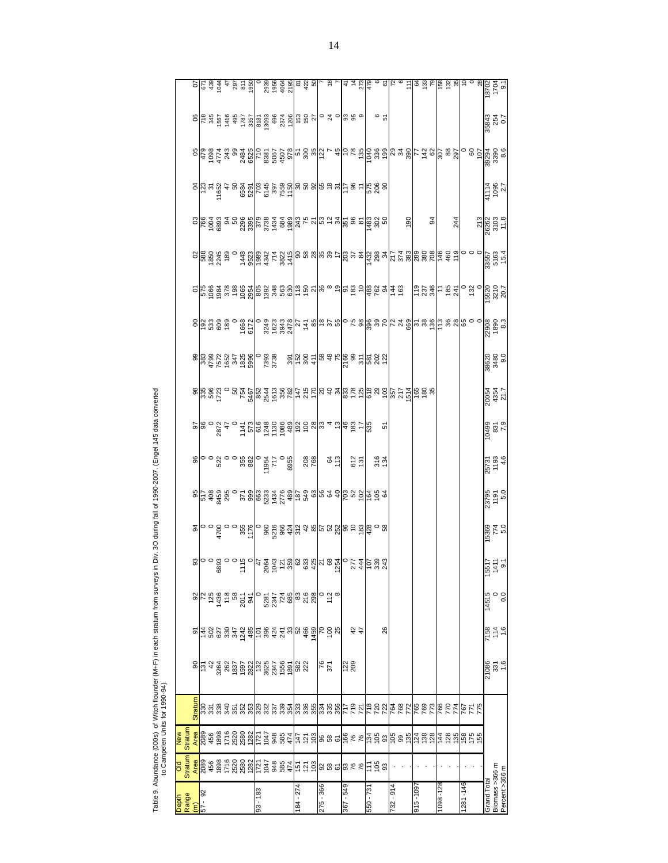| 3<br>ļ<br>ì<br>ļ<br>۱ |                |
|-----------------------|----------------|
| I                     |                |
|                       |                |
|                       |                |
|                       |                |
|                       |                |
|                       |                |
|                       |                |
|                       |                |
|                       |                |
|                       |                |
|                       |                |
|                       |                |
|                       |                |
|                       |                |
|                       |                |
|                       |                |
|                       |                |
|                       | ׇ֦             |
|                       |                |
|                       |                |
|                       |                |
|                       |                |
|                       |                |
|                       | ׇ֬֕֡           |
|                       | $\overline{a}$ |
| $\vdots$<br>j         |                |
| Table 9               |                |
|                       |                |

| ļ |  |  |  |
|---|--|--|--|
|   |  |  |  |
|   |  |  |  |
|   |  |  |  |
|   |  |  |  |
|   |  |  |  |
|   |  |  |  |
|   |  |  |  |
|   |  |  |  |
|   |  |  |  |

|                                  |                |                |                                   |  |  |  |            |  | $\circ \frac{1}{2} \times \frac{1}{2} \times \frac{1}{2} \times \frac{1}{2} \times \frac{1}{2} \times \frac{1}{2} \times \frac{1}{2} \times \frac{1}{2} \times \frac{1}{2} \times \frac{1}{2} \times \frac{1}{2} \times \frac{1}{2} \times \frac{1}{2} \times \frac{1}{2} \times \frac{1}{2} \times \frac{1}{2} \times \frac{1}{2} \times \frac{1}{2} \times \frac{1}{2} \times \frac{1}{2} \times \frac{1}{2} \times \frac{1}{2} \times \frac{1}{2} \times \frac{1}{2} \times \frac$ |           |     |           |                |    |            |               |          |      |    |           |     |         |                |          |     |          |  |               | 35843<br>254<br>0.7                        |  |
|----------------------------------|----------------|----------------|-----------------------------------|--|--|--|------------|--|---------------------------------------------------------------------------------------------------------------------------------------------------------------------------------------------------------------------------------------------------------------------------------------------------------------------------------------------------------------------------------------------------------------------------------------------------------------------------------------|-----------|-----|-----------|----------------|----|------------|---------------|----------|------|----|-----------|-----|---------|----------------|----------|-----|----------|--|---------------|--------------------------------------------|--|
|                                  |                |                |                                   |  |  |  |            |  | als as a stage as a la disposition and a la disposition of a la disposition and all disposition of a la dispos<br>References and later and a large disposition of a large disposition of a large disposition of a large disposit                                                                                                                                                                                                                                                      |           |     |           |                |    |            |               |          |      |    |           |     |         |                |          |     |          |  |               |                                            |  |
|                                  |                |                |                                   |  |  |  |            |  | $\frac{1}{2} \left  \frac{1}{2} \cos \frac{1}{2} \cos \frac{1}{2} \cos \frac{1}{2} \cos \frac{1}{2} \cos \frac{1}{2} \cos \frac{1}{2} \cos \frac{1}{2} \cos \frac{1}{2} \cos \frac{1}{2} \cos \frac{1}{2} \cos \frac{1}{2} \cos \frac{1}{2} \cos \frac{1}{2} \cos \frac{1}{2} \cos \frac{1}{2} \cos \frac{1}{2} \cos \frac{1}{2} \cos \frac{1}{2} \cos \frac{1}{2} \cos \frac{1}{2} \cos \frac{1}{2} \cos \frac{1}{2} \cos \frac{$                                                    |           |     |           |                |    |            |               |          |      |    |           |     |         |                |          |     |          |  |               | 41114<br>1095<br>2.7                       |  |
|                                  |                |                |                                   |  |  |  |            |  | $\frac{1}{2}$ $\frac{1}{2}$ $\frac{1}{2}$ $\frac{1}{2}$ $\frac{1}{2}$ $\frac{1}{2}$ $\frac{1}{2}$ $\frac{1}{2}$ $\frac{1}{2}$ $\frac{1}{2}$ $\frac{1}{2}$ $\frac{1}{2}$ $\frac{1}{2}$ $\frac{1}{2}$ $\frac{1}{2}$ $\frac{1}{2}$ $\frac{1}{2}$ $\frac{1}{2}$ $\frac{1}{2}$ $\frac{1}{2}$ $\frac{1}{2}$ $\frac{1}{2}$ $\frac{1}{2}$ $\frac{1}{2}$ $\frac{1$                                                                                                                             |           |     |           |                |    |            |               |          |      |    |           | 190 |         | $\frac{94}{5}$ |          | 244 |          |  |               | $\frac{213}{26262}$<br>$\frac{213}{25262}$ |  |
|                                  |                |                |                                   |  |  |  |            |  |                                                                                                                                                                                                                                                                                                                                                                                                                                                                                       |           |     |           |                |    |            |               |          |      |    |           |     |         |                |          |     |          |  |               |                                            |  |
|                                  |                |                |                                   |  |  |  |            |  | <u>이 සිම්මිස් සිම්මිලීම් මිසි සිලීම් සි පැමි බෝස් සිල් දී සි අයි සි</u>                                                                                                                                                                                                                                                                                                                                                                                                               |           |     |           |                |    |            |               |          |      |    |           |     |         |                | 28872820 |     |          |  |               | 5520<br>3210<br>20.7                       |  |
|                                  |                |                |                                   |  |  |  |            |  |                                                                                                                                                                                                                                                                                                                                                                                                                                                                                       |           |     |           |                |    |            |               |          |      |    |           |     |         |                |          |     |          |  |               |                                            |  |
|                                  |                |                |                                   |  |  |  |            |  |                                                                                                                                                                                                                                                                                                                                                                                                                                                                                       |           |     |           |                |    |            |               |          |      |    |           |     |         |                |          |     |          |  |               | 38620<br>3480<br>9.0                       |  |
|                                  |                |                |                                   |  |  |  |            |  |                                                                                                                                                                                                                                                                                                                                                                                                                                                                                       |           |     |           |                |    |            |               |          |      |    |           |     |         |                |          |     |          |  |               | 20054<br>4354<br>21.7                      |  |
|                                  |                |                |                                   |  |  |  |            |  | <u>၉၂၉ ခု တို့ အားလုံး အမွ</u> ိုင်း အမွေ့ရှိ များ အမွေ့ရှိ အမွေ့ရှိ များ အမွေ့ရှိ များ အမွေ့ရှိ များ အမွေ့ရှိ များ<br>အမြစ် ခု ပိုင်း အမွေ့ရှိ များ အမွေ့ရှိ များ အမွေ့ရှိ များ အမွေ့ရှိ များ အမွေ့ရှိ များ အမွေ့ရှိ များ အမွေ့ရှိ မ                                                                                                                                                                                                                                                 |           |     |           |                |    |            |               |          |      | ίņ |           |     |         |                |          |     |          |  |               | 10499<br>831<br>831                        |  |
|                                  |                |                |                                   |  |  |  |            |  |                                                                                                                                                                                                                                                                                                                                                                                                                                                                                       |           | 208 |           |                | 64 |            | 612<br>131    |          | 3184 |    |           |     |         |                |          |     |          |  |               | 25731<br>1193<br>4.6                       |  |
|                                  |                |                |                                   |  |  |  |            |  | <u>း ေခ် ဆို ဆို ေမး အိုးစိုး မိုး အိုးေန အိုးေန ေဆြး အခြဲ ေခ် ေ</u>                                                                                                                                                                                                                                                                                                                                                                                                                  |           |     |           |                |    |            |               |          |      |    |           |     |         |                |          |     |          |  |               | 23795<br>1191<br>5.0                       |  |
|                                  |                |                |                                   |  |  |  |            |  |                                                                                                                                                                                                                                                                                                                                                                                                                                                                                       |           |     |           |                |    |            |               |          |      |    |           |     |         |                |          |     |          |  |               | 15369<br>774<br>5.0                        |  |
|                                  |                |                |                                   |  |  |  |            |  | $\frac{1}{8}$ $\frac{1}{8}$ $\frac{1}{8}$ $\frac{1}{8}$ $\frac{1}{8}$ $\frac{1}{8}$ $\frac{1}{8}$ $\frac{1}{8}$ $\frac{1}{8}$ $\frac{1}{8}$ $\frac{1}{8}$ $\frac{1}{8}$ $\frac{1}{8}$ $\frac{1}{8}$ $\frac{1}{8}$ $\frac{1}{8}$ $\frac{1}{8}$ $\frac{1}{8}$ $\frac{1}{8}$ $\frac{1}{8}$ $\frac{1}{8}$ $\frac{1}{8}$                                                                                                                                                                   |           |     |           |                |    |            |               |          |      |    |           |     |         |                |          |     |          |  | $155^{\circ}$ | $\frac{41}{9}$                             |  |
|                                  |                |                |                                   |  |  |  |            |  | $\frac{1}{2}$ $\frac{1}{2}$ $\frac{1}{2}$ $\frac{1}{2}$ $\frac{1}{2}$ $\frac{1}{2}$ $\frac{1}{2}$ $\frac{1}{2}$ $\frac{1}{2}$ $\frac{1}{2}$ $\frac{1}{2}$ $\frac{1}{2}$ $\frac{1}{2}$ $\frac{1}{2}$ $\frac{1}{2}$ $\frac{1}{2}$ $\frac{1}{2}$ $\frac{1}{2}$ $\frac{1}{2}$ $\frac{1}{2}$ $\frac{1}{2}$ $\frac{1}{2}$                                                                                                                                                                   |           |     |           |                |    |            |               |          |      |    |           |     |         |                |          |     |          |  | 14515         | $\frac{0}{0}$                              |  |
|                                  |                |                |                                   |  |  |  |            |  |                                                                                                                                                                                                                                                                                                                                                                                                                                                                                       |           |     |           |                |    |            | $\frac{4}{4}$ |          |      | 26 |           |     |         |                |          |     |          |  |               | 7158<br>114<br>1.6                         |  |
|                                  |                |                |                                   |  |  |  |            |  | $8\frac{5}{2}$ $\frac{2}{3}$ $\frac{2}{3}$ $\frac{2}{3}$ $\frac{2}{3}$ $\frac{2}{3}$ $\frac{2}{3}$ $\frac{2}{3}$ $\frac{2}{3}$ $\frac{2}{3}$ $\frac{2}{3}$ $\frac{2}{3}$ $\frac{2}{3}$ $\frac{2}{3}$ $\frac{2}{3}$ $\frac{2}{3}$ $\frac{2}{3}$ $\frac{2}{3}$ $\frac{2}{3}$ $\frac{2}{3}$ $\frac{2}{3}$ $\frac{2}{3}$                                                                                                                                                                  |           |     |           | $rac{16}{271}$ |    | 122<br>209 |               |          |      |    |           |     |         |                |          |     |          |  |               | 21086<br>331<br>1.6                        |  |
|                                  |                | <b>Stratum</b> |                                   |  |  |  |            |  |                                                                                                                                                                                                                                                                                                                                                                                                                                                                                       |           |     |           |                |    |            |               |          |      |    |           |     |         |                |          |     |          |  |               |                                            |  |
| <b>New</b>                       | <b>Stratum</b> | Area           |                                   |  |  |  |            |  | ន្ត្រី ឆូ ឆូ ភូ ខ្លី ខ្លី ខ្លី ក្តែ ភ្នំ ខ្លី ឌូ ឌូ ខ្ញុំ ខ្លួ ខ ន ន្ទ្រី ខ្លួ ខ្លូ ខ្លី ខ្លី ខ្លី ខ្លី ខ្ញុំ ខ្លី ខ្លី ខ្លី ខ្លី ខ្ញុំ គ្លី ខ្លី ខ្ញុំ គ្លី ខ្លី ខ្ញុំ គ្លី ខ្លី គ្លី ខ្ញុំ គ្លី ខ្ញុំ គ្លី ខ្ញុំ គ្លី ខ្ញុំ                                                                                                                                                                                                                                                         |           |     |           |                |    |            |               |          |      |    |           |     |         |                |          |     |          |  |               |                                            |  |
| DIO                              | <b>Stratum</b> |                | $\frac{\text{Area}}{\text{2089}}$ |  |  |  |            |  | <u>ក្ខ័ន្លនិន្ន្ទី ដូច ដូច ដូច និន្ទ្ទី ខ្ញុំ នូន ទី និង និង ដូច និន្ទ្រី ដូច និង និង ដូច និង និង និង ន</u>                                                                                                                                                                                                                                                                                                                                                                           |           |     |           |                |    |            |               |          |      |    |           |     |         |                |          |     |          |  |               |                                            |  |
| Depth<br>Range<br>(m)<br>57 - 92 |                |                |                                   |  |  |  | $93 - 183$ |  |                                                                                                                                                                                                                                                                                                                                                                                                                                                                                       | 184 - 274 |     | 275 - 366 |                |    | 845 - 298  |               | 550 - 73 |      |    | 732 - 914 |     | 601-916 |                | 1098-128 |     | 1281-146 |  | Grand Total   | Biomass >366 m<br>Percent >366 m           |  |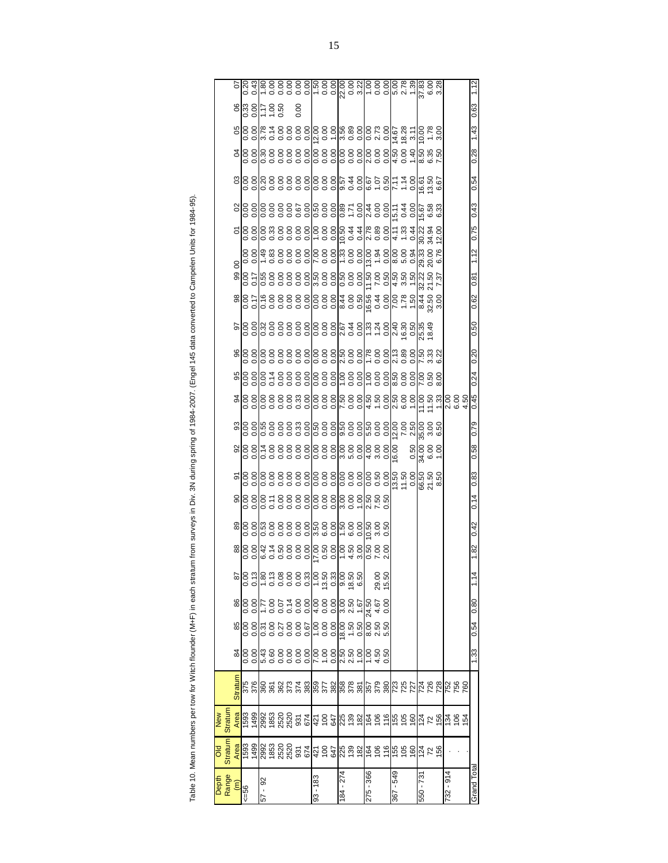| litch flounder (M+F) in each stratum from surveys in Div. 3N during spring of 1984-2007. (Engel 145 data converted to Campelen Units for 1984-95) |
|---------------------------------------------------------------------------------------------------------------------------------------------------|
|                                                                                                                                                   |
|                                                                                                                                                   |
|                                                                                                                                                   |
|                                                                                                                                                   |
|                                                                                                                                                   |
|                                                                                                                                                   |
|                                                                                                                                                   |
|                                                                                                                                                   |
|                                                                                                                                                   |
|                                                                                                                                                   |
|                                                                                                                                                   |
|                                                                                                                                                   |
|                                                                                                                                                   |
| Table 10. Mean numbers per tow for W                                                                                                              |
|                                                                                                                                                   |
|                                                                                                                                                   |

|                                                                                                                                                                                      | 5                                      | $0.20$<br>0.43                                |           |                   | 8888888888<br>- 00000000000                                                      |         |      |              |                                                      |      |                  |                                                 |           |                       |                   |                            |      |                      | 37.83<br>6.00<br>3.28            |                     |       |               |                        |             |
|--------------------------------------------------------------------------------------------------------------------------------------------------------------------------------------|----------------------------------------|-----------------------------------------------|-----------|-------------------|----------------------------------------------------------------------------------|---------|------|--------------|------------------------------------------------------|------|------------------|-------------------------------------------------|-----------|-----------------------|-------------------|----------------------------|------|----------------------|----------------------------------|---------------------|-------|---------------|------------------------|-------------|
|                                                                                                                                                                                      |                                        | $\frac{8}{3}$ $\frac{8}{3}$                   |           | 1.0<br>1.0<br>1.1 |                                                                                  | 0.00    |      |              |                                                      |      |                  |                                                 |           |                       |                   |                            |      |                      |                                  |                     |       |               |                        | 0.63        |
|                                                                                                                                                                                      |                                        | $\frac{8}{6}$                                 |           |                   | 878888<br>878888                                                                 |         |      |              |                                                      |      |                  |                                                 |           |                       |                   | 14.67                      |      | $\frac{18.28}{3.11}$ | 0.00                             | $\frac{1.78}{3.00}$ |       |               |                        | 1.43        |
|                                                                                                                                                                                      | 3                                      | 0.00<br>0.0                                   |           |                   |                                                                                  |         | 0.00 | 0.00         |                                                      | 0.00 |                  | 0.00<br>0.00<br>0.00                            |           | 000<br>000<br>000     |                   | 8<br>0.34<br>1.4           |      |                      | 09<br>09<br>09<br>09<br>09<br>09 |                     |       |               |                        | 0.28        |
|                                                                                                                                                                                      | පි                                     | 0.00<br>0.00                                  |           |                   |                                                                                  |         |      |              |                                                      |      |                  |                                                 |           | 6.67<br>1.07<br>0.50  |                   | 7.14<br>1.14<br>0.00       |      |                      | 16.51<br>13.50<br>6.67           |                     |       |               |                        | 0.54        |
|                                                                                                                                                                                      |                                        | $\frac{8}{6}$                                 |           |                   | 00<br>0000000<br>0000000                                                         |         |      |              |                                                      |      |                  | 8 3 8 8 7 8<br> 8 8 8 8 7 8<br> 9 9 9 9 9 9     |           | $\frac{2000}{400}$    |                   | 0.00<br>0.44<br>0.00       |      |                      | 5.58<br>6.58<br>6.33             |                     |       |               |                        | 0.43        |
|                                                                                                                                                                                      | δ                                      | 0.00                                          |           |                   | 8 2 3 8 8<br>8 3 8 8 8                                                           |         | 0.00 | 0.00         |                                                      | 0.00 | 0.50             | ०.<br>स                                         |           |                       |                   | 4.11                       | 1.33 | 0.44                 | 30.22<br>34.94                   |                     | 12.00 |               |                        | 0.75        |
|                                                                                                                                                                                      |                                        | 88<br>0.00                                    |           |                   | 288888                                                                           |         | 0.00 | 0.00         |                                                      | 0.00 | 1.33             | $\frac{80}{0.00}$                               | 13.00     |                       | $\frac{1.90}{94}$ | $\frac{8.00}{5.00}$        |      | 0.94                 | 29.33<br>20.00                   |                     | 6.76  |               |                        | 1.12        |
|                                                                                                                                                                                      | 8                                      | $rac{30}{60}$                                 |           |                   |                                                                                  | 0.00000 |      | 3.50<br>0.00 |                                                      | 0.00 | 0.50             | $\frac{80}{00}$                                 | 11.50     |                       | $7.00$<br>$0.50$  | $4.50$<br>$0.56$<br>$0.54$ |      |                      | 32.22                            | 21.50               | 7.37  |               |                        | 0.81        |
|                                                                                                                                                                                      | $\frac{8}{2}$                          | $\frac{0.00}{0.17}$                           |           |                   | 9888<br>9888                                                                     | 0.00    | 0.00 | 8.00<br>0.00 |                                                      | 0.00 | 8.44             | 8.50<br>0.50                                    | 99.9      | $\frac{0.00}{4}$      |                   | 7.00                       | 1.78 | 1.50                 | $\frac{83}{30}$<br>32.50         |                     |       |               |                        | 0.62        |
|                                                                                                                                                                                      | 50                                     | 88<br>0.00                                    |           |                   | 0<br>0000000<br>0000000                                                          |         |      | 0.00         |                                                      |      | $0.00$<br>$2.67$ | $rac{0}{4}$                                     |           | $\frac{133}{120}$     |                   | 2.40<br>16.30<br>0.50      |      |                      | 25.35<br>18.49                   |                     |       |               |                        | 0.50        |
|                                                                                                                                                                                      | 96                                     | 0.00<br>0.0                                   |           |                   | 8<br>888888<br>88888                                                             |         |      |              |                                                      |      |                  |                                                 |           | 00:0<br>00:0          |                   | 2.13<br>0.89<br>0.00       |      |                      | 233<br>2332<br>23                |                     |       |               |                        | 0.20        |
|                                                                                                                                                                                      |                                        | $rac{8}{6}$                                   |           |                   | 818888<br>818888<br>818                                                          |         |      |              | 0.00<br>0.00<br>0.0                                  |      |                  | 0.00<br>0.00<br>0.0                             |           | 00:0<br>00:0<br>00:1  |                   | 00<br>00<br>09<br>09       |      |                      |                                  |                     |       |               |                        | 0.24        |
|                                                                                                                                                                                      | 5                                      | 0.00<br>0.0                                   |           |                   | 00000000<br>000000000<br>00000000                                                |         |      |              |                                                      |      |                  |                                                 |           |                       |                   | 2.50<br>6.00               |      | 1.00                 | 1.00                             | $1.50$<br>$1.33$    |       |               | ខ្លួ ខ្លួ<br>តំបូង     | 0.45        |
|                                                                                                                                                                                      |                                        | $\frac{88}{68}$                               |           |                   | 0.00<br>0.000<br>0.000<br>0.00                                                   |         |      | 0.00<br>0.50 |                                                      | 0.50 |                  | 0.00000                                         |           | ြို့ 8 8<br>မြို့ ၁ ၁ |                   | 12.00<br>7.00<br>2.50      |      |                      | 35.00                            |                     | 6.50  |               |                        | 0.79        |
|                                                                                                                                                                                      | 9                                      | 0.00<br>0.0                                   |           |                   | s<br>188888<br>18888                                                             |         |      |              | 0.00<br>0.00<br>0.00                                 |      |                  | 00<br>00<br>00<br>00                            | 4.00      |                       | 3.00              | 0.00                       |      | 0.50                 | 34.00                            | 6.00                |       |               |                        | 0.58        |
|                                                                                                                                                                                      | ଚ                                      | 0.00<br>0.00                                  |           |                   |                                                                                  |         |      |              |                                                      |      |                  |                                                 |           |                       |                   | 00'0<br>09'11<br>09'61     |      |                      | 66.50<br>21.50<br>8.50           |                     |       |               |                        | 0.83        |
|                                                                                                                                                                                      |                                        | $\frac{888}{68}$                              |           |                   | 8 = 8 8 8<br>8 = 8 8 8                                                           |         | 0.00 | 0.00         |                                                      | 0.00 | 3.00             | 0.00                                            |           | 0150<br>0157<br>0157  |                   |                            |      |                      |                                  |                     |       |               |                        | 0.14        |
|                                                                                                                                                                                      | 89                                     | $\frac{80}{100}$                              |           |                   | 00:0<br>00:00:00<br><b>8:5:0</b>                                                 |         |      |              | 5.50<br>6.00<br>0.00                                 |      |                  | 000<br>009<br>091                               |           | 0.50<br>0.50<br>0.50  |                   |                            |      |                      |                                  |                     |       |               |                        | 0.42        |
|                                                                                                                                                                                      | $_{\rm 88}$                            | 0.00<br>0.00                                  |           |                   | \$<br>\$\$8888<br>\$\$8888                                                       |         |      |              | $\begin{array}{c} 17.00 \\ 0.50 \\ 0.00 \end{array}$ |      |                  | 64.88                                           |           | 0.50<br>7.00<br>2.00  |                   |                            |      |                      |                                  |                     |       |               |                        | 1.82        |
|                                                                                                                                                                                      | 28                                     | 0.13                                          |           |                   | ခြင်း ခွဲ ခွဲ ခွဲ မြို့သို့ ခြင်း မြို့<br>မြို့သို့ ခွဲ ခွဲ ခွဲ မြို့သို့ မြို့ |         |      |              |                                                      |      |                  | 18.50<br>6.50                                   |           |                       | 29.00<br>15.50    |                            |      |                      |                                  |                     |       |               |                        | 1.14        |
|                                                                                                                                                                                      | 86                                     | 0.00                                          |           |                   | 1992 1993 1993 1994<br>1995 1995 1998 1999<br>1992 1994 1995 1994                |         |      |              |                                                      |      |                  |                                                 |           |                       | 0.00              |                            |      |                      |                                  |                     |       |               |                        | 0.80        |
|                                                                                                                                                                                      | 85                                     | 0.00<br>0.0                                   |           |                   |                                                                                  |         |      |              |                                                      |      |                  | $\frac{8}{8}$ $\frac{6}{8}$ $\frac{6}{8}$       |           |                       |                   |                            |      |                      |                                  |                     |       |               |                        | 0.54        |
|                                                                                                                                                                                      | 84                                     | 8.00<br>0.00                                  |           |                   | <sup>2</sup><br>ដូចទីទីទីទី                                                      |         |      |              |                                                      |      |                  |                                                 |           | $1.50$<br>$0.50$      |                   |                            |      |                      |                                  |                     |       |               |                        | 1.33        |
|                                                                                                                                                                                      | Stratum                                | 375<br>376                                    |           |                   |                                                                                  |         |      |              |                                                      |      |                  |                                                 |           |                       |                   |                            |      |                      |                                  |                     |       |               | <u>នេះ ដែល និង និង</u> |             |
|                                                                                                                                                                                      |                                        |                                               |           |                   |                                                                                  |         |      |              |                                                      |      |                  |                                                 |           |                       |                   |                            |      |                      |                                  |                     |       |               |                        |             |
|                                                                                                                                                                                      | <b>Stratum</b><br>New<br>Area          |                                               |           |                   |                                                                                  |         |      |              |                                                      |      |                  |                                                 |           |                       |                   |                            |      |                      |                                  |                     |       |               |                        |             |
|                                                                                                                                                                                      | Stratum<br>Area<br>ŏ                   | 1590 36<br>1900 36 36 36 4<br>1900 36 36 36 4 |           |                   |                                                                                  |         |      |              |                                                      |      |                  | ង់ កូ ឌីឌ្រី ឆ្ង ឆ្ង ធ្ង ត្ថ ត ត្រូ ន និង្គ ដ ន |           |                       |                   |                            |      |                      |                                  |                     |       |               |                        |             |
| Table 10. Mean numbers per tow for Witch flounder (M+F) in each stratum from surveys in Div. 3N during spring of 1984-2007. (Engel 145 data converted to Campelen Units for 1984-95) | Depth<br>Range<br>$\widehat{\epsilon}$ | $56 = 56$                                     | $57 - 92$ |                   |                                                                                  |         |      | $93 - 183$   |                                                      |      | 184 - 274        |                                                 | 275 - 366 |                       |                   | $-549$<br>367              |      |                      | 550 - 731                        |                     |       | $-914$<br>732 |                        | Grand Total |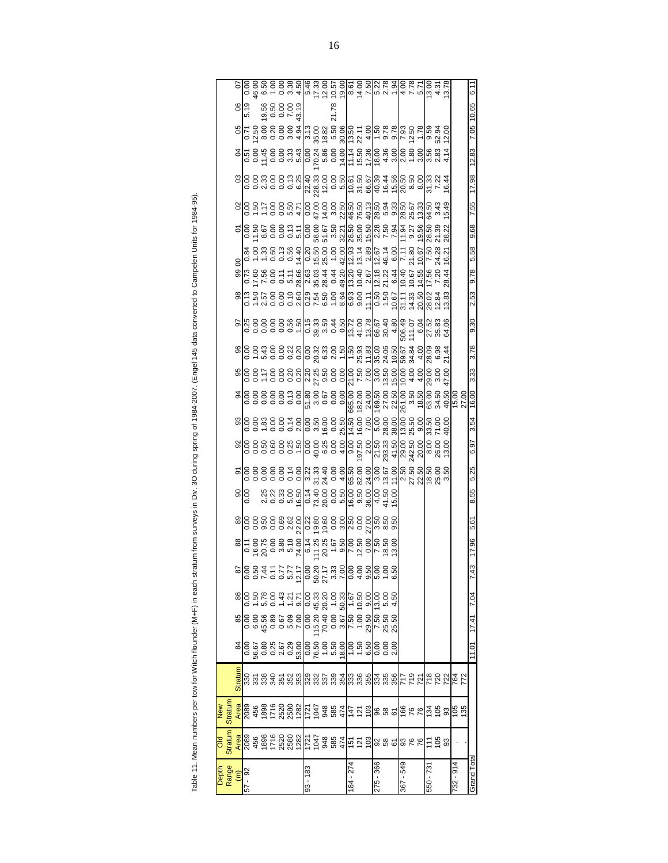|   | werted to Campelen                  |
|---|-------------------------------------|
|   |                                     |
|   |                                     |
|   | 7. (Engel 145 data cor              |
|   |                                     |
|   |                                     |
|   | $\frac{1}{2}$<br>こくて                |
|   | į<br>j                              |
|   | iv ∢                                |
|   | ;<br>1                              |
|   |                                     |
|   | in each stratum trom sun            |
|   |                                     |
| l |                                     |
|   | i                                   |
|   | Î<br>j                              |
|   | ֞<br>ׇ֘֒<br>$\overline{ }$          |
|   | $\ddot{}}$<br>j                     |
|   | hers ner 1<br>j<br>)<br>=<br>=<br>Ş |
|   | ١<br>i<br>)<br>)                    |
|   | Moore                               |
|   | ir ahlar                            |

|                          | <b>DIO</b>                                                                 | MeM                                                                                                                                                                       |  |                                                                                 |                                                                                                                        |      |       |      |                |      |      |                                                                                                                                                                                                         |       |      |      |      |      |                |                                                                       |              |       |                                                                                                            |            |                        |      |
|--------------------------|----------------------------------------------------------------------------|---------------------------------------------------------------------------------------------------------------------------------------------------------------------------|--|---------------------------------------------------------------------------------|------------------------------------------------------------------------------------------------------------------------|------|-------|------|----------------|------|------|---------------------------------------------------------------------------------------------------------------------------------------------------------------------------------------------------------|-------|------|------|------|------|----------------|-----------------------------------------------------------------------|--------------|-------|------------------------------------------------------------------------------------------------------------|------------|------------------------|------|
| Depth<br>Range           | <b>Stratum</b>                                                             | <b>Stratur</b>                                                                                                                                                            |  |                                                                                 |                                                                                                                        |      |       |      |                |      |      |                                                                                                                                                                                                         |       |      |      |      |      |                |                                                                       |              |       |                                                                                                            |            |                        |      |
| $\widehat{(\mathsf{m})}$ |                                                                            | Area                                                                                                                                                                      |  |                                                                                 |                                                                                                                        |      |       |      |                |      |      |                                                                                                                                                                                                         |       |      |      |      |      | 8              |                                                                       |              |       |                                                                                                            |            | 8 <sup>o</sup>         |      |
| $-92$<br>57              |                                                                            |                                                                                                                                                                           |  |                                                                                 |                                                                                                                        |      |       |      | $rac{90}{100}$ |      |      |                                                                                                                                                                                                         |       |      |      |      |      |                |                                                                       |              |       |                                                                                                            |            | 5.19                   |      |
|                          |                                                                            |                                                                                                                                                                           |  |                                                                                 |                                                                                                                        |      |       |      |                |      |      |                                                                                                                                                                                                         |       |      |      |      |      |                |                                                                       |              |       |                                                                                                            |            |                        |      |
|                          |                                                                            |                                                                                                                                                                           |  |                                                                                 |                                                                                                                        |      |       |      |                |      |      |                                                                                                                                                                                                         |       |      |      |      |      |                |                                                                       |              |       |                                                                                                            |            |                        |      |
|                          |                                                                            |                                                                                                                                                                           |  |                                                                                 |                                                                                                                        |      |       |      |                |      |      |                                                                                                                                                                                                         |       |      |      |      |      |                |                                                                       |              |       |                                                                                                            |            |                        |      |
|                          |                                                                            |                                                                                                                                                                           |  |                                                                                 |                                                                                                                        |      |       |      |                |      |      |                                                                                                                                                                                                         |       |      |      |      |      |                |                                                                       |              |       |                                                                                                            |            |                        |      |
|                          | <mark>န္</mark> နုမ္တ ေဆးေမွ အတြင္ ခ်ိန္ထိ ဆိုင္ရာ ေဆးေမြးေမွ ေဆးေမြးေခ် ေ | ខ្លួន តូន ដូច និងដូច និង និង ដូ <u>ក្រ ប</u> ៊ូ ទៀន ន ១ <mark>ទូ ៩ ៩ ៤ ៤ ៦ ៩ ៩ ៦ ៦ ៩</mark><br>ខ្លួន និង ៥ ១ ៩ ៥ ១ ៩ ៥ ៤ ៤ ១ <mark>៩ ៥ ១ ៤ ៥ ៤ ៤ ៤ ៤ ៤ ៤ ៤ ៤ ៤ ៤ ៤</mark> |  | ី <br> នាក្ខ័ន្ទ និង ក្ខ័ន្ធ <br> នាក្ខ័ន្ទ និង ក្ខ័ន្ធ ក្ខ័ន្ធ ក្ខ័ន្ធ ក្ខ័ន្ធ | <u>၂၀ – ၈ ၀ – – ၁၂၀ ရီ ၁ – ၆ – 5 ခု</u><br>၂၀ – ၈ ၀ – – ၁၂၀ ရီ ၁ – ၆ – 5 ခုခြံ<br>၂၀ – ၈ ၀ – – ၁၂၀ ရီ ၁ ခုနှစ် ၁ ခုခြံ |      |       |      |                |      |      | ၂၀၀ – ၀၀၀ ျ၀ မွ နွ ၁ (၁) မွ နွ နွ ၂၀၀ – ၁၀၀ – ၁၀၀ – ၁၀၀ – ၁၉၀ – ၁၉၀ – ၁၉၀ – ၁၉၀ – ၁၉၀<br>၂၀၀ – ၀၀၀ – ၁၉၀ – ၁၉၀ – ၁၉၀ – ၁၉၀ – ၁၉၀ – ၁၉၀ – ၁၉၀ – ၁၉၀ – ၁၉၀ – ၁၉၀ – ၁၉၀ – ၁၉၀ – ၁၉၀ – ၁၉၀ – ၁၉၀ – ၁၉၀ – ၁၉ |       |      |      |      |      |                | <br>  <br>  កូដុំ ឌុំ កូន កូន កូន កូន មូន មូន មូន មូន អូន អូន មូន មូន |              |       | ၀၀ = ၀၀ ၑ ၈  ၀ ၆ ၈ ၀ 4  = ၈ ၄  ၈ န ဖ  ဖ မ ဖ  ဖ ဖ န<br>  ၀၀ = ၀၀ ၑ ၈  ၀ ၆ ၈ ၀ 4  = ၈ ၄  ၈ န ဖ  ဖ မ ဖ  ဖ ဖ န |            | 85600<br>19500<br>1950 |      |
|                          |                                                                            |                                                                                                                                                                           |  |                                                                                 |                                                                                                                        |      |       |      |                |      |      |                                                                                                                                                                                                         |       |      |      |      |      |                |                                                                       |              |       |                                                                                                            |            |                        |      |
| $93 - 183$               |                                                                            |                                                                                                                                                                           |  |                                                                                 |                                                                                                                        |      |       |      |                |      |      |                                                                                                                                                                                                         |       |      |      |      |      |                |                                                                       |              |       |                                                                                                            |            |                        |      |
|                          |                                                                            |                                                                                                                                                                           |  |                                                                                 |                                                                                                                        |      |       |      |                |      |      |                                                                                                                                                                                                         |       |      |      |      |      |                |                                                                       |              |       |                                                                                                            |            |                        |      |
|                          |                                                                            |                                                                                                                                                                           |  |                                                                                 |                                                                                                                        |      |       |      |                |      |      |                                                                                                                                                                                                         |       |      |      |      |      |                |                                                                       |              |       |                                                                                                            |            |                        |      |
|                          |                                                                            |                                                                                                                                                                           |  |                                                                                 |                                                                                                                        |      |       |      |                |      |      |                                                                                                                                                                                                         |       |      |      |      |      |                |                                                                       |              |       |                                                                                                            |            | 21.78                  |      |
|                          |                                                                            |                                                                                                                                                                           |  |                                                                                 |                                                                                                                        |      |       |      |                |      |      |                                                                                                                                                                                                         |       |      |      |      |      |                |                                                                       |              |       |                                                                                                            |            |                        |      |
| 84 - 274                 |                                                                            |                                                                                                                                                                           |  |                                                                                 |                                                                                                                        |      |       |      |                |      |      |                                                                                                                                                                                                         |       |      |      |      |      |                |                                                                       |              |       |                                                                                                            |            |                        |      |
|                          |                                                                            |                                                                                                                                                                           |  |                                                                                 |                                                                                                                        |      |       |      |                |      |      |                                                                                                                                                                                                         |       |      |      |      |      |                |                                                                       |              |       |                                                                                                            |            |                        |      |
|                          |                                                                            |                                                                                                                                                                           |  |                                                                                 |                                                                                                                        |      |       |      |                |      |      |                                                                                                                                                                                                         |       |      |      |      |      |                |                                                                       |              |       |                                                                                                            |            |                        |      |
| $-366$<br>275            |                                                                            |                                                                                                                                                                           |  |                                                                                 |                                                                                                                        |      |       |      |                |      |      |                                                                                                                                                                                                         |       |      |      |      |      |                |                                                                       |              |       |                                                                                                            |            |                        |      |
|                          |                                                                            |                                                                                                                                                                           |  |                                                                                 |                                                                                                                        |      |       |      |                |      |      |                                                                                                                                                                                                         |       |      |      |      |      |                |                                                                       |              |       |                                                                                                            |            |                        |      |
|                          |                                                                            |                                                                                                                                                                           |  |                                                                                 | 4.50                                                                                                                   |      |       |      |                |      |      |                                                                                                                                                                                                         |       |      |      |      |      |                |                                                                       |              |       |                                                                                                            |            |                        |      |
| 367 - 549                |                                                                            |                                                                                                                                                                           |  |                                                                                 |                                                                                                                        |      |       |      |                |      |      |                                                                                                                                                                                                         |       |      |      |      |      |                |                                                                       |              |       |                                                                                                            |            |                        |      |
|                          |                                                                            |                                                                                                                                                                           |  |                                                                                 |                                                                                                                        |      |       |      |                |      |      |                                                                                                                                                                                                         |       |      |      |      |      |                |                                                                       |              |       |                                                                                                            |            |                        |      |
|                          |                                                                            |                                                                                                                                                                           |  |                                                                                 |                                                                                                                        |      |       |      |                |      |      |                                                                                                                                                                                                         |       |      |      |      |      |                |                                                                       |              |       |                                                                                                            |            |                        |      |
| $550 - 731$              |                                                                            |                                                                                                                                                                           |  |                                                                                 |                                                                                                                        |      |       |      |                |      |      |                                                                                                                                                                                                         |       |      |      |      |      |                |                                                                       |              |       |                                                                                                            |            |                        |      |
|                          |                                                                            |                                                                                                                                                                           |  |                                                                                 |                                                                                                                        |      |       |      |                |      |      |                                                                                                                                                                                                         |       |      |      |      |      |                |                                                                       |              |       |                                                                                                            |            |                        |      |
|                          |                                                                            |                                                                                                                                                                           |  |                                                                                 |                                                                                                                        |      |       |      |                |      |      |                                                                                                                                                                                                         |       |      |      |      |      | $16.2^{\circ}$ |                                                                       |              |       |                                                                                                            |            |                        |      |
| $-914$<br>732            |                                                                            |                                                                                                                                                                           |  |                                                                                 |                                                                                                                        |      |       |      |                |      |      |                                                                                                                                                                                                         |       |      |      |      |      |                |                                                                       |              |       |                                                                                                            |            |                        |      |
|                          |                                                                            |                                                                                                                                                                           |  |                                                                                 |                                                                                                                        |      |       |      |                |      |      |                                                                                                                                                                                                         |       |      |      |      |      |                |                                                                       |              |       |                                                                                                            |            |                        |      |
| Grand Tota               |                                                                            |                                                                                                                                                                           |  | $11.01$ $17.41$ $7.04$                                                          |                                                                                                                        | 7.43 | 17.96 | 5.61 | 8.55           | 5.25 | 6.97 | 3.54                                                                                                                                                                                                    | 16.00 | 3.33 | 3.78 | 0.30 | 2.53 | 9.78           | 5.58                                                                  | 7.55<br>9.68 | 17.98 | 12.83                                                                                                      | 7.05 10.65 |                        | 6.11 |
|                          |                                                                            |                                                                                                                                                                           |  |                                                                                 |                                                                                                                        |      |       |      |                |      |      |                                                                                                                                                                                                         |       |      |      |      |      |                |                                                                       |              |       |                                                                                                            |            |                        |      |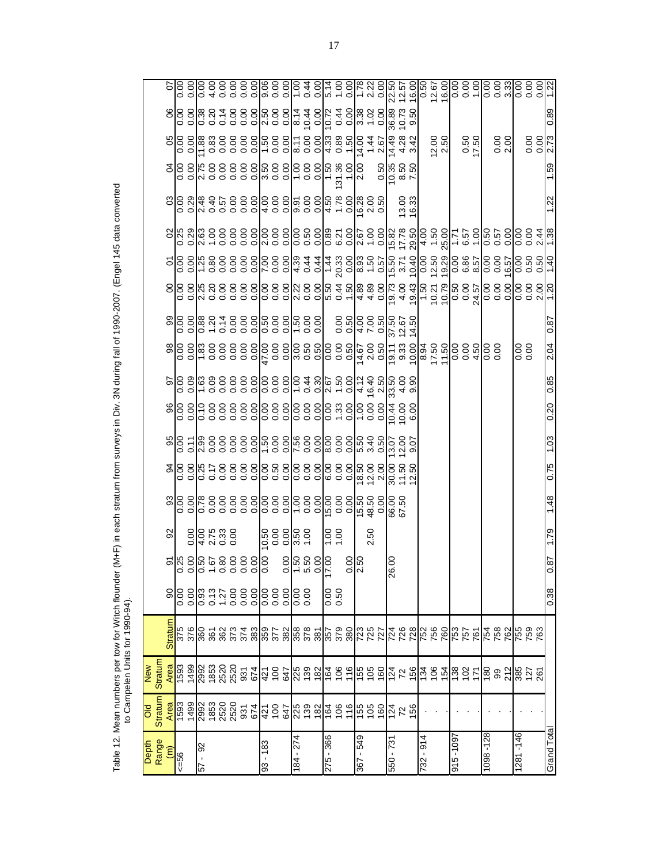| Depth<br>Range           | ᅙ              | New                    |                |                |                |                                                                        |      |      |      |                                                                                                         |      |                  |                                             |                                                                                                                                                                                 |  |                    |                                                                                     |                                                                                                                  |                                                  |                                 |
|--------------------------|----------------|------------------------|----------------|----------------|----------------|------------------------------------------------------------------------|------|------|------|---------------------------------------------------------------------------------------------------------|------|------------------|---------------------------------------------|---------------------------------------------------------------------------------------------------------------------------------------------------------------------------------|--|--------------------|-------------------------------------------------------------------------------------|------------------------------------------------------------------------------------------------------------------|--------------------------------------------------|---------------------------------|
| $\widehat{(\mathbb{m})}$ | <b>Stratum</b> | <b>Stratum</b><br>Area | <b>Stratum</b> | $\overline{6}$ |                | $\frac{8}{2}$                                                          |      |      |      |                                                                                                         |      |                  |                                             |                                                                                                                                                                                 |  |                    |                                                                                     |                                                                                                                  |                                                  |                                 |
| $56 = 56$                |                |                        |                |                |                |                                                                        |      |      |      | e la ala a a a a ala a ala a ala a ala a ala a al<br>e la ala a a a a ala a ala a ala a ala a ala a ala |      |                  |                                             | ၀ ၀  u ၀ ၀ ၀ ၀ ၀  ၀ ၀ ၀  u ၀ ၀  u ၀ -  4 4 ၀  စ် 4 စ်  - ၁ ၁  ၀ ၀ ¼  ၀ ၀ ၀  ၀ ၀ v  -<br>  ၀ ၀  u ၀ ၀ ၀ ၀ ၀  ၀ ၀ ၀  v ၀ ၀  ပု ၀ -  4 4 ၀  စ် 4 စ်  - ၁ ၁  ၀ ၀ ¼  ၀ ၀ ၀  ၀ ၀ v  - |  |                    |                                                                                     | ၂၀ ၁ - ၁ ၁ ၁ ၁ ၁ - ၁ ၁ ∞ ၁ ၁ 4 ၁ - 4 - <u>v 4 4 w </u><br>၂၀ ၁ – ၁ ၁ ၁ ၁ ၁ - ၁ ၁ ∞ ၁ ၁ 4 ၁ - 4 - <i>v</i>  4 4 w | 88888758888887488748888<br>888887588888874887488 |                                 |
| 92<br>$-19$              |                |                        |                |                |                | $\frac{14}{9}$ $\frac{4}{9}$ $\frac{6}{9}$ $\frac{6}{9}$ $\frac{6}{9}$ |      |      |      |                                                                                                         |      |                  |                                             |                                                                                                                                                                                 |  |                    |                                                                                     |                                                                                                                  |                                                  |                                 |
|                          |                |                        |                |                |                |                                                                        |      |      |      |                                                                                                         |      |                  |                                             |                                                                                                                                                                                 |  |                    |                                                                                     |                                                                                                                  |                                                  |                                 |
|                          |                |                        |                |                |                |                                                                        |      |      |      |                                                                                                         |      |                  |                                             |                                                                                                                                                                                 |  |                    |                                                                                     |                                                                                                                  |                                                  |                                 |
|                          |                |                        |                |                |                |                                                                        |      |      |      |                                                                                                         |      |                  |                                             |                                                                                                                                                                                 |  |                    |                                                                                     |                                                                                                                  |                                                  |                                 |
|                          |                |                        |                |                |                |                                                                        |      |      |      |                                                                                                         |      |                  |                                             |                                                                                                                                                                                 |  |                    |                                                                                     |                                                                                                                  |                                                  |                                 |
|                          |                |                        |                |                |                |                                                                        |      |      |      |                                                                                                         |      |                  |                                             |                                                                                                                                                                                 |  |                    |                                                                                     |                                                                                                                  |                                                  |                                 |
| 83 - 183                 |                |                        |                |                |                |                                                                        |      |      |      |                                                                                                         |      |                  |                                             |                                                                                                                                                                                 |  |                    |                                                                                     |                                                                                                                  |                                                  |                                 |
|                          |                |                        |                |                |                |                                                                        |      |      |      |                                                                                                         |      |                  |                                             |                                                                                                                                                                                 |  |                    |                                                                                     |                                                                                                                  |                                                  |                                 |
|                          |                |                        |                |                |                |                                                                        |      |      |      |                                                                                                         |      |                  |                                             |                                                                                                                                                                                 |  |                    |                                                                                     |                                                                                                                  |                                                  |                                 |
| 184 - 274                |                |                        |                |                |                |                                                                        |      |      |      |                                                                                                         |      |                  |                                             |                                                                                                                                                                                 |  |                    |                                                                                     |                                                                                                                  |                                                  |                                 |
|                          |                |                        |                |                |                |                                                                        |      |      |      |                                                                                                         |      |                  |                                             |                                                                                                                                                                                 |  |                    |                                                                                     |                                                                                                                  |                                                  |                                 |
|                          |                |                        |                |                |                |                                                                        |      |      |      |                                                                                                         |      |                  |                                             |                                                                                                                                                                                 |  |                    |                                                                                     |                                                                                                                  |                                                  |                                 |
| 275 - 366                |                |                        |                | 0.50           |                | $\frac{188}{15}$                                                       |      |      |      |                                                                                                         |      |                  |                                             |                                                                                                                                                                                 |  |                    |                                                                                     |                                                                                                                  |                                                  |                                 |
|                          |                |                        |                |                |                |                                                                        |      |      |      |                                                                                                         |      |                  |                                             |                                                                                                                                                                                 |  |                    |                                                                                     |                                                                                                                  |                                                  |                                 |
|                          |                |                        |                |                | ခဲ့ပြီ<br>ାଧ   |                                                                        |      |      |      |                                                                                                         |      |                  |                                             |                                                                                                                                                                                 |  |                    |                                                                                     |                                                                                                                  |                                                  |                                 |
| 845 - 298                |                |                        |                |                |                |                                                                        |      |      |      |                                                                                                         |      |                  |                                             |                                                                                                                                                                                 |  |                    |                                                                                     |                                                                                                                  |                                                  |                                 |
|                          |                |                        |                |                |                | 2.50                                                                   |      |      |      |                                                                                                         |      |                  |                                             |                                                                                                                                                                                 |  |                    |                                                                                     |                                                                                                                  |                                                  |                                 |
|                          |                |                        |                |                |                |                                                                        |      |      |      |                                                                                                         |      |                  |                                             |                                                                                                                                                                                 |  |                    |                                                                                     |                                                                                                                  |                                                  |                                 |
| -21 - 59                 |                |                        |                |                | S<br>26        |                                                                        |      |      |      |                                                                                                         |      |                  | 0<br>0 0 4 5 0 6 6 7 6<br>0 0 4 5 0 6 7 6 7 |                                                                                                                                                                                 |  |                    | $\frac{1}{2}$ $\frac{1}{2}$ $\frac{1}{2}$ $\frac{1}{2}$ $\frac{1}{2}$ $\frac{1}{2}$ |                                                                                                                  | 36.89<br>10.73<br>9.50                           |                                 |
|                          |                |                        |                |                |                |                                                                        |      |      |      |                                                                                                         |      |                  |                                             |                                                                                                                                                                                 |  | $13.00$<br>$16.33$ |                                                                                     |                                                                                                                  |                                                  |                                 |
|                          |                |                        |                |                |                |                                                                        |      |      |      |                                                                                                         |      |                  |                                             |                                                                                                                                                                                 |  |                    |                                                                                     |                                                                                                                  |                                                  |                                 |
| 182-914                  |                |                        |                |                |                |                                                                        |      |      |      |                                                                                                         |      |                  |                                             |                                                                                                                                                                                 |  |                    |                                                                                     |                                                                                                                  |                                                  |                                 |
|                          |                |                        |                |                |                |                                                                        |      |      |      |                                                                                                         |      |                  |                                             |                                                                                                                                                                                 |  |                    |                                                                                     | $\frac{2.50}{2.50}$                                                                                              |                                                  |                                 |
|                          |                |                        |                |                |                |                                                                        |      |      |      |                                                                                                         |      |                  |                                             |                                                                                                                                                                                 |  |                    |                                                                                     |                                                                                                                  |                                                  |                                 |
| $915 - 109$              |                |                        |                |                |                |                                                                        |      |      |      |                                                                                                         |      |                  |                                             |                                                                                                                                                                                 |  |                    |                                                                                     |                                                                                                                  |                                                  |                                 |
|                          |                |                        |                |                |                |                                                                        |      |      |      |                                                                                                         |      |                  |                                             |                                                                                                                                                                                 |  |                    |                                                                                     | 0.50                                                                                                             |                                                  |                                 |
|                          |                |                        |                |                |                |                                                                        |      |      |      |                                                                                                         |      |                  |                                             |                                                                                                                                                                                 |  |                    |                                                                                     |                                                                                                                  |                                                  |                                 |
| 1098-128                 |                |                        |                |                |                |                                                                        |      |      |      |                                                                                                         |      | $\frac{80}{100}$ |                                             |                                                                                                                                                                                 |  |                    |                                                                                     |                                                                                                                  |                                                  | $\frac{8}{5}$ $\frac{8}{3}$     |
|                          |                |                        |                |                |                |                                                                        |      |      |      |                                                                                                         |      |                  |                                             |                                                                                                                                                                                 |  |                    |                                                                                     | 0.00000                                                                                                          |                                                  |                                 |
|                          |                |                        |                |                |                |                                                                        |      |      |      |                                                                                                         |      |                  |                                             |                                                                                                                                                                                 |  |                    |                                                                                     |                                                                                                                  |                                                  |                                 |
| 1281-146                 |                |                        |                |                |                |                                                                        |      |      |      |                                                                                                         |      | 0.00<br>0.0      |                                             |                                                                                                                                                                                 |  |                    |                                                                                     |                                                                                                                  |                                                  |                                 |
|                          |                |                        |                |                |                |                                                                        |      |      |      |                                                                                                         |      |                  |                                             |                                                                                                                                                                                 |  |                    |                                                                                     | $rac{88}{3273}$                                                                                                  |                                                  | 8 8 8 8<br> 8 8 8 8<br> 9 9 9 9 |
|                          |                |                        |                |                |                |                                                                        |      |      |      |                                                                                                         |      |                  |                                             |                                                                                                                                                                                 |  |                    |                                                                                     |                                                                                                                  |                                                  |                                 |
| Grand Total              |                |                        |                | 0.38           | $\overline{8}$ | 1.79                                                                   | 1.48 | 0.75 | 1.03 | 0.20                                                                                                    | 0.85 | 2.04             | 0.87                                        |                                                                                                                                                                                 |  | 1.22               | 1.59                                                                                |                                                                                                                  | 0.89                                             |                                 |

Table 12. Mean numbers per tow for Witch flounder (M+F) in each stratum from surveys in Div. 3N during fall of 1990-2007. (Engel 145 data converted<br>to Campelen Units for 1990-94). Table 12. Mean numbers per tow for Witch flounder (M+F) in each stratum from surveys in Div. 3N during fall of 1990-2007. (Engel 145 data converted to Campelen Units for 1990-94).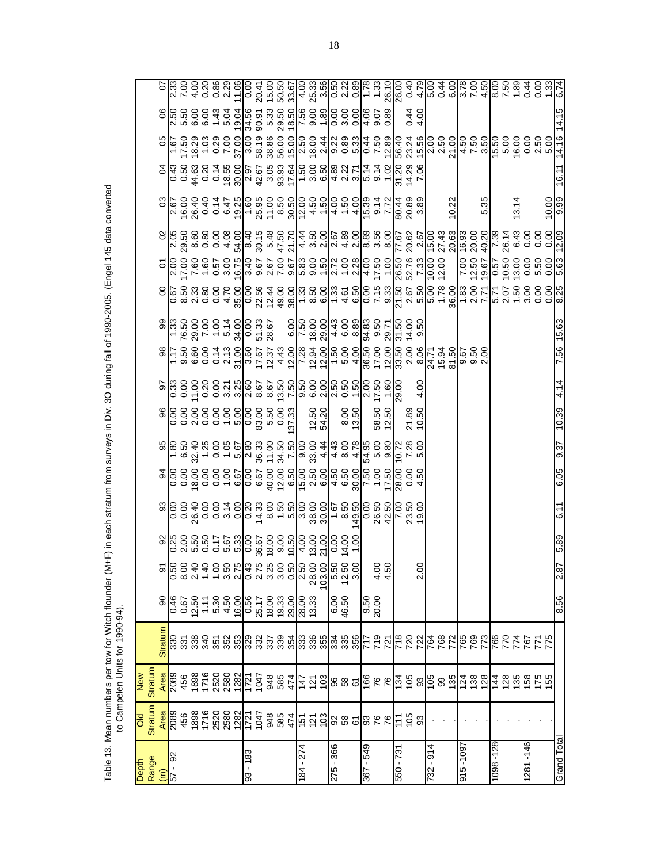| Depth                         | <b>Stratum</b><br>ᅙ | <b>Stratum</b><br>New                                                                          |                 |                                                       |              |      |      |      |                                                                                                                                                                                                                                |                                |                                                                                                                                            |                                                                                                                                                                                                                                                                                                                     |                                                                                                                                                                                                                                                                   |                                                                                                                                                                                                                                                                                                                                                                                                                                  |      |                                                                                                                                                                                                                                                                                                                     |                  |  |
|-------------------------------|---------------------|------------------------------------------------------------------------------------------------|-----------------|-------------------------------------------------------|--------------|------|------|------|--------------------------------------------------------------------------------------------------------------------------------------------------------------------------------------------------------------------------------|--------------------------------|--------------------------------------------------------------------------------------------------------------------------------------------|---------------------------------------------------------------------------------------------------------------------------------------------------------------------------------------------------------------------------------------------------------------------------------------------------------------------|-------------------------------------------------------------------------------------------------------------------------------------------------------------------------------------------------------------------------------------------------------------------|----------------------------------------------------------------------------------------------------------------------------------------------------------------------------------------------------------------------------------------------------------------------------------------------------------------------------------------------------------------------------------------------------------------------------------|------|---------------------------------------------------------------------------------------------------------------------------------------------------------------------------------------------------------------------------------------------------------------------------------------------------------------------|------------------|--|
| Range<br>$\widehat{\epsilon}$ | Area                | Area                                                                                           | <b>Stratum</b>  | $\overline{6}$                                        |              |      |      |      |                                                                                                                                                                                                                                |                                |                                                                                                                                            |                                                                                                                                                                                                                                                                                                                     |                                                                                                                                                                                                                                                                   |                                                                                                                                                                                                                                                                                                                                                                                                                                  |      |                                                                                                                                                                                                                                                                                                                     |                  |  |
| 8<br>57                       | 2089                | 2089                                                                                           |                 | 0.50<br>0.67<br>0.50                                  |              |      |      |      | $68.69$ $68.79$ $69.79$ $69.79$ $69.79$ $69.79$ $69.79$ $69.79$ $69.79$ $69.79$ $69.79$ $69.79$ $69.79$ $69.79$ $69.79$ $69.79$ $69.79$ $69.79$ $69.79$ $69.79$ $69.79$ $69.79$ $69.79$ $69.79$ $69.79$ $69.79$ $69.79$ $69.7$ | 8888888888888<br>8888888888888 | ၂၀၀ – ၁၀ မ မျှပုံ စု စု ပုံ ၂၀ မျှ မှ မျှ မှ မျှ မှ မျှ မှ မျှ မှ မျှ<br>၂၀၀ – ၁၀ မှ မျှ မှ မှ မှ မျှ မှ မျှ မှ မျှ မှ မျှ မှ မျှ မှ မျှ မ | e  - e e e e e e e la la ciencia del constructo e el esperanto<br>el estrecente de la del de la ciencia de la ciencia de la ciencia de la ciencia de la ciencia del de la cienci<br>el e e e e a de la ciencia del de la de la cienc                                                                                | 0 ∞ 0 0 0 4 Wo U n d & L ∞ o L 4 olo r ol <sup>u o</sup> d n d r - & L <i>v l o u -</i> l o o l ∞<br>8 c w u o o 4 Wo U n d & L ∞ o d L 4 olo r ol <sup>u o</sup> n d n – & L <i>v l o u -</i> l o o ol ∞<br>8 c w w o o 4 Wo U n d & L v d & D d m d o l d e d d | $\begin{array}{c}  a \; \widehat{a} \; \widehat{b} \; \widehat{c} \; \widehat{c} \; \widehat{c} \; \widehat{c} \; \widehat{c} \; \widehat{c} \; \widehat{c} \; \widehat{c} \; \widehat{c} \; \widehat{c} \; \widehat{c} \; \widehat{c} \; \widehat{c} \; \widehat{c} \; \widehat{c} \; \widehat{c} \; \widehat{c} \; \widehat{c} \; \widehat{c} \; \widehat{c} \; \widehat{c} \; \widehat{c} \; \widehat{c} \; \widehat{c} \; \$ |      | $\frac{1}{2}$ $\frac{1}{2}$ $\frac{1}{2}$ $\frac{1}{2}$ $\frac{1}{2}$ $\frac{1}{2}$ $\frac{1}{2}$ $\frac{1}{2}$ $\frac{1}{2}$ $\frac{1}{2}$ $\frac{1}{2}$ $\frac{1}{2}$ $\frac{1}{2}$ $\frac{1}{2}$ $\frac{1}{2}$ $\frac{1}{2}$ $\frac{1}{2}$ $\frac{1}{2}$ $\frac{1}{2}$ $\frac{1}{2}$ $\frac{1}{2}$ $\frac{1}{2}$ |                  |  |
|                               | 456                 | 456                                                                                            |                 |                                                       |              |      |      |      |                                                                                                                                                                                                                                |                                |                                                                                                                                            |                                                                                                                                                                                                                                                                                                                     |                                                                                                                                                                                                                                                                   |                                                                                                                                                                                                                                                                                                                                                                                                                                  |      |                                                                                                                                                                                                                                                                                                                     |                  |  |
|                               |                     |                                                                                                |                 |                                                       |              |      |      |      |                                                                                                                                                                                                                                |                                |                                                                                                                                            |                                                                                                                                                                                                                                                                                                                     |                                                                                                                                                                                                                                                                   |                                                                                                                                                                                                                                                                                                                                                                                                                                  |      |                                                                                                                                                                                                                                                                                                                     |                  |  |
|                               |                     |                                                                                                |                 |                                                       |              |      |      |      |                                                                                                                                                                                                                                |                                |                                                                                                                                            |                                                                                                                                                                                                                                                                                                                     |                                                                                                                                                                                                                                                                   |                                                                                                                                                                                                                                                                                                                                                                                                                                  |      |                                                                                                                                                                                                                                                                                                                     |                  |  |
|                               |                     | $\begin{array}{r} 1898 \\ 1716 \\ 2520 \\ 2580 \\ 2580 \\ 1721 \\ 1947 \\ 1047 \\ \end{array}$ |                 | $\begin{array}{c} 7.86 \\ -5.86 \\ -1.58 \end{array}$ |              |      |      |      |                                                                                                                                                                                                                                |                                |                                                                                                                                            |                                                                                                                                                                                                                                                                                                                     |                                                                                                                                                                                                                                                                   |                                                                                                                                                                                                                                                                                                                                                                                                                                  |      |                                                                                                                                                                                                                                                                                                                     |                  |  |
|                               |                     |                                                                                                |                 | 16.00                                                 |              |      |      |      |                                                                                                                                                                                                                                |                                |                                                                                                                                            |                                                                                                                                                                                                                                                                                                                     |                                                                                                                                                                                                                                                                   |                                                                                                                                                                                                                                                                                                                                                                                                                                  |      |                                                                                                                                                                                                                                                                                                                     |                  |  |
| $-183$<br>ဌ                   |                     |                                                                                                |                 | <b>990</b>                                            |              |      |      |      |                                                                                                                                                                                                                                |                                |                                                                                                                                            |                                                                                                                                                                                                                                                                                                                     |                                                                                                                                                                                                                                                                   |                                                                                                                                                                                                                                                                                                                                                                                                                                  |      |                                                                                                                                                                                                                                                                                                                     |                  |  |
|                               |                     |                                                                                                |                 | 25.17                                                 |              |      |      |      |                                                                                                                                                                                                                                |                                |                                                                                                                                            |                                                                                                                                                                                                                                                                                                                     |                                                                                                                                                                                                                                                                   |                                                                                                                                                                                                                                                                                                                                                                                                                                  |      |                                                                                                                                                                                                                                                                                                                     |                  |  |
|                               |                     | 948<br>585                                                                                     |                 | $18.00$<br>$19.33$                                    |              |      |      |      |                                                                                                                                                                                                                                |                                |                                                                                                                                            |                                                                                                                                                                                                                                                                                                                     |                                                                                                                                                                                                                                                                   |                                                                                                                                                                                                                                                                                                                                                                                                                                  |      |                                                                                                                                                                                                                                                                                                                     |                  |  |
|                               | 885<br>885<br>948   |                                                                                                |                 |                                                       |              |      |      |      |                                                                                                                                                                                                                                |                                |                                                                                                                                            |                                                                                                                                                                                                                                                                                                                     |                                                                                                                                                                                                                                                                   |                                                                                                                                                                                                                                                                                                                                                                                                                                  |      |                                                                                                                                                                                                                                                                                                                     |                  |  |
|                               |                     | 474                                                                                            |                 | 29.00                                                 |              |      |      |      |                                                                                                                                                                                                                                |                                |                                                                                                                                            |                                                                                                                                                                                                                                                                                                                     |                                                                                                                                                                                                                                                                   |                                                                                                                                                                                                                                                                                                                                                                                                                                  |      |                                                                                                                                                                                                                                                                                                                     |                  |  |
| $-274$<br>$\overline{8}$      | <u>ក្នុ</u>         |                                                                                                |                 | 28.00<br>13.33                                        |              |      |      |      |                                                                                                                                                                                                                                |                                |                                                                                                                                            |                                                                                                                                                                                                                                                                                                                     |                                                                                                                                                                                                                                                                   |                                                                                                                                                                                                                                                                                                                                                                                                                                  |      |                                                                                                                                                                                                                                                                                                                     |                  |  |
|                               |                     | <u> 수 선 이</u>                                                                                  |                 |                                                       |              |      |      |      |                                                                                                                                                                                                                                | 12.50<br>54.20                 |                                                                                                                                            |                                                                                                                                                                                                                                                                                                                     |                                                                                                                                                                                                                                                                   |                                                                                                                                                                                                                                                                                                                                                                                                                                  |      |                                                                                                                                                                                                                                                                                                                     |                  |  |
|                               | $\tilde{c}$         |                                                                                                |                 |                                                       | $\mathbf{S}$ |      |      |      |                                                                                                                                                                                                                                |                                |                                                                                                                                            |                                                                                                                                                                                                                                                                                                                     |                                                                                                                                                                                                                                                                   |                                                                                                                                                                                                                                                                                                                                                                                                                                  |      |                                                                                                                                                                                                                                                                                                                     |                  |  |
| 275 - 366                     |                     |                                                                                                |                 | 09:97<br>00:9                                         |              |      |      |      |                                                                                                                                                                                                                                |                                |                                                                                                                                            |                                                                                                                                                                                                                                                                                                                     |                                                                                                                                                                                                                                                                   |                                                                                                                                                                                                                                                                                                                                                                                                                                  |      |                                                                                                                                                                                                                                                                                                                     |                  |  |
|                               |                     |                                                                                                |                 |                                                       |              |      |      |      |                                                                                                                                                                                                                                |                                |                                                                                                                                            |                                                                                                                                                                                                                                                                                                                     |                                                                                                                                                                                                                                                                   |                                                                                                                                                                                                                                                                                                                                                                                                                                  |      |                                                                                                                                                                                                                                                                                                                     |                  |  |
|                               | 885                 |                                                                                                |                 |                                                       |              |      |      |      |                                                                                                                                                                                                                                | 8.00<br>13.50                  |                                                                                                                                            |                                                                                                                                                                                                                                                                                                                     |                                                                                                                                                                                                                                                                   |                                                                                                                                                                                                                                                                                                                                                                                                                                  |      |                                                                                                                                                                                                                                                                                                                     |                  |  |
| 549<br>$\blacksquare$<br>367  |                     |                                                                                                |                 | 00.02<br>09.6                                         |              |      |      |      |                                                                                                                                                                                                                                |                                |                                                                                                                                            |                                                                                                                                                                                                                                                                                                                     |                                                                                                                                                                                                                                                                   |                                                                                                                                                                                                                                                                                                                                                                                                                                  |      |                                                                                                                                                                                                                                                                                                                     |                  |  |
|                               | 326                 |                                                                                                |                 |                                                       | នន<br>न न    |      |      |      |                                                                                                                                                                                                                                | 58.50<br>12.50                 |                                                                                                                                            |                                                                                                                                                                                                                                                                                                                     |                                                                                                                                                                                                                                                                   |                                                                                                                                                                                                                                                                                                                                                                                                                                  |      |                                                                                                                                                                                                                                                                                                                     |                  |  |
|                               |                     |                                                                                                |                 |                                                       |              |      |      |      |                                                                                                                                                                                                                                |                                |                                                                                                                                            |                                                                                                                                                                                                                                                                                                                     |                                                                                                                                                                                                                                                                   |                                                                                                                                                                                                                                                                                                                                                                                                                                  |      |                                                                                                                                                                                                                                                                                                                     |                  |  |
| $550 - 731$                   | 75                  |                                                                                                |                 |                                                       |              |      |      |      |                                                                                                                                                                                                                                |                                |                                                                                                                                            |                                                                                                                                                                                                                                                                                                                     |                                                                                                                                                                                                                                                                   |                                                                                                                                                                                                                                                                                                                                                                                                                                  |      |                                                                                                                                                                                                                                                                                                                     |                  |  |
|                               |                     |                                                                                                |                 |                                                       |              |      |      |      |                                                                                                                                                                                                                                | 21.89<br>10.50                 |                                                                                                                                            | $\frac{1}{2}$ $\frac{1}{2}$ $\frac{1}{2}$ $\frac{1}{2}$ $\frac{1}{2}$ $\frac{1}{2}$ $\frac{1}{2}$ $\frac{1}{2}$ $\frac{1}{2}$ $\frac{1}{2}$ $\frac{1}{2}$ $\frac{1}{2}$ $\frac{1}{2}$ $\frac{1}{2}$ $\frac{1}{2}$ $\frac{1}{2}$ $\frac{1}{2}$ $\frac{1}{2}$ $\frac{1}{2}$ $\frac{1}{2}$ $\frac{1}{2}$ $\frac{1}{2}$ |                                                                                                                                                                                                                                                                   |                                                                                                                                                                                                                                                                                                                                                                                                                                  |      |                                                                                                                                                                                                                                                                                                                     | $\frac{4.00}{4}$ |  |
|                               | 3                   |                                                                                                |                 |                                                       | Ń۰           |      |      |      |                                                                                                                                                                                                                                |                                | 4.00                                                                                                                                       |                                                                                                                                                                                                                                                                                                                     |                                                                                                                                                                                                                                                                   |                                                                                                                                                                                                                                                                                                                                                                                                                                  |      |                                                                                                                                                                                                                                                                                                                     |                  |  |
| $-914$<br>732                 |                     |                                                                                                |                 |                                                       |              |      |      |      |                                                                                                                                                                                                                                |                                |                                                                                                                                            |                                                                                                                                                                                                                                                                                                                     |                                                                                                                                                                                                                                                                   |                                                                                                                                                                                                                                                                                                                                                                                                                                  |      |                                                                                                                                                                                                                                                                                                                     |                  |  |
|                               |                     |                                                                                                |                 |                                                       |              |      |      |      |                                                                                                                                                                                                                                |                                |                                                                                                                                            |                                                                                                                                                                                                                                                                                                                     |                                                                                                                                                                                                                                                                   |                                                                                                                                                                                                                                                                                                                                                                                                                                  |      |                                                                                                                                                                                                                                                                                                                     |                  |  |
|                               |                     |                                                                                                |                 |                                                       |              |      |      |      |                                                                                                                                                                                                                                |                                |                                                                                                                                            |                                                                                                                                                                                                                                                                                                                     |                                                                                                                                                                                                                                                                   | 10.22                                                                                                                                                                                                                                                                                                                                                                                                                            |      |                                                                                                                                                                                                                                                                                                                     |                  |  |
| 2601-916                      |                     |                                                                                                |                 |                                                       |              |      |      |      |                                                                                                                                                                                                                                |                                |                                                                                                                                            |                                                                                                                                                                                                                                                                                                                     |                                                                                                                                                                                                                                                                   |                                                                                                                                                                                                                                                                                                                                                                                                                                  |      |                                                                                                                                                                                                                                                                                                                     |                  |  |
|                               |                     |                                                                                                |                 |                                                       |              |      |      |      |                                                                                                                                                                                                                                |                                |                                                                                                                                            |                                                                                                                                                                                                                                                                                                                     |                                                                                                                                                                                                                                                                   |                                                                                                                                                                                                                                                                                                                                                                                                                                  |      |                                                                                                                                                                                                                                                                                                                     |                  |  |
|                               |                     |                                                                                                |                 |                                                       |              |      |      |      |                                                                                                                                                                                                                                |                                |                                                                                                                                            |                                                                                                                                                                                                                                                                                                                     |                                                                                                                                                                                                                                                                   | 5.35                                                                                                                                                                                                                                                                                                                                                                                                                             |      |                                                                                                                                                                                                                                                                                                                     |                  |  |
| 098-128                       |                     |                                                                                                |                 |                                                       |              |      |      |      |                                                                                                                                                                                                                                |                                |                                                                                                                                            |                                                                                                                                                                                                                                                                                                                     |                                                                                                                                                                                                                                                                   |                                                                                                                                                                                                                                                                                                                                                                                                                                  |      |                                                                                                                                                                                                                                                                                                                     |                  |  |
|                               |                     |                                                                                                |                 |                                                       |              |      |      |      |                                                                                                                                                                                                                                |                                |                                                                                                                                            |                                                                                                                                                                                                                                                                                                                     |                                                                                                                                                                                                                                                                   |                                                                                                                                                                                                                                                                                                                                                                                                                                  |      |                                                                                                                                                                                                                                                                                                                     |                  |  |
|                               |                     |                                                                                                | $\overline{27}$ |                                                       |              |      |      |      |                                                                                                                                                                                                                                |                                |                                                                                                                                            |                                                                                                                                                                                                                                                                                                                     |                                                                                                                                                                                                                                                                   | 13.14                                                                                                                                                                                                                                                                                                                                                                                                                            |      |                                                                                                                                                                                                                                                                                                                     |                  |  |
| 1281-146                      |                     |                                                                                                |                 |                                                       |              |      |      |      |                                                                                                                                                                                                                                |                                |                                                                                                                                            |                                                                                                                                                                                                                                                                                                                     |                                                                                                                                                                                                                                                                   |                                                                                                                                                                                                                                                                                                                                                                                                                                  |      |                                                                                                                                                                                                                                                                                                                     |                  |  |
|                               |                     | $\frac{1}{4}$ 8 $\frac{1}{8}$ 8 $\frac{1}{8}$ 6 $\frac{1}{8}$ 8 $\frac{1}{8}$                  | 877<br>197      |                                                       |              |      |      |      |                                                                                                                                                                                                                                |                                |                                                                                                                                            |                                                                                                                                                                                                                                                                                                                     |                                                                                                                                                                                                                                                                   |                                                                                                                                                                                                                                                                                                                                                                                                                                  |      |                                                                                                                                                                                                                                                                                                                     |                  |  |
|                               |                     |                                                                                                |                 |                                                       |              |      |      |      |                                                                                                                                                                                                                                |                                |                                                                                                                                            |                                                                                                                                                                                                                                                                                                                     |                                                                                                                                                                                                                                                                   | $rac{8}{5}$                                                                                                                                                                                                                                                                                                                                                                                                                      |      | $0.50$<br>$0.50$<br>$0.50$<br>$0.50$<br>$0.50$                                                                                                                                                                                                                                                                      |                  |  |
| Grand Tota                    |                     |                                                                                                |                 | 8.56                                                  | 2.87         | 5.89 | 6.11 | 6.05 | 9.37                                                                                                                                                                                                                           | 10.39                          | 4.14                                                                                                                                       | 15.63<br>7.56                                                                                                                                                                                                                                                                                                       |                                                                                                                                                                                                                                                                   |                                                                                                                                                                                                                                                                                                                                                                                                                                  | 16.1 |                                                                                                                                                                                                                                                                                                                     |                  |  |

Table 13. Mean numbers per tow for Witch flounder (M+F) in each stratum from surveys in Div. 3O during fall of 1990-2005. (Engel 145 data converted<br>to Campelen Units for 1990-94). Table 13. Mean numbers per tow for Witch flounder (M+F) in each stratum from surveys in Div. 3O during fall of 1990-2005. (Engel 145 data converted to Campelen Units for 1990-94).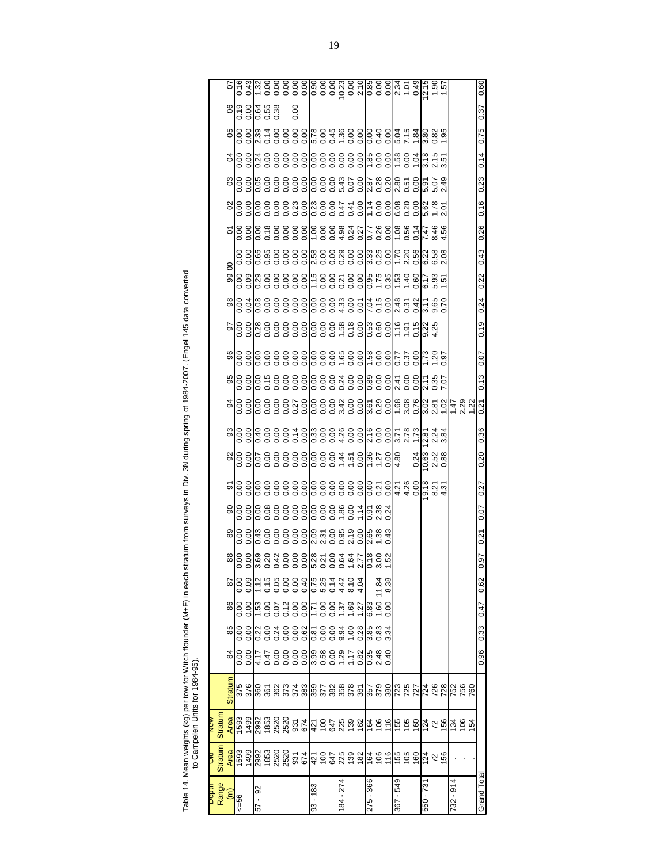| į<br>I<br>ś               |             |
|---------------------------|-------------|
|                           |             |
| ı                         |             |
| I<br>Ï<br>ś               |             |
| I                         |             |
| Ξ<br>i<br>ׇ֡֡             |             |
| l<br>ĺ<br>İ<br>j          |             |
| ц<br>j                    | İ<br>֠      |
| ١<br>j<br>í               |             |
| j<br>$\frac{1}{2}$<br>ich | i<br>Ï<br>ì |
| j<br>Table 1<br>ŀ         |             |

| Q84-Q5)  |  |
|----------|--|
|          |  |
|          |  |
|          |  |
|          |  |
|          |  |
|          |  |
|          |  |
|          |  |
| for      |  |
|          |  |
|          |  |
|          |  |
|          |  |
|          |  |
|          |  |
|          |  |
| i<br>Si  |  |
|          |  |
|          |  |
|          |  |
|          |  |
|          |  |
|          |  |
|          |  |
|          |  |
|          |  |
|          |  |
|          |  |
|          |  |
|          |  |
|          |  |
|          |  |
|          |  |
| Campolon |  |
|          |  |
|          |  |
| Į.       |  |
|          |  |
|          |  |
|          |  |
|          |  |
|          |  |
|          |  |
|          |  |
|          |  |
|          |  |
|          |  |
|          |  |
|          |  |
|          |  |
|          |  |
|          |  |

|      |                |                                           |                                                                                                                                             |      |             |       |      |                                |            |              |      |          |                                                                                                                                                                         |           |                                                                                                                                                                                                                                                                                                                                                                 |          |                         |                  |                      |           |                                  |                |           |                    | 0.60           |
|------|----------------|-------------------------------------------|---------------------------------------------------------------------------------------------------------------------------------------------|------|-------------|-------|------|--------------------------------|------------|--------------|------|----------|-------------------------------------------------------------------------------------------------------------------------------------------------------------------------|-----------|-----------------------------------------------------------------------------------------------------------------------------------------------------------------------------------------------------------------------------------------------------------------------------------------------------------------------------------------------------------------|----------|-------------------------|------------------|----------------------|-----------|----------------------------------|----------------|-----------|--------------------|----------------|
|      |                |                                           | $\frac{8}{6}$ $\frac{8}{6}$ $\frac{8}{6}$ $\frac{8}{6}$ $\frac{8}{6}$ $\frac{8}{6}$                                                         |      |             |       |      | 0.00                           |            |              |      |          |                                                                                                                                                                         |           |                                                                                                                                                                                                                                                                                                                                                                 |          |                         |                  |                      |           |                                  |                |           |                    | 0.37           |
|      |                |                                           |                                                                                                                                             |      |             |       |      |                                |            |              |      |          |                                                                                                                                                                         |           |                                                                                                                                                                                                                                                                                                                                                                 |          |                         |                  |                      |           |                                  |                |           |                    | 0.75           |
|      |                |                                           | 3888360                                                                                                                                     |      |             |       | 0.00 | 888                            |            |              |      |          | 0.000<br>0.000<br>0.0000                                                                                                                                                |           | $\frac{88}{100}$ $\frac{80}{100}$ $\frac{80}{100}$ $\frac{80}{100}$ $\frac{80}{100}$ $\frac{80}{100}$ $\frac{80}{100}$ $\frac{80}{100}$ $\frac{80}{100}$                                                                                                                                                                                                        |          |                         |                  |                      |           |                                  | ŗ              |           |                    | 0.14           |
|      |                |                                           | 88888888<br>000000000                                                                                                                       |      |             |       |      |                                |            |              |      |          | 0000000<br>0000000<br>000000                                                                                                                                            |           | នក<br>ស.ន<br>១.ន                                                                                                                                                                                                                                                                                                                                                |          |                         | ន.<br>១.ភ<br>១.១ |                      |           | <br> 5 0 4<br> 5 0 4             |                |           |                    | 0.23           |
|      |                |                                           |                                                                                                                                             |      |             |       |      |                                |            |              |      |          | <br> ශූල ලු  අ අ ල<br>                                                                                                                                                  |           |                                                                                                                                                                                                                                                                                                                                                                 |          |                         |                  |                      |           |                                  | 2.01           |           |                    | 0.16           |
|      |                |                                           | 518 8<br>이 이 이                                                                                                                              |      |             |       |      |                                |            |              |      |          |                                                                                                                                                                         |           |                                                                                                                                                                                                                                                                                                                                                                 |          |                         |                  |                      |           |                                  |                |           |                    | 0.26           |
|      |                | 8                                         |                                                                                                                                             |      |             |       |      |                                |            |              |      |          |                                                                                                                                                                         |           |                                                                                                                                                                                                                                                                                                                                                                 |          |                         |                  |                      |           |                                  |                |           |                    | 0.43           |
|      |                |                                           | $\frac{80}{100}$                                                                                                                            |      |             |       |      |                                |            |              |      |          |                                                                                                                                                                         |           |                                                                                                                                                                                                                                                                                                                                                                 |          |                         |                  |                      |           |                                  |                |           |                    | 0.22           |
|      |                |                                           |                                                                                                                                             |      |             |       |      |                                |            |              |      |          |                                                                                                                                                                         |           | 0.1998<br>0.1998<br>0.1998<br>0.1998                                                                                                                                                                                                                                                                                                                            |          |                         |                  |                      |           |                                  |                |           |                    | 0.24           |
|      |                |                                           |                                                                                                                                             |      |             |       |      |                                |            |              |      |          | 0.00<br>0.00 R<br>0.00<br>0.00                                                                                                                                          |           |                                                                                                                                                                                                                                                                                                                                                                 |          |                         |                  |                      |           |                                  |                |           |                    | 0.19           |
|      |                |                                           | <u>ီ ၂၀၂၀ ၁၁ ၁၁ ၁၂၀ ၁၂၈ ၁၂၈ ၁၁ ၂</u><br>၂၀၁၁ ၁၁ ၁၁ ၁၁ ၁၂၀ ၁၂ - ၁၁ ၂၀ ၁၁ ၁၂                                                                  |      |             |       |      |                                |            |              |      |          |                                                                                                                                                                         |           |                                                                                                                                                                                                                                                                                                                                                                 |          | s a signal<br>La signal |                  |                      |           |                                  |                |           |                    | 0.07           |
|      |                |                                           | $rac{8}{6}$                                                                                                                                 |      |             |       |      |                                |            |              |      |          |                                                                                                                                                                         |           | 0.00<br>0.00<br>0.0                                                                                                                                                                                                                                                                                                                                             |          | 41<br>0.00<br>0.01      |                  |                      | 2.11      | 0.35                             | 50             |           |                    | 0.13           |
|      |                |                                           | $rac{1}{2}$                                                                                                                                 |      |             |       |      | 0000000<br>00000000<br>0000000 |            |              |      |          | 0.000<br>0.000<br>0.000<br>0.000                                                                                                                                        |           | ភូន<br>១.១<br>១.០                                                                                                                                                                                                                                                                                                                                               |          |                         |                  | 97.0<br>89.1<br>89.1 |           | 3.81<br>2.81<br>3.02             |                |           | 4 2 2 2<br>4 2 2 2 | 0.21           |
|      |                |                                           | $\frac{38}{500}$                                                                                                                            |      |             |       |      |                                |            |              |      |          |                                                                                                                                                                         |           | 2.16<br>0.00<br>0.00                                                                                                                                                                                                                                                                                                                                            |          | 3.71<br>2.78            |                  | 1.73                 |           | 5 24<br>2 34                     | $\overline{8}$ |           |                    | 0.36           |
|      |                |                                           | 888688888                                                                                                                                   |      |             |       |      |                                |            |              |      |          | 000014 12 0<br>000014 12 00                                                                                                                                             |           | $\frac{36}{120}$                                                                                                                                                                                                                                                                                                                                                |          | 4.80                    |                  | 0.24                 |           | ខ្លី ង្កូ ខ្លី<br>ខ្ពុំ ង្កូ ខ្ល |                |           |                    | 0.20           |
|      |                |                                           | <u>န္တုဒ္</u><br>၁၉၁                                                                                                                        |      |             |       |      |                                |            |              |      |          |                                                                                                                                                                         |           | 0.010 4 4 9 8 원 선 설<br>0.010 원 성 영 정 선 성<br>0.010 원 성 영 정 선 성                                                                                                                                                                                                                                                                                                   |          |                         |                  |                      |           |                                  |                |           |                    | 0.27           |
|      |                |                                           | $rac{8}{6}$ $rac{8}{6}$                                                                                                                     |      |             | 0.08  |      | 8888<br>8888                   |            |              |      |          |                                                                                                                                                                         |           | 0.91<br>2.38                                                                                                                                                                                                                                                                                                                                                    | 0.24     |                         |                  |                      |           |                                  |                |           |                    | 0.07           |
|      |                |                                           | als al                                                                                                                                      |      |             | 0.000 | 0.00 | 888<br>888                     |            |              |      |          | 0 5 6 9 9 9 9<br>  0 5 9 9 9 9 9<br>  0 9 9 9 9 9                                                                                                                       |           | 2.65<br>1.38                                                                                                                                                                                                                                                                                                                                                    | 3.43     |                         |                  |                      |           |                                  |                |           |                    | 0.21           |
|      |                |                                           |                                                                                                                                             |      |             |       |      |                                |            |              |      |          |                                                                                                                                                                         |           |                                                                                                                                                                                                                                                                                                                                                                 |          |                         |                  |                      |           |                                  |                |           |                    | -97<br>$\circ$ |
|      |                |                                           | $\frac{900}{28}$                                                                                                                            | 0.09 |             |       |      | 7.588888                       |            |              |      |          | $\frac{6}{5}$ $\frac{6}{5}$ $\frac{1}{4}$ $\frac{6}{5}$ $\frac{4}{5}$ $\frac{6}{5}$ $\frac{4}{5}$ $\frac{6}{5}$ $\frac{4}{5}$ $\frac{6}{5}$ $\frac{4}{5}$ $\frac{6}{5}$ |           | 1.84                                                                                                                                                                                                                                                                                                                                                            | 8.38     |                         |                  |                      |           |                                  |                |           |                    | 0.62           |
|      |                |                                           | 888835288                                                                                                                                   |      |             |       |      |                                |            | 1.71<br>17.1 | 0.00 |          |                                                                                                                                                                         |           | $\frac{5}{1}$ .<br>$\frac{3}{1}$ .<br>$\frac{3}{1}$ .<br>$\frac{3}{1}$ .<br>$\frac{3}{1}$ .<br>$\frac{3}{1}$ .<br>$\frac{3}{1}$ .<br>$\frac{3}{1}$ .<br>$\frac{3}{1}$ .<br>$\frac{3}{1}$ .<br>$\frac{3}{1}$ .<br>$\frac{3}{1}$ .<br>$\frac{3}{1}$ .<br>$\frac{3}{1}$ .<br>$\frac{3}{1}$ .<br>$\frac{3}{1}$ .<br>$\frac{3}{1}$ .<br>$\frac{3}{1}$ .<br>$\frac{3$ | 0.00     |                         |                  |                      |           |                                  |                |           |                    | 0.47           |
|      |                |                                           | 8888888888888888<br>8888888888888888                                                                                                        |      |             |       |      |                                |            |              |      |          |                                                                                                                                                                         |           | 3.85<br>0.83                                                                                                                                                                                                                                                                                                                                                    | રૂ.<br>સ |                         |                  |                      |           |                                  |                |           |                    | 0.33           |
|      |                |                                           |                                                                                                                                             |      |             |       |      |                                |            |              |      |          | a a a a a<br>a a a a a<br>a a a a a a                                                                                                                                   |           | 0.35<br>2.48                                                                                                                                                                                                                                                                                                                                                    | 0.40     |                         |                  |                      |           |                                  |                |           |                    | 0.96           |
|      |                | <b>Stratum</b>                            |                                                                                                                                             |      |             |       |      |                                |            |              |      |          |                                                                                                                                                                         |           |                                                                                                                                                                                                                                                                                                                                                                 |          |                         |                  |                      |           |                                  |                |           |                    |                |
| MeN  | <b>Stratum</b> |                                           |                                                                                                                                             |      |             |       |      |                                |            |              |      |          |                                                                                                                                                                         |           |                                                                                                                                                                                                                                                                                                                                                                 |          |                         |                  |                      |           |                                  |                |           |                    |                |
|      | <b>Stratum</b> |                                           | <mark>ន</mark> ុន ទី២៥ និង មី ៥ ៥ ១ ៥ ៥ ១ ៩ <mark>៨ ៦ ៩ ៩ ៤</mark> ៦ ៩ <mark>៤</mark> ៦ ៥ <mark>៤ ៦ ១ ៥</mark> ៤ ១ <mark>៤</mark> ២ ១ ៤ ៤ ៤ |      |             |       |      |                                |            |              |      |          |                                                                                                                                                                         |           |                                                                                                                                                                                                                                                                                                                                                                 |          |                         |                  |                      |           |                                  |                |           |                    |                |
| ndən | Range          | $\frac{(\underline{m})}{(\underline{m})}$ |                                                                                                                                             |      | 92<br>$-19$ |       |      |                                | $93 - 183$ |              |      | 84 - 274 |                                                                                                                                                                         | 275 - 366 |                                                                                                                                                                                                                                                                                                                                                                 |          | 367 - 549               |                  |                      | 550 - 731 |                                  |                | 732 - 914 |                    | Grand Tota     |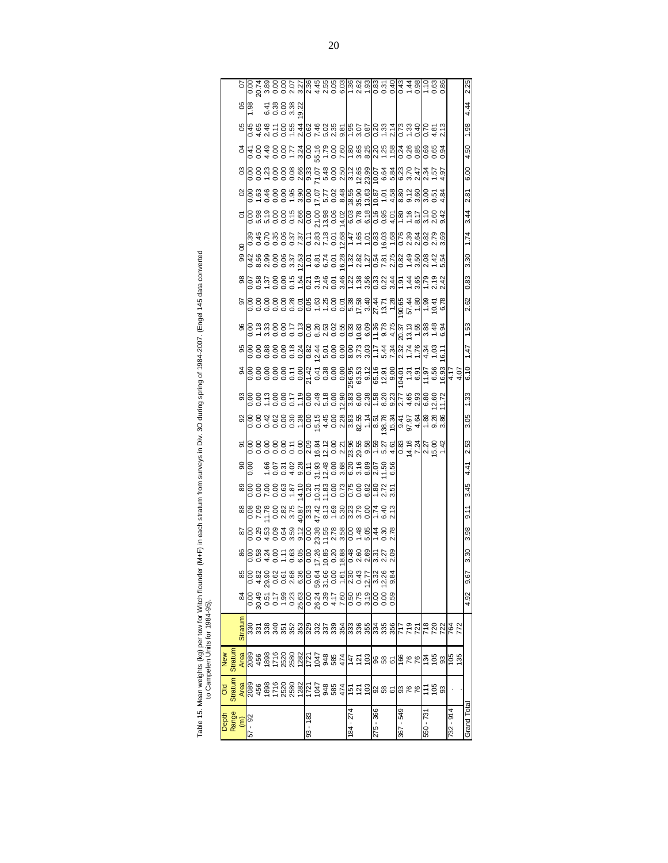Table 15. Mean weights (kg) per tow for Witch flounder (M+F) in each stratum from surveys in Div. 3O during spring of 1984-2007. (Engel 145 data converted<br>to Campelen Units for 1984-95). Table 15. Mean weights (kg) per tow for Witch flounder (M+F) in each stratum from surveys in Div. 3O during spring of 1984-2007. (Engel 145 data converted to Campelen Units for 1984-95).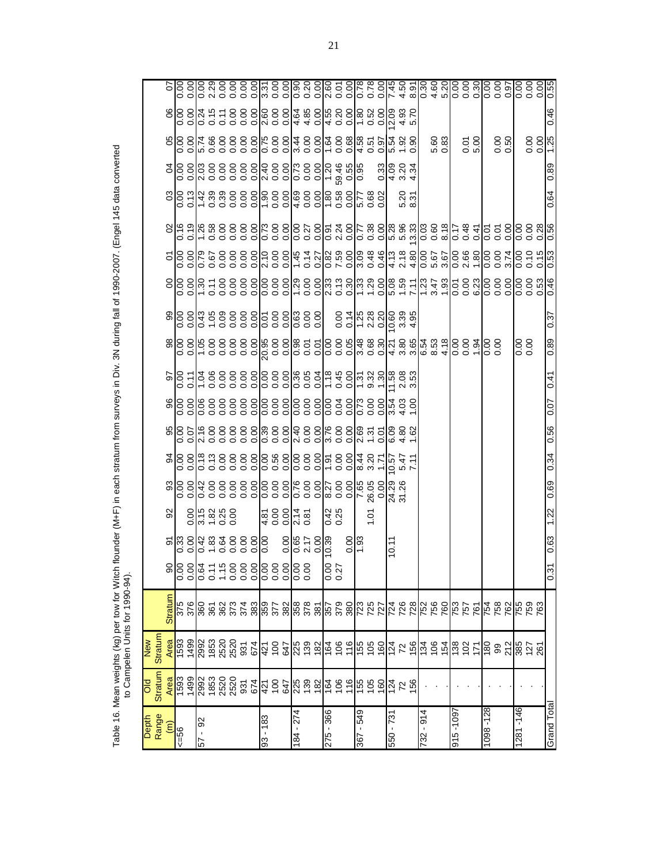|                      |                              | <b>New</b>     |                 |                  |                                                                                           |                                                                                                    |      |                         |      |         |      |                                            |                                                                                                                                                                                         |                     |                                                         |              |                  |                                     |      |  |
|----------------------|------------------------------|----------------|-----------------|------------------|-------------------------------------------------------------------------------------------|----------------------------------------------------------------------------------------------------|------|-------------------------|------|---------|------|--------------------------------------------|-----------------------------------------------------------------------------------------------------------------------------------------------------------------------------------------|---------------------|---------------------------------------------------------|--------------|------------------|-------------------------------------|------|--|
| Depth<br>Range       | <b>Stratum</b><br><b>PIO</b> | <b>Stratum</b> |                 |                  |                                                                                           |                                                                                                    |      |                         |      |         |      |                                            |                                                                                                                                                                                         |                     |                                                         |              |                  |                                     |      |  |
| $\widehat{\epsilon}$ |                              |                | <b>Straturr</b> |                  |                                                                                           | 95                                                                                                 |      | 34                      |      |         |      |                                            |                                                                                                                                                                                         |                     | 8                                                       |              |                  |                                     |      |  |
| $99 = 56$            |                              |                |                 |                  |                                                                                           |                                                                                                    |      |                         |      |         |      |                                            |                                                                                                                                                                                         |                     |                                                         |              |                  |                                     |      |  |
|                      |                              |                |                 |                  |                                                                                           |                                                                                                    |      |                         |      |         |      |                                            |                                                                                                                                                                                         |                     |                                                         |              |                  |                                     |      |  |
| 57 - 92              |                              |                |                 |                  |                                                                                           | $\frac{8}{9}$ $\frac{16}{9}$ $\frac{8}{9}$ $\frac{8}{9}$ $\frac{8}{9}$ $\frac{8}{9}$ $\frac{8}{9}$ |      |                         |      |         |      |                                            |                                                                                                                                                                                         |                     |                                                         |              |                  |                                     |      |  |
|                      |                              |                |                 |                  |                                                                                           |                                                                                                    |      |                         |      |         |      |                                            |                                                                                                                                                                                         |                     |                                                         |              |                  |                                     |      |  |
|                      |                              |                |                 |                  |                                                                                           |                                                                                                    |      |                         |      |         |      |                                            |                                                                                                                                                                                         |                     |                                                         |              |                  |                                     |      |  |
|                      |                              |                |                 |                  |                                                                                           |                                                                                                    |      |                         |      |         |      |                                            |                                                                                                                                                                                         |                     |                                                         |              |                  |                                     |      |  |
|                      |                              |                |                 |                  |                                                                                           |                                                                                                    |      |                         |      |         |      |                                            |                                                                                                                                                                                         |                     |                                                         |              |                  |                                     |      |  |
|                      |                              |                |                 |                  |                                                                                           |                                                                                                    |      |                         |      |         |      |                                            |                                                                                                                                                                                         |                     |                                                         |              |                  |                                     |      |  |
| 83 - 183             |                              |                |                 |                  |                                                                                           |                                                                                                    |      |                         |      |         |      |                                            |                                                                                                                                                                                         |                     |                                                         |              |                  |                                     |      |  |
|                      |                              |                |                 |                  |                                                                                           | $\frac{4}{5}$ 8 8 9 9 9 1                                                                          |      |                         |      |         |      |                                            |                                                                                                                                                                                         |                     |                                                         |              |                  |                                     |      |  |
|                      |                              |                |                 |                  |                                                                                           |                                                                                                    |      |                         |      |         |      |                                            |                                                                                                                                                                                         |                     |                                                         |              |                  |                                     |      |  |
| 184 - 274            |                              |                |                 |                  | $\frac{8}{10}$ $\frac{8}{10}$ $\frac{1}{10}$ $\frac{1}{10}$ $\frac{1}{10}$ $\frac{1}{10}$ | $\frac{2.14}{0.81}$                                                                                |      |                         |      |         |      |                                            |                                                                                                                                                                                         |                     |                                                         |              |                  |                                     |      |  |
|                      |                              |                |                 |                  |                                                                                           |                                                                                                    |      |                         |      |         |      |                                            |                                                                                                                                                                                         |                     |                                                         |              |                  |                                     |      |  |
|                      |                              |                |                 |                  |                                                                                           |                                                                                                    |      |                         |      |         |      |                                            |                                                                                                                                                                                         |                     |                                                         |              |                  |                                     |      |  |
| 275 - 366            |                              |                |                 | $0.00$<br>$0.27$ |                                                                                           | 0.42<br>0.25                                                                                       |      |                         |      |         |      |                                            |                                                                                                                                                                                         |                     |                                                         |              |                  |                                     |      |  |
|                      |                              |                |                 |                  |                                                                                           |                                                                                                    |      |                         |      |         |      |                                            |                                                                                                                                                                                         |                     |                                                         |              |                  |                                     |      |  |
|                      |                              |                |                 |                  | $rac{8}{1.93}$                                                                            |                                                                                                    |      |                         |      |         |      |                                            |                                                                                                                                                                                         |                     |                                                         |              |                  |                                     |      |  |
| 675 - 298            |                              |                |                 |                  |                                                                                           |                                                                                                    |      | 8 2 2<br>4 2 2<br>4 3 2 |      |         |      |                                            |                                                                                                                                                                                         |                     |                                                         |              |                  |                                     |      |  |
|                      |                              |                |                 |                  |                                                                                           | ĕ                                                                                                  |      |                         |      |         |      |                                            |                                                                                                                                                                                         |                     |                                                         |              |                  |                                     |      |  |
|                      |                              |                |                 |                  |                                                                                           |                                                                                                    |      |                         |      |         |      |                                            |                                                                                                                                                                                         |                     |                                                         |              | 0.33             |                                     |      |  |
| 550 - 731            |                              |                |                 |                  | 10.11                                                                                     |                                                                                                    |      | 0.57                    |      | 0.00447 |      |                                            | $0.516$<br>$0.516$<br>$0.516$<br>$0.516$<br>$0.516$<br>$0.516$<br>$0.516$<br>$0.516$<br>$0.516$<br>$0.516$<br>$0.516$<br>$0.516$<br>$0.516$<br>$0.516$<br>$0.516$<br>$0.516$<br>$0.516$ |                     |                                                         |              | $4984$<br>$6934$ |                                     |      |  |
|                      |                              |                |                 |                  |                                                                                           |                                                                                                    |      | $\frac{547}{7.11}$      |      |         |      |                                            |                                                                                                                                                                                         |                     |                                                         | 5.20<br>8.31 |                  |                                     |      |  |
|                      |                              |                |                 |                  |                                                                                           |                                                                                                    |      |                         |      |         |      |                                            |                                                                                                                                                                                         |                     |                                                         |              |                  |                                     |      |  |
| 732 - 914            |                              |                |                 |                  |                                                                                           |                                                                                                    |      |                         |      |         |      |                                            |                                                                                                                                                                                         |                     |                                                         |              |                  |                                     |      |  |
|                      |                              |                |                 |                  |                                                                                           |                                                                                                    |      |                         |      |         |      |                                            |                                                                                                                                                                                         |                     |                                                         |              |                  | 5.60<br>0.83                        |      |  |
|                      |                              |                |                 |                  |                                                                                           |                                                                                                    |      |                         |      |         |      |                                            |                                                                                                                                                                                         |                     |                                                         |              |                  |                                     |      |  |
| 1601-916             |                              |                |                 |                  |                                                                                           |                                                                                                    |      |                         |      |         |      |                                            |                                                                                                                                                                                         |                     |                                                         |              |                  |                                     |      |  |
|                      |                              |                |                 |                  |                                                                                           |                                                                                                    |      |                         |      |         |      |                                            |                                                                                                                                                                                         |                     |                                                         |              |                  | 0.01                                |      |  |
|                      |                              |                |                 |                  |                                                                                           |                                                                                                    |      |                         |      |         |      |                                            |                                                                                                                                                                                         |                     |                                                         |              |                  |                                     |      |  |
| 1098-128             |                              |                |                 |                  |                                                                                           |                                                                                                    |      |                         |      |         |      |                                            |                                                                                                                                                                                         |                     |                                                         |              |                  |                                     |      |  |
|                      |                              |                |                 |                  |                                                                                           |                                                                                                    |      |                         |      |         |      |                                            |                                                                                                                                                                                         |                     |                                                         |              |                  | 0.50                                |      |  |
|                      |                              |                |                 |                  |                                                                                           |                                                                                                    |      |                         |      |         |      |                                            |                                                                                                                                                                                         |                     |                                                         |              |                  |                                     |      |  |
| $1281 - 146$         |                              |                |                 |                  |                                                                                           |                                                                                                    |      |                         |      |         |      | $\begin{matrix} 0.00 \\ 0.00 \end{matrix}$ |                                                                                                                                                                                         |                     |                                                         |              |                  |                                     |      |  |
|                      |                              |                |                 |                  |                                                                                           |                                                                                                    |      |                         |      |         |      |                                            |                                                                                                                                                                                         | 0.15<br>0.15<br>0.0 | $\frac{8}{5}$ $\frac{8}{5}$ $\frac{8}{5}$ $\frac{8}{5}$ |              |                  | $rac{6}{5}$ $rac{6}{5}$ $rac{1}{5}$ |      |  |
|                      |                              |                |                 |                  |                                                                                           |                                                                                                    |      |                         |      |         |      |                                            |                                                                                                                                                                                         |                     |                                                         |              |                  |                                     |      |  |
| Grand Total          |                              |                |                 | 0.31             | 0.63                                                                                      | 1.22                                                                                               | 0.69 | 0.34                    | 0.56 | 0.07    | 0.41 | 0.89                                       | 0.37                                                                                                                                                                                    | $\frac{53}{2}$      |                                                         | 0.64         | 0.89             |                                     | 0.46 |  |

Table 16. Mean weights (kg) per tow for Witch flounder (M+F) in each stratum from surveys in Div. 3N during fall of 1990-2007. (Engel 145 data converted<br>to Campelen Units for 1990-94). Table 16. Mean weights (kg) per tow for Witch flounder (M+F) in each stratum from surveys in Div. 3N during fall of 1990-2007. (Engel 145 data converted to Campelen Units for 1990-94).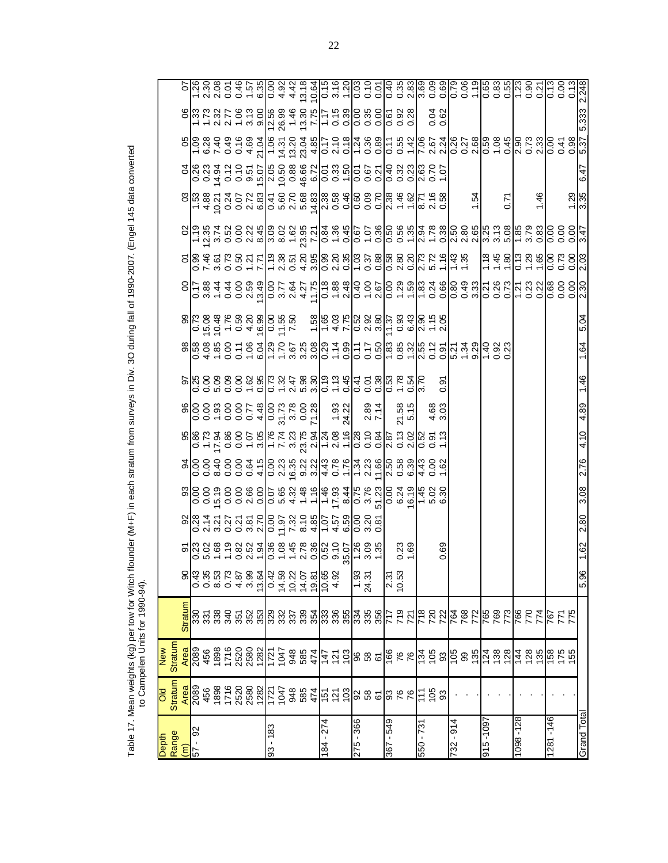|       |      |                 | Table 17. Mean weights (kg) per tow for<br>to Campelen Units for 1990 | $0 - 94$ |  |  |  |  | r Witch flounder (M+F) in each stratum from surveys in Div. 3O during fall of 1990-2007. (Engel 145 data converted |  |  |  |
|-------|------|-----------------|-----------------------------------------------------------------------|----------|--|--|--|--|--------------------------------------------------------------------------------------------------------------------|--|--|--|
| Jepth |      | New             |                                                                       |          |  |  |  |  |                                                                                                                    |  |  |  |
| Range |      | Stratum Stratum |                                                                       |          |  |  |  |  |                                                                                                                    |  |  |  |
| ξ     | Area |                 | Area Stratum                                                          |          |  |  |  |  | 90 90 70 70 20 10 90 96 96 10 96 96 96 76 66 96 10 96                                                              |  |  |  |

|                                   | Old<br>Stratum                                                                                               | New     |         |                                                                                                                                                                                                |                |      |                  |      |      |                   |      |                 |      |                                                                                                                                                                                                                                                                                                                                                                                  |                     |      |                                                                                                                                                                                                                                                                                                                                                                                                      |       |                      |
|-----------------------------------|--------------------------------------------------------------------------------------------------------------|---------|---------|------------------------------------------------------------------------------------------------------------------------------------------------------------------------------------------------|----------------|------|------------------|------|------|-------------------|------|-----------------|------|----------------------------------------------------------------------------------------------------------------------------------------------------------------------------------------------------------------------------------------------------------------------------------------------------------------------------------------------------------------------------------|---------------------|------|------------------------------------------------------------------------------------------------------------------------------------------------------------------------------------------------------------------------------------------------------------------------------------------------------------------------------------------------------------------------------------------------------|-------|----------------------|
| Depth<br>Range<br>S7 - 92<br>S7 - |                                                                                                              | Stratum | Stratun |                                                                                                                                                                                                |                |      |                  |      |      |                   |      |                 |      |                                                                                                                                                                                                                                                                                                                                                                                  |                     |      |                                                                                                                                                                                                                                                                                                                                                                                                      |       |                      |
| 92                                | <mark>ន</mark> ្ទ្រីន្ទ ឌូ ឌូ ឌូ ឌូ ឌូ ឌូ ឌូ ឌូ ឌូ ឌូ ឌូ ដូ គ្រូ ភ្នំ គូ ឌូ ឌូ ឌូ ឌូ ឌូ ឌូ ឌូ ឌូ ឌូ ឌូ ឌូ ឌូ |         |         | $\begin{array}{c}\n 0 \circ \alpha \circ \alpha \circ \alpha \circ \alpha \\  0 \circ \alpha \circ \alpha \circ \alpha \circ \alpha \\  0 \circ \alpha \circ \alpha \circ \alpha\n\end{array}$ |                |      |                  |      |      |                   |      | $\frac{816}{6}$ |      | $\begin{array}{c} 0 & 0 & 0 & 0 \\ 0 & 0 & 0 & 0 \\ 0 & 0 & 0 & 0 \\ \end{array} \begin{array}{c} 0 & 0 & 0 & 0 \\ 0 & 0 & 0 & 0 \\ 0 & 0 & 0 & 0 \\ 0 & 0 & 0 & 0 \\ \end{array} \begin{array}{c} 0 & 0 & 0 & 0 \\ 0 & 0 & 0 & 0 \\ 0 & 0 & 0 & 0 \\ 0 & 0 & 0 & 0 \\ \end{array} \begin{array}{c} 0 & 0 & 0 & 0 \\ 0 & 0 & 0 & 0 \\ 0 & 0 & 0 & 0 \\ \end{array} \begin{array$ |                     |      | $\begin{array}{c} \mathbb{S} \,   \, \mathbb{S} \, \, \mathbb{S} \, \, \mathbb{S} \, \, \mathbb{S} \, \, \mathbb{S} \, \, \mathbb{S} \, \, \mathbb{S} \, \mathbb{S} \, \mathbb{S} \, \mathbb{S} \, \mathbb{S} \, \mathbb{S} \, \mathbb{S} \, \mathbb{S} \, \mathbb{S} \, \mathbb{S} \, \mathbb{S} \, \mathbb{S} \, \mathbb{S} \, \mathbb{S} \, \mathbb{S} \, \mathbb{S} \, \mathbb{S} \, \mathbb{S}$ |       |                      |
|                                   |                                                                                                              |         |         |                                                                                                                                                                                                |                |      |                  |      |      |                   |      |                 |      |                                                                                                                                                                                                                                                                                                                                                                                  |                     |      |                                                                                                                                                                                                                                                                                                                                                                                                      |       |                      |
|                                   |                                                                                                              |         |         |                                                                                                                                                                                                |                |      |                  |      |      |                   |      |                 |      |                                                                                                                                                                                                                                                                                                                                                                                  |                     |      |                                                                                                                                                                                                                                                                                                                                                                                                      |       |                      |
|                                   |                                                                                                              |         |         |                                                                                                                                                                                                |                |      |                  |      |      |                   |      |                 |      |                                                                                                                                                                                                                                                                                                                                                                                  |                     |      |                                                                                                                                                                                                                                                                                                                                                                                                      |       |                      |
|                                   |                                                                                                              |         |         |                                                                                                                                                                                                |                |      |                  |      |      |                   |      |                 |      |                                                                                                                                                                                                                                                                                                                                                                                  |                     |      |                                                                                                                                                                                                                                                                                                                                                                                                      |       |                      |
|                                   |                                                                                                              |         |         |                                                                                                                                                                                                |                |      |                  |      |      |                   |      |                 |      |                                                                                                                                                                                                                                                                                                                                                                                  |                     |      |                                                                                                                                                                                                                                                                                                                                                                                                      |       |                      |
|                                   |                                                                                                              |         |         |                                                                                                                                                                                                |                |      |                  |      |      |                   |      |                 |      |                                                                                                                                                                                                                                                                                                                                                                                  |                     |      |                                                                                                                                                                                                                                                                                                                                                                                                      |       |                      |
| 93 - 183                          |                                                                                                              |         |         |                                                                                                                                                                                                |                |      |                  |      |      |                   |      |                 |      |                                                                                                                                                                                                                                                                                                                                                                                  |                     |      |                                                                                                                                                                                                                                                                                                                                                                                                      |       |                      |
|                                   |                                                                                                              |         |         |                                                                                                                                                                                                |                |      |                  |      |      |                   |      |                 |      |                                                                                                                                                                                                                                                                                                                                                                                  |                     |      |                                                                                                                                                                                                                                                                                                                                                                                                      |       |                      |
|                                   |                                                                                                              |         |         |                                                                                                                                                                                                |                |      |                  |      |      |                   |      |                 |      |                                                                                                                                                                                                                                                                                                                                                                                  |                     |      |                                                                                                                                                                                                                                                                                                                                                                                                      |       |                      |
|                                   |                                                                                                              |         |         |                                                                                                                                                                                                |                |      |                  |      |      |                   |      |                 |      |                                                                                                                                                                                                                                                                                                                                                                                  |                     |      |                                                                                                                                                                                                                                                                                                                                                                                                      |       |                      |
|                                   |                                                                                                              |         |         |                                                                                                                                                                                                |                |      |                  |      |      |                   |      |                 |      |                                                                                                                                                                                                                                                                                                                                                                                  |                     |      |                                                                                                                                                                                                                                                                                                                                                                                                      |       |                      |
| 184 - 274                         |                                                                                                              |         |         |                                                                                                                                                                                                |                |      |                  |      |      |                   |      |                 |      |                                                                                                                                                                                                                                                                                                                                                                                  |                     |      |                                                                                                                                                                                                                                                                                                                                                                                                      |       |                      |
|                                   |                                                                                                              |         |         |                                                                                                                                                                                                |                |      |                  |      |      |                   |      |                 |      |                                                                                                                                                                                                                                                                                                                                                                                  |                     |      |                                                                                                                                                                                                                                                                                                                                                                                                      |       |                      |
|                                   |                                                                                                              |         |         |                                                                                                                                                                                                |                |      |                  |      |      |                   |      |                 |      |                                                                                                                                                                                                                                                                                                                                                                                  |                     |      |                                                                                                                                                                                                                                                                                                                                                                                                      |       |                      |
| 275 - 366                         |                                                                                                              |         |         |                                                                                                                                                                                                |                |      |                  |      |      |                   |      |                 |      |                                                                                                                                                                                                                                                                                                                                                                                  |                     |      |                                                                                                                                                                                                                                                                                                                                                                                                      |       |                      |
|                                   |                                                                                                              |         |         | $\frac{1.93}{24.31}$                                                                                                                                                                           |                |      |                  |      |      | $2.89$<br>7.14    |      |                 |      |                                                                                                                                                                                                                                                                                                                                                                                  |                     |      |                                                                                                                                                                                                                                                                                                                                                                                                      |       |                      |
|                                   |                                                                                                              |         |         |                                                                                                                                                                                                |                |      |                  |      |      |                   |      |                 |      |                                                                                                                                                                                                                                                                                                                                                                                  |                     |      |                                                                                                                                                                                                                                                                                                                                                                                                      |       |                      |
| 845 - 298                         |                                                                                                              |         |         | 2.31<br>10.53                                                                                                                                                                                  |                |      |                  |      |      |                   |      |                 |      |                                                                                                                                                                                                                                                                                                                                                                                  |                     |      |                                                                                                                                                                                                                                                                                                                                                                                                      |       |                      |
|                                   |                                                                                                              |         |         |                                                                                                                                                                                                |                |      |                  |      |      |                   |      |                 |      |                                                                                                                                                                                                                                                                                                                                                                                  |                     |      |                                                                                                                                                                                                                                                                                                                                                                                                      |       |                      |
|                                   |                                                                                                              |         |         |                                                                                                                                                                                                | $0.23$<br>1.69 |      |                  |      |      | $21.58$<br>$5.15$ |      |                 |      |                                                                                                                                                                                                                                                                                                                                                                                  |                     |      |                                                                                                                                                                                                                                                                                                                                                                                                      |       |                      |
| $550 - 73$                        |                                                                                                              |         |         |                                                                                                                                                                                                |                |      |                  |      |      |                   |      |                 |      |                                                                                                                                                                                                                                                                                                                                                                                  |                     |      |                                                                                                                                                                                                                                                                                                                                                                                                      |       |                      |
|                                   |                                                                                                              |         |         |                                                                                                                                                                                                |                |      |                  |      |      | $4.68$<br>3.03    |      |                 |      |                                                                                                                                                                                                                                                                                                                                                                                  |                     |      |                                                                                                                                                                                                                                                                                                                                                                                                      | 0.62  |                      |
|                                   |                                                                                                              |         |         |                                                                                                                                                                                                | 69             |      |                  |      |      |                   | တ    |                 |      |                                                                                                                                                                                                                                                                                                                                                                                  |                     |      |                                                                                                                                                                                                                                                                                                                                                                                                      |       |                      |
| $-914$<br>732                     |                                                                                                              |         |         |                                                                                                                                                                                                |                |      |                  |      |      |                   |      |                 |      |                                                                                                                                                                                                                                                                                                                                                                                  |                     |      |                                                                                                                                                                                                                                                                                                                                                                                                      |       |                      |
|                                   |                                                                                                              |         |         |                                                                                                                                                                                                |                |      |                  |      |      |                   |      |                 |      |                                                                                                                                                                                                                                                                                                                                                                                  |                     |      |                                                                                                                                                                                                                                                                                                                                                                                                      |       |                      |
|                                   |                                                                                                              |         |         |                                                                                                                                                                                                |                |      |                  |      |      |                   |      |                 |      |                                                                                                                                                                                                                                                                                                                                                                                  | 1.54                |      |                                                                                                                                                                                                                                                                                                                                                                                                      |       |                      |
| 1601- 516                         |                                                                                                              |         |         |                                                                                                                                                                                                |                |      |                  |      |      |                   |      |                 |      |                                                                                                                                                                                                                                                                                                                                                                                  |                     |      |                                                                                                                                                                                                                                                                                                                                                                                                      |       |                      |
|                                   |                                                                                                              |         |         |                                                                                                                                                                                                |                |      |                  |      |      |                   |      |                 |      |                                                                                                                                                                                                                                                                                                                                                                                  |                     |      |                                                                                                                                                                                                                                                                                                                                                                                                      |       |                      |
|                                   |                                                                                                              |         |         |                                                                                                                                                                                                |                |      |                  |      |      |                   |      |                 |      |                                                                                                                                                                                                                                                                                                                                                                                  |                     |      |                                                                                                                                                                                                                                                                                                                                                                                                      |       |                      |
| 1098-128                          |                                                                                                              |         |         |                                                                                                                                                                                                |                |      |                  |      |      |                   |      |                 |      |                                                                                                                                                                                                                                                                                                                                                                                  |                     |      |                                                                                                                                                                                                                                                                                                                                                                                                      |       |                      |
|                                   |                                                                                                              |         |         |                                                                                                                                                                                                |                |      |                  |      |      |                   |      |                 |      |                                                                                                                                                                                                                                                                                                                                                                                  |                     |      |                                                                                                                                                                                                                                                                                                                                                                                                      |       |                      |
|                                   |                                                                                                              |         |         |                                                                                                                                                                                                |                |      |                  |      |      |                   |      |                 |      |                                                                                                                                                                                                                                                                                                                                                                                  | 146                 |      |                                                                                                                                                                                                                                                                                                                                                                                                      |       |                      |
| 1281-146                          |                                                                                                              |         |         |                                                                                                                                                                                                |                |      |                  |      |      |                   |      |                 |      |                                                                                                                                                                                                                                                                                                                                                                                  |                     |      |                                                                                                                                                                                                                                                                                                                                                                                                      |       |                      |
|                                   |                                                                                                              |         |         |                                                                                                                                                                                                |                |      |                  |      |      |                   |      |                 |      |                                                                                                                                                                                                                                                                                                                                                                                  |                     |      |                                                                                                                                                                                                                                                                                                                                                                                                      |       |                      |
|                                   |                                                                                                              |         |         |                                                                                                                                                                                                |                |      |                  |      |      |                   |      |                 |      |                                                                                                                                                                                                                                                                                                                                                                                  | $\frac{1.29}{3.35}$ |      |                                                                                                                                                                                                                                                                                                                                                                                                      |       | 0.13<br>0.00<br>0.13 |
| Grand Total                       |                                                                                                              |         |         | 5.96                                                                                                                                                                                           | 1.62           | 2.80 | $\frac{8}{3.08}$ | 2.76 | 4.10 | 4.89              | 1.46 | 1.64            | 5.04 |                                                                                                                                                                                                                                                                                                                                                                                  |                     | 6.47 |                                                                                                                                                                                                                                                                                                                                                                                                      | 5.333 |                      |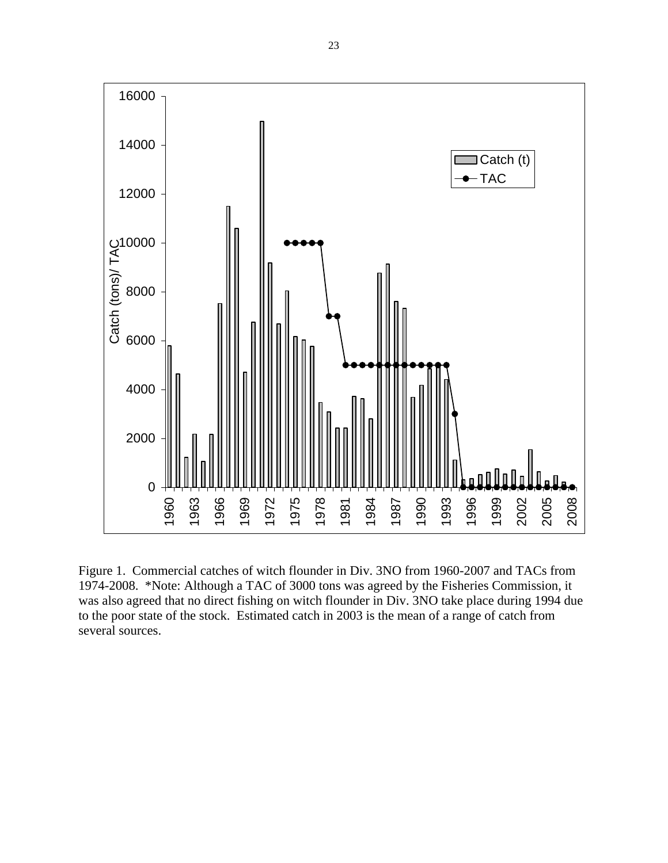

Figure 1. Commercial catches of witch flounder in Div. 3NO from 1960-2007 and TACs from 1974-2008. \*Note: Although a TAC of 3000 tons was agreed by the Fisheries Commission, it was also agreed that no direct fishing on witch flounder in Div. 3NO take place during 1994 due to the poor state of the stock. Estimated catch in 2003 is the mean of a range of catch from several sources.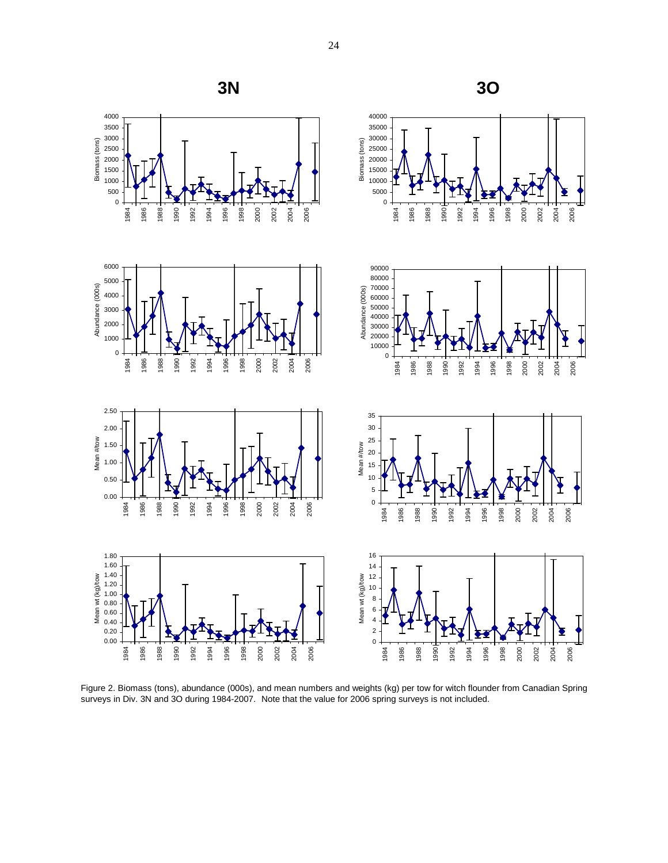

Figure 2. Biomass (tons), abundance (000s), and mean numbers and weights (kg) per tow for witch flounder from Canadian Spring surveys in Div. 3N and 3O during 1984-2007. Note that the value for 2006 spring surveys is not included.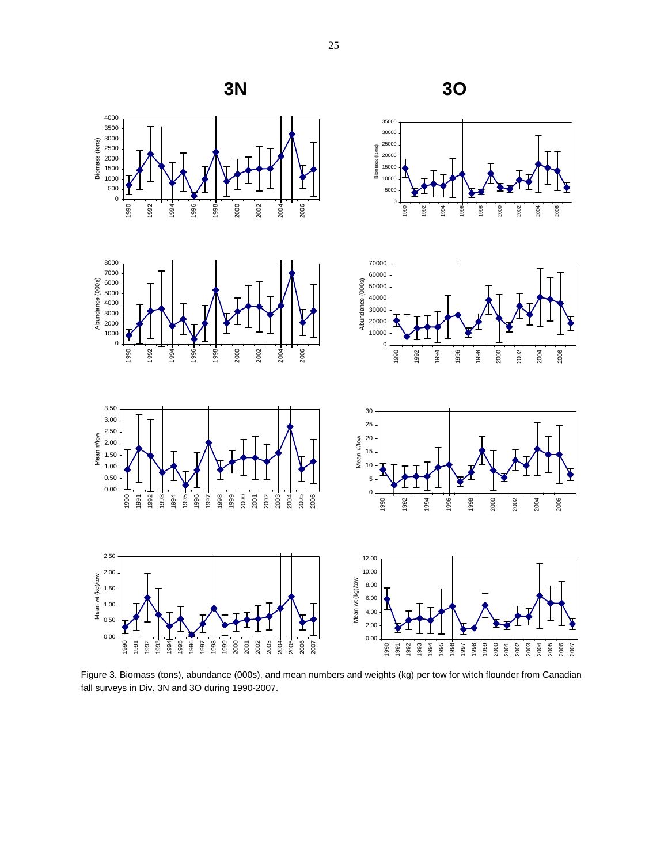

Figure 3. Biomass (tons), abundance (000s), and mean numbers and weights (kg) per tow for witch flounder from Canadian fall surveys in Div. 3N and 3O during 1990-2007.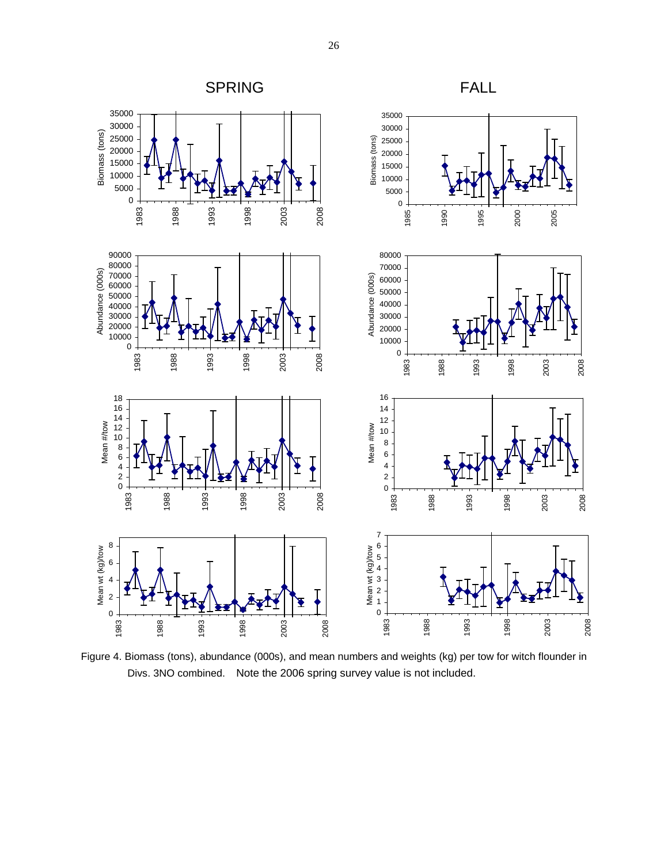

Figure 4. Biomass (tons), abundance (000s), and mean numbers and weights (kg) per tow for witch flounder in Divs. 3NO combined. Note the 2006 spring survey value is not included.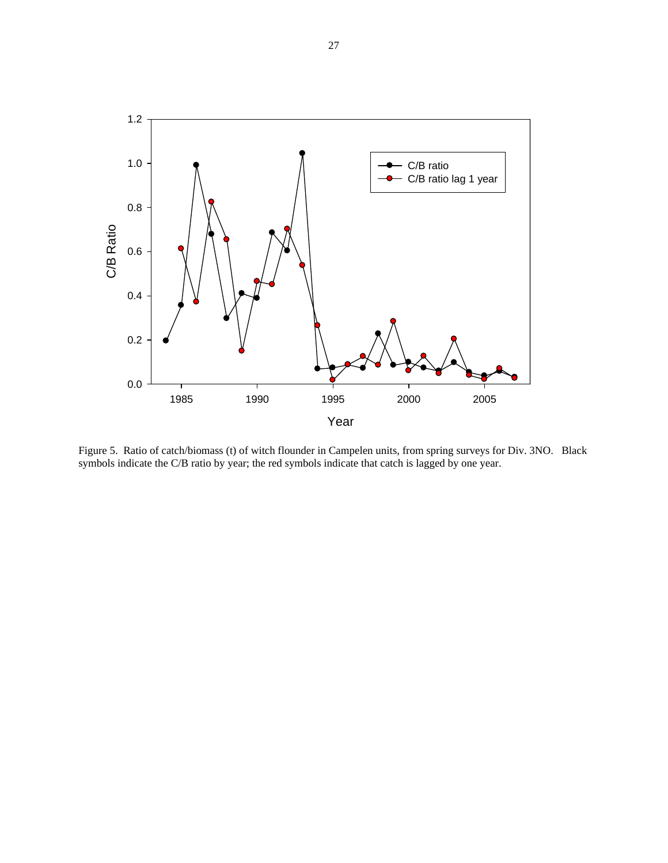

Figure 5. Ratio of catch/biomass (t) of witch flounder in Campelen units, from spring surveys for Div. 3NO. Black symbols indicate the C/B ratio by year; the red symbols indicate that catch is lagged by one year.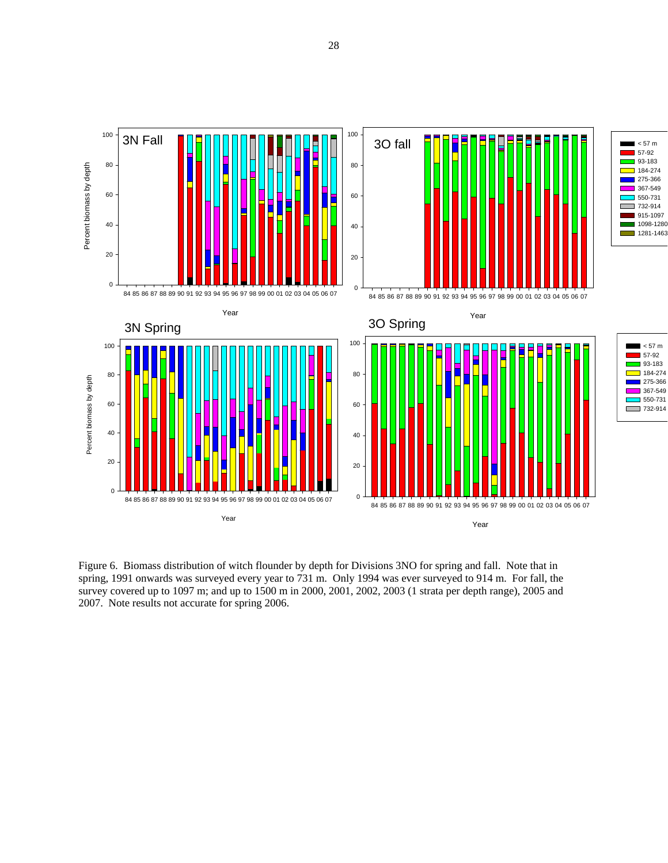

Figure 6. Biomass distribution of witch flounder by depth for Divisions 3NO for spring and fall. Note that in spring, 1991 onwards was surveyed every year to 731 m. Only 1994 was ever surveyed to 914 m. For fall, the survey covered up to 1097 m; and up to 1500 m in 2000, 2001, 2002, 2003 (1 strata per depth range), 2005 and 2007. Note results not accurate for spring 2006.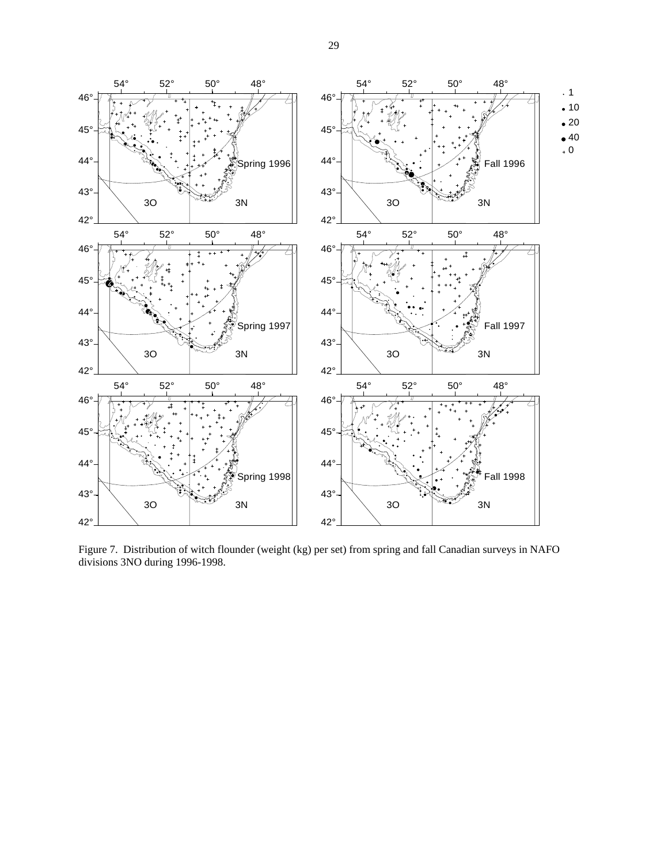

Figure 7. Distribution of witch flounder (weight (kg) per set) from spring and fall Canadian surveys in NAFO divisions 3NO during 1996-1998.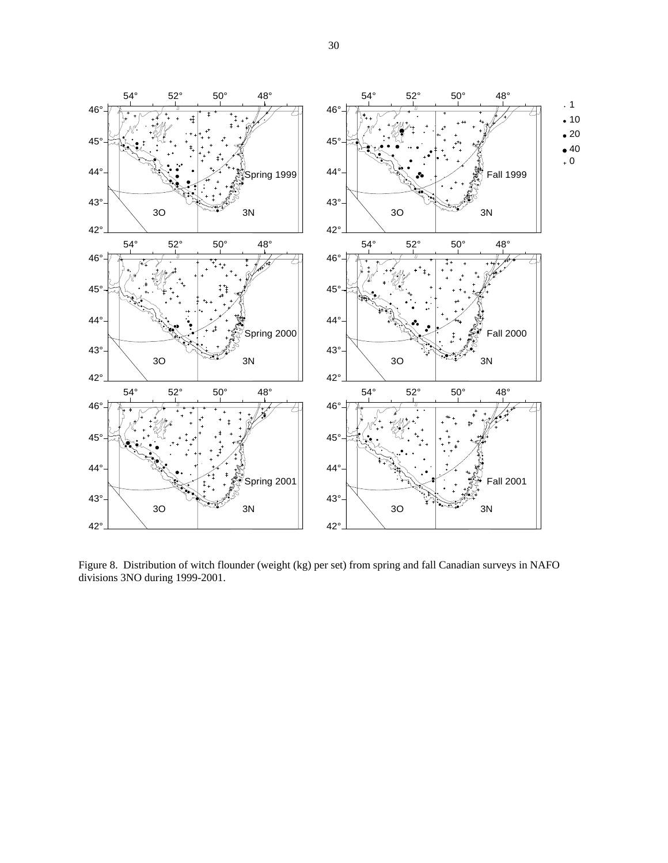

Figure 8. Distribution of witch flounder (weight (kg) per set) from spring and fall Canadian surveys in NAFO divisions 3NO during 1999-2001.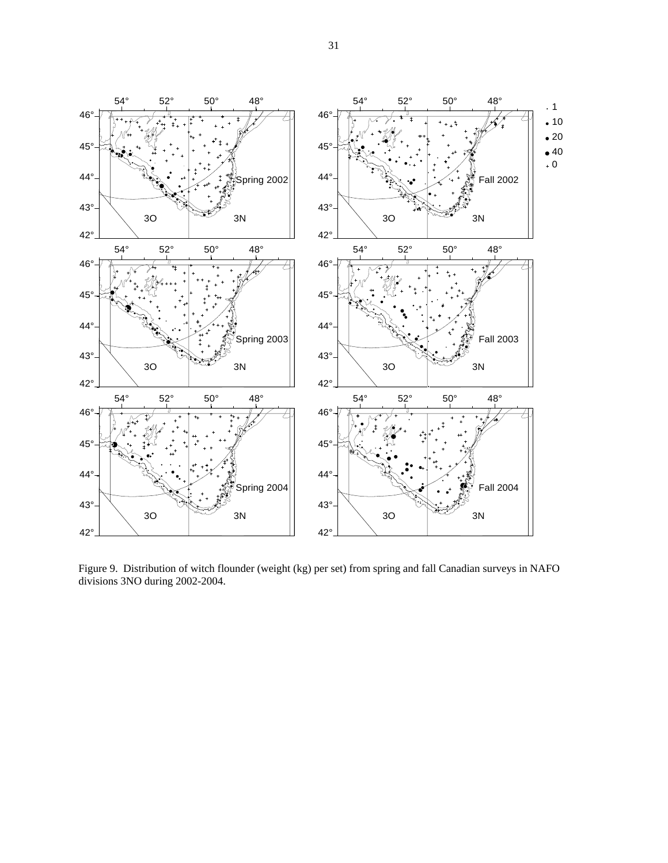

Figure 9. Distribution of witch flounder (weight (kg) per set) from spring and fall Canadian surveys in NAFO divisions 3NO during 2002-2004.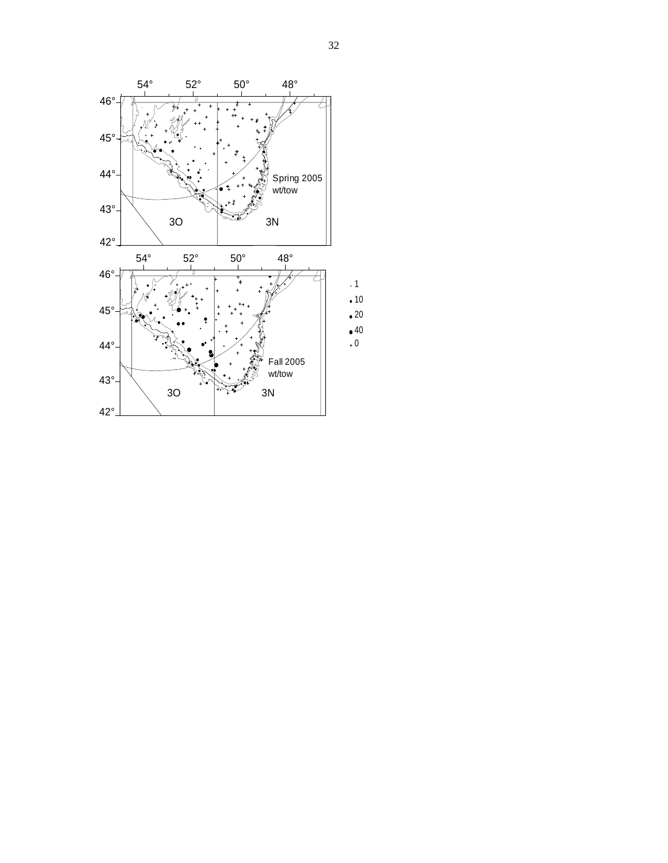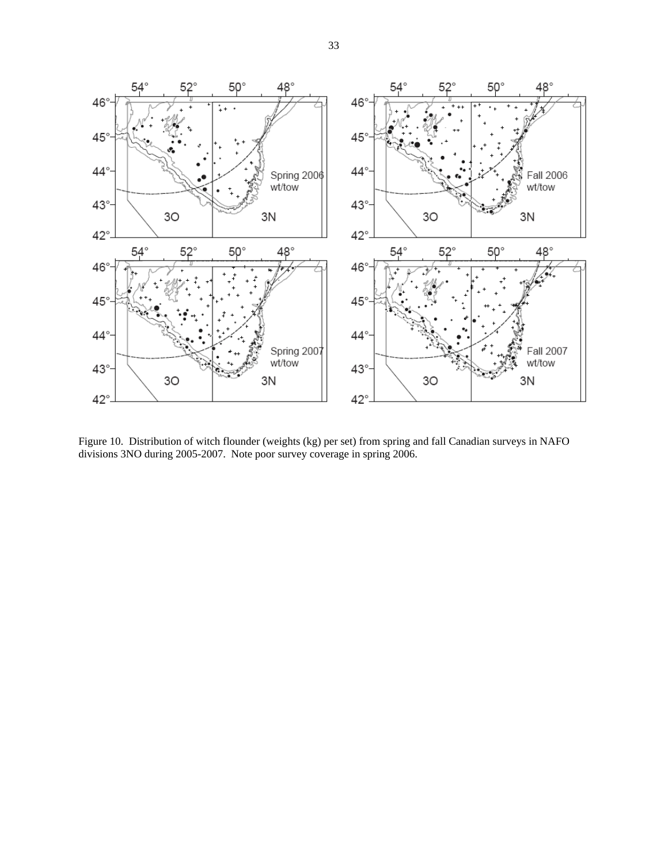

Figure 10. Distribution of witch flounder (weights (kg) per set) from spring and fall Canadian surveys in NAFO divisions 3NO during 2005-2007. Note poor survey coverage in spring 2006.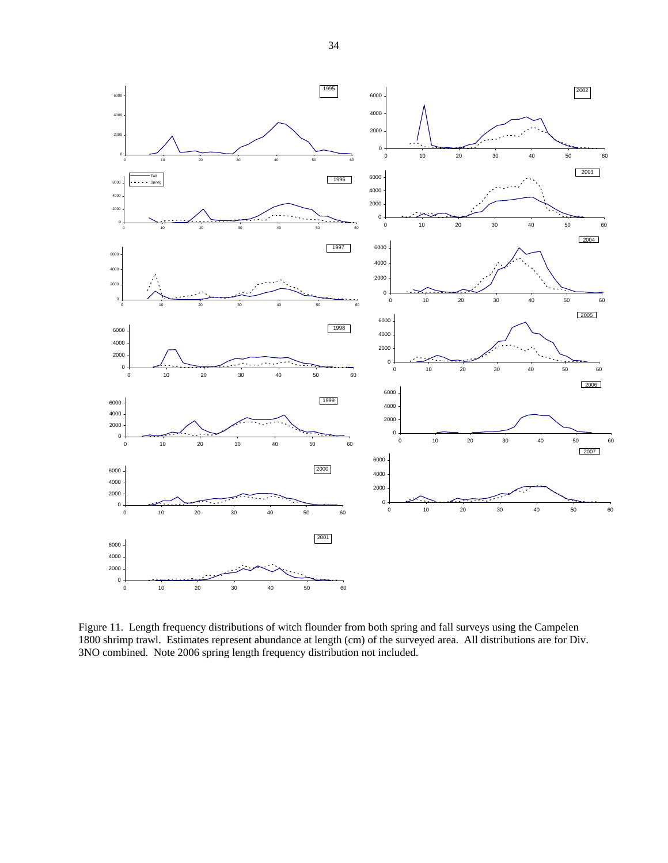



Figure 11. Length frequency distributions of witch flounder from both spring and fall surveys using the Campelen 1800 shrimp trawl. Estimates represent abundance at length (cm) of the surveyed area. All distributions are for Div. 3NO combined. Note 2006 spring length frequency distribution not included.